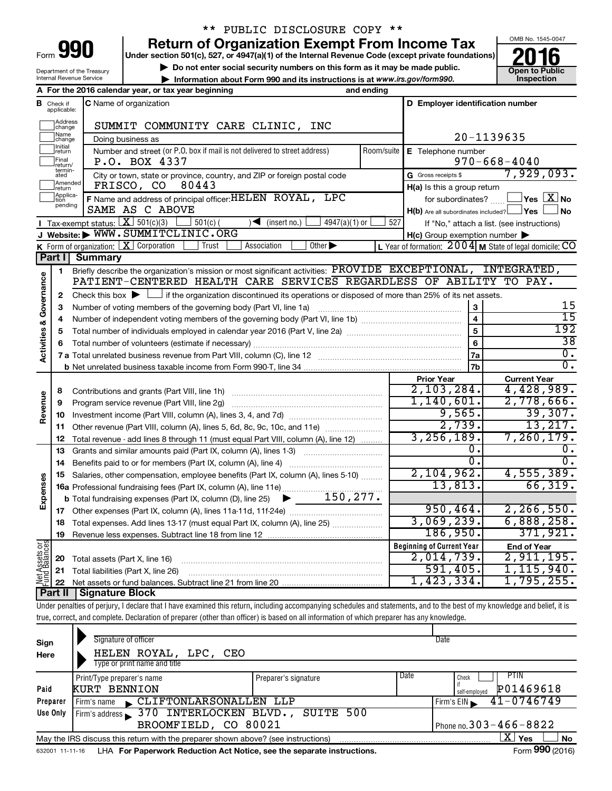|      | Ш |  |
|------|---|--|
|      |   |  |
| Form |   |  |

## \*\* PUBLIC DISCLOSURE COPY \*\*

**Return of Organization Exempt From Income Tax**<br>Under section 501(c), 527, or 4947(a)(1) of the Internal Revenue Code (except private foundations)<br> **2016** 

**Under section 501(c), 527, or 4947(a)(1) of the Internal Revenue Code (except private foundations) Example 10** Do not enter social security numbers on this form as it may be made public.<br> **Do not enter social security numbers on this form as it may be made public.**<br> **Do not enter social security numbers on this form as** 

**• Information about Form 990 and its instructions is at www.irs.gov/form990. and inspection** 



Department of the Treasury Internal Revenue Service

|                         |                                | A For the 2016 calendar year, or tax year beginning                                                                                                                        | and ending |                                                         |                                                                  |
|-------------------------|--------------------------------|----------------------------------------------------------------------------------------------------------------------------------------------------------------------------|------------|---------------------------------------------------------|------------------------------------------------------------------|
|                         | <b>B</b> Check if applicable:  | <b>C</b> Name of organization                                                                                                                                              |            | D Employer identification number                        |                                                                  |
|                         | Address<br> change             | SUMMIT COMMUNITY CARE CLINIC, INC                                                                                                                                          |            |                                                         |                                                                  |
|                         | Name<br>change                 | Doing business as                                                                                                                                                          |            |                                                         | 20-1139635                                                       |
|                         | Initial<br>return              | Number and street (or P.O. box if mail is not delivered to street address)                                                                                                 | Room/suite | E Telephone number                                      |                                                                  |
|                         | Final<br>return/<br>termin-    | P.O. BOX 4337                                                                                                                                                              |            |                                                         | $970 - 668 - 4040$                                               |
|                         | ated                           | City or town, state or province, country, and ZIP or foreign postal code                                                                                                   |            | G Gross receipts \$                                     | 7,929,093.                                                       |
|                         | Amended<br>Ireturn<br>Applica- | FRISCO, CO<br>80443                                                                                                                                                        |            | H(a) Is this a group return                             |                                                                  |
|                         | tion<br>pending                | F Name and address of principal officer: HELEN ROYAL, LPC<br>SAME AS C ABOVE                                                                                               |            |                                                         | for subordinates? $\text{mm}$ $\Box$ Yes $\boxed{\mathbf{X}}$ No |
|                         |                                | <b>I</b> Tax-exempt status: $X \ 501(c)(3)$                                                                                                                                | 527        | $H(b)$ Are all subordinates included? $\Box$ Yes $\Box$ | ⊿ No                                                             |
|                         |                                | $\Box$ 501(c) (<br>$4947(a)(1)$ or<br>$\sqrt{\frac{1}{1}}$ (insert no.)<br>J Website: WWW.SUMMITCLINIC.ORG                                                                 |            |                                                         | If "No," attach a list. (see instructions)                       |
|                         |                                | K Form of organization: $X$ Corporation<br>Trust<br>Other $\blacktriangleright$<br>Association                                                                             |            | $H(c)$ Group exemption number $\blacktriangleright$     | L Year of formation: $2004$ M State of legal domicile: CO        |
|                         | Part I                         | <b>Summary</b>                                                                                                                                                             |            |                                                         |                                                                  |
|                         | 1                              | Briefly describe the organization's mission or most significant activities: PROVIDE EXCEPTIONAL, INTEGRATED,                                                               |            |                                                         |                                                                  |
| Governance              |                                | PATIENT-CENTERED HEALTH CARE SERVICES REGARDLESS OF ABILITY TO PAY.                                                                                                        |            |                                                         |                                                                  |
|                         | 2                              | Check this box $\blacktriangleright$ $\Box$ if the organization discontinued its operations or disposed of more than 25% of its net assets.                                |            |                                                         |                                                                  |
|                         | 3                              |                                                                                                                                                                            |            | 3                                                       | 15                                                               |
|                         | 4                              |                                                                                                                                                                            |            | $\overline{4}$                                          | $\overline{15}$                                                  |
| <b>Activities &amp;</b> | 5                              |                                                                                                                                                                            |            | 5                                                       | 192                                                              |
|                         | 6                              |                                                                                                                                                                            |            | 6                                                       | $\overline{38}$                                                  |
|                         |                                |                                                                                                                                                                            |            | 7a                                                      | $\overline{0}$ .                                                 |
|                         |                                |                                                                                                                                                                            |            | 7b                                                      | $\overline{0}$ .                                                 |
|                         |                                |                                                                                                                                                                            |            | <b>Prior Year</b>                                       | <b>Current Year</b>                                              |
|                         | 8                              |                                                                                                                                                                            |            | 2,103,284.<br>1,140,601.                                | 4,428,989.<br>2,778,666.                                         |
| Revenue                 | 9                              | Program service revenue (Part VIII, line 2g) [11] [11] matter contracts are program service revenue (Part VIII, line 2g)                                                   |            | 9,565.                                                  | 39,307.                                                          |
|                         | 10                             |                                                                                                                                                                            |            | 2,739.                                                  | 13, 217.                                                         |
|                         | 11<br>12                       | Other revenue (Part VIII, column (A), lines 5, 6d, 8c, 9c, 10c, and 11e)<br>Total revenue - add lines 8 through 11 (must equal Part VIII, column (A), line 12)             |            | 3, 256, 189.                                            | 7, 260, 179.                                                     |
|                         | 13                             | Grants and similar amounts paid (Part IX, column (A), lines 1-3) <i>manoronononononon</i>                                                                                  |            | о.                                                      | υ.                                                               |
|                         | 14                             |                                                                                                                                                                            |            | $\overline{0}$ .                                        | 0.                                                               |
|                         | 15                             | Salaries, other compensation, employee benefits (Part IX, column (A), lines 5-10)                                                                                          |            | 2,104,962.                                              | 4,555,389.                                                       |
| Expenses                |                                | 16a Professional fundraising fees (Part IX, column (A), line 11e)                                                                                                          |            | 13,813.                                                 | 66, 319.                                                         |
|                         |                                | $\blacktriangleright$ 150,277.<br><b>b</b> Total fundraising expenses (Part IX, column (D), line 25)                                                                       |            |                                                         |                                                                  |
|                         |                                |                                                                                                                                                                            |            | 950, 464.                                               | 2, 266, 550.                                                     |
|                         |                                | 18 Total expenses. Add lines 13-17 (must equal Part IX, column (A), line 25)                                                                                               |            | 3,069,239.                                              | 6,888,258.                                                       |
|                         | 19                             |                                                                                                                                                                            |            | 186,950.                                                | 371,921.                                                         |
| Net Assets or           |                                |                                                                                                                                                                            |            | <b>Beginning of Current Year</b>                        | <b>End of Year</b>                                               |
|                         | 20                             | Total assets (Part X, line 16)                                                                                                                                             |            | $2,014,739$ .                                           | 2,911,195.                                                       |
|                         | 21                             | Total liabilities (Part X, line 26)                                                                                                                                        |            | 591,405.                                                | 1,115,940.                                                       |
|                         | 22                             |                                                                                                                                                                            |            | 1,423,334.                                              | 1,795,255.                                                       |
|                         | <b>Part II</b>                 | <b>Signature Block</b>                                                                                                                                                     |            |                                                         |                                                                  |
|                         |                                | Under penalties of perjury, I declare that I have examined this return, including accompanying schedules and statements, and to the best of my knowledge and belief, it is |            |                                                         |                                                                  |
|                         |                                | true, correct, and complete. Declaration of preparer (other than officer) is based on all information of which preparer has any knowledge.                                 |            |                                                         |                                                                  |

| Sign<br>Here | Signature of officer<br>HELEN ROYAL,<br>LPC, CEO<br>Type or print name and title  |                      | Date                                                |    |
|--------------|-----------------------------------------------------------------------------------|----------------------|-----------------------------------------------------|----|
| Paid         | Print/Type preparer's name<br><b>KURT BENNION</b>                                 | Preparer's signature | Date<br>PTIN<br>Check<br>P01469618<br>self-emploved |    |
| Preparer     | CLIFTONLARSONALLEN LLP<br>Firm's name                                             |                      | 41-0746749<br>Firm's EIN                            |    |
| Use Only     | Firm's address 370 INTERLOCKEN BLVD., SUITE 500<br>BROOMFIELD, CO 80021           |                      | Phone no. $303 - 466 - 8822$                        |    |
|              | May the IRS discuss this return with the preparer shown above? (see instructions) |                      | X)<br>Yes                                           | No |
|              |                                                                                   |                      | $0.00 \div 0.00$                                    |    |

632001 11-11-16 **For Paperwork Reduction Act Notice, see the separate instructions.** LHA Form (2016)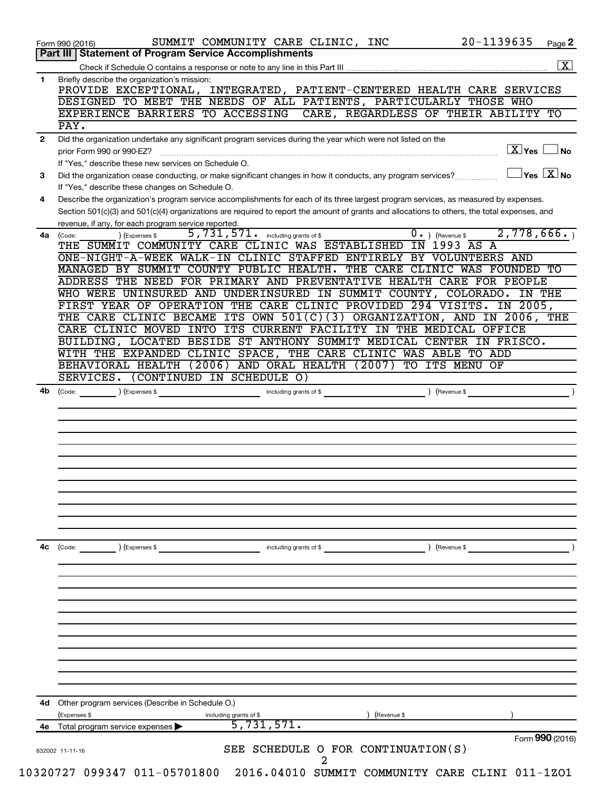|              | Part III   Statement of Program Service Accomplishments                                                                                                                                                     |
|--------------|-------------------------------------------------------------------------------------------------------------------------------------------------------------------------------------------------------------|
|              | $\overline{\mathbf{x}}$                                                                                                                                                                                     |
| $\mathbf{1}$ | Briefly describe the organization's mission:<br>PROVIDE EXCEPTIONAL, INTEGRATED, PATIENT-CENTERED HEALTH CARE SERVICES                                                                                      |
|              | DESIGNED TO MEET THE NEEDS OF ALL PATIENTS, PARTICULARLY THOSE WHO                                                                                                                                          |
|              | EXPERIENCE BARRIERS TO ACCESSING<br>CARE, REGARDLESS OF THEIR ABILITY TO                                                                                                                                    |
|              | PAY.                                                                                                                                                                                                        |
| $\mathbf{2}$ | Did the organization undertake any significant program services during the year which were not listed on the<br>$\boxed{\text{X}}$ Yes<br>  No<br>prior Form 990 or 990-EZ?                                 |
| 3            | If "Yes," describe these new services on Schedule O.<br>$\overline{Y}$ es $\overline{X}$ No<br>Did the organization cease conducting, or make significant changes in how it conducts, any program services? |
|              | If "Yes," describe these changes on Schedule O.                                                                                                                                                             |
| 4            | Describe the organization's program service accomplishments for each of its three largest program services, as measured by expenses.                                                                        |
|              | Section 501(c)(3) and 501(c)(4) organizations are required to report the amount of grants and allocations to others, the total expenses, and                                                                |
|              | revenue, if any, for each program service reported.<br>2,778,666.<br>5,731,571. including grants of \$                                                                                                      |
| 4a           | $\overline{0}$ . ) (Revenue \$<br>) (Expenses \$<br>(Code:<br>THE SUMMIT COMMUNITY CARE CLINIC WAS ESTABLISHED IN 1993 AS A                                                                                 |
|              | ONE-NIGHT-A-WEEK WALK-IN CLINIC STAFFED<br>ENTIRELY BY VOLUNTEERS AND                                                                                                                                       |
|              | MANAGED BY SUMMIT COUNTY PUBLIC HEALTH.<br>THE CARE CLINIC WAS FOUNDED TO                                                                                                                                   |
|              | ADDRESS THE NEED FOR PRIMARY AND PREVENTATIVE HEALTH CARE FOR PEOPLE                                                                                                                                        |
|              | WHO WERE UNINSURED AND UNDERINSURED IN SUMMIT COUNTY, COLORADO.<br>IN THE                                                                                                                                   |
|              | FIRST YEAR OF OPERATION THE CARE CLINIC PROVIDED 294 VISITS.<br>IN 2005,                                                                                                                                    |
|              | THE CARE CLINIC BECAME ITS OWN $501(C)(3)$ ORGANIZATION, AND IN 2006, THE                                                                                                                                   |
|              | CARE CLINIC MOVED INTO ITS CURRENT FACILITY IN THE MEDICAL OFFICE                                                                                                                                           |
|              | BUILDING, LOCATED BESIDE ST ANTHONY SUMMIT MEDICAL CENTER IN FRISCO.                                                                                                                                        |
|              | WITH THE EXPANDED CLINIC SPACE, THE CARE CLINIC WAS ABLE TO ADD                                                                                                                                             |
|              | BEHAVIORAL HEALTH (2006) AND ORAL HEALTH (2007)<br>TO ITS MENU OF                                                                                                                                           |
|              | SERVICES. (CONTINUED IN SCHEDULE O)                                                                                                                                                                         |
| 4b           | ) (Revenue \$<br>(Code: ) (Expenses \$<br>including grants of \$                                                                                                                                            |
|              |                                                                                                                                                                                                             |
|              |                                                                                                                                                                                                             |
|              |                                                                                                                                                                                                             |
|              |                                                                                                                                                                                                             |
|              |                                                                                                                                                                                                             |
|              |                                                                                                                                                                                                             |
|              |                                                                                                                                                                                                             |
|              |                                                                                                                                                                                                             |
|              |                                                                                                                                                                                                             |
|              |                                                                                                                                                                                                             |
|              |                                                                                                                                                                                                             |
|              |                                                                                                                                                                                                             |
| 4с           | ) (Revenue \$<br>(Code:<br>) (Expenses \$<br>including grants of \$                                                                                                                                         |
|              |                                                                                                                                                                                                             |
|              |                                                                                                                                                                                                             |
|              |                                                                                                                                                                                                             |
|              |                                                                                                                                                                                                             |
|              |                                                                                                                                                                                                             |
|              |                                                                                                                                                                                                             |
|              |                                                                                                                                                                                                             |
|              |                                                                                                                                                                                                             |
|              |                                                                                                                                                                                                             |
|              |                                                                                                                                                                                                             |
|              |                                                                                                                                                                                                             |
|              |                                                                                                                                                                                                             |
|              |                                                                                                                                                                                                             |
|              |                                                                                                                                                                                                             |
| 4d           | Other program services (Describe in Schedule O.)                                                                                                                                                            |
| 4е           | (Expenses \$<br>(Revenue \$<br>including grants of \$                                                                                                                                                       |
|              | 5,731,571.<br>Total program service expenses<br>Form 990 (2016)                                                                                                                                             |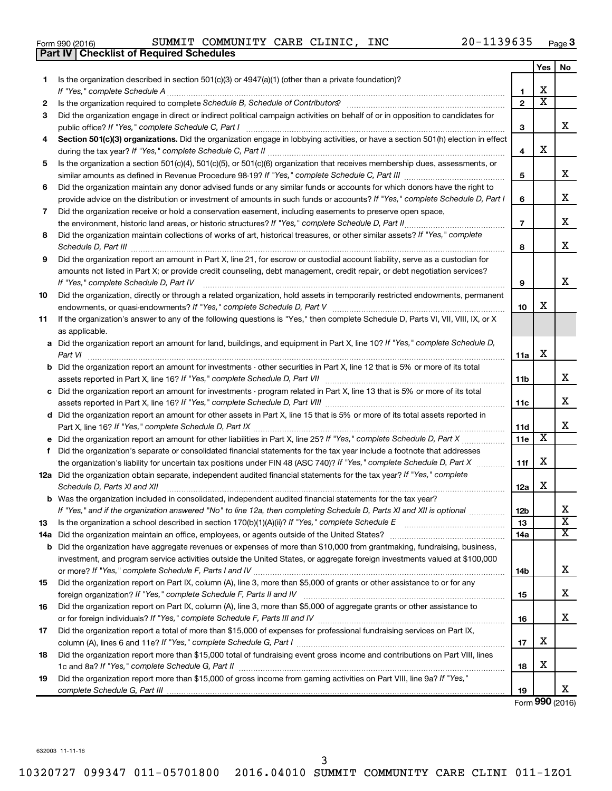|  | Form 990 (2016) |  |
|--|-----------------|--|
|  |                 |  |

Form 990 (2016) SUMMIT COMMUNITY CARE CLINIC, INC 20-1139635 <sub>Page</sub>

|     | <b>Part IV   Checklist of Required Schedules</b>                                                                                                                                                                                    |                 |                         |                         |
|-----|-------------------------------------------------------------------------------------------------------------------------------------------------------------------------------------------------------------------------------------|-----------------|-------------------------|-------------------------|
|     |                                                                                                                                                                                                                                     |                 | Yes                     | No                      |
| 1   | Is the organization described in section 501(c)(3) or 4947(a)(1) (other than a private foundation)?                                                                                                                                 |                 |                         |                         |
|     |                                                                                                                                                                                                                                     | 1               | X                       |                         |
| 2   | Is the organization required to complete Schedule B, Schedule of Contributors? [11] the organization required to complete Schedule B, Schedule of Contributors?                                                                     | $\mathbf{2}$    | $\overline{\mathbf{X}}$ |                         |
| З   | Did the organization engage in direct or indirect political campaign activities on behalf of or in opposition to candidates for                                                                                                     |                 |                         |                         |
|     |                                                                                                                                                                                                                                     | 3               |                         | x                       |
| 4   | Section 501(c)(3) organizations. Did the organization engage in lobbying activities, or have a section 501(h) election in effect                                                                                                    |                 |                         |                         |
|     |                                                                                                                                                                                                                                     | 4               | х                       |                         |
| 5   | Is the organization a section 501(c)(4), 501(c)(5), or 501(c)(6) organization that receives membership dues, assessments, or                                                                                                        |                 |                         |                         |
|     |                                                                                                                                                                                                                                     | 5               |                         | x                       |
| 6   | Did the organization maintain any donor advised funds or any similar funds or accounts for which donors have the right to                                                                                                           |                 |                         |                         |
|     | provide advice on the distribution or investment of amounts in such funds or accounts? If "Yes," complete Schedule D, Part I                                                                                                        | 6               |                         | х                       |
|     |                                                                                                                                                                                                                                     |                 |                         |                         |
| 7   | Did the organization receive or hold a conservation easement, including easements to preserve open space,                                                                                                                           |                 |                         | х                       |
|     |                                                                                                                                                                                                                                     | $\overline{7}$  |                         |                         |
| 8   | Did the organization maintain collections of works of art, historical treasures, or other similar assets? If "Yes," complete                                                                                                        |                 |                         | X                       |
|     | Schedule D, Part III <b>Marting Constructs</b> and the construction of the construction of the construction of the construction of the construction of the construction of the construction of the construction of the construction | 8               |                         |                         |
| 9   | Did the organization report an amount in Part X, line 21, for escrow or custodial account liability, serve as a custodian for                                                                                                       |                 |                         |                         |
|     | amounts not listed in Part X; or provide credit counseling, debt management, credit repair, or debt negotiation services?                                                                                                           |                 |                         |                         |
|     | If "Yes," complete Schedule D, Part IV                                                                                                                                                                                              | 9               |                         | x                       |
| 10  | Did the organization, directly or through a related organization, hold assets in temporarily restricted endowments, permanent                                                                                                       |                 |                         |                         |
|     |                                                                                                                                                                                                                                     | 10              | х                       |                         |
| 11  | If the organization's answer to any of the following questions is "Yes," then complete Schedule D, Parts VI, VII, VIII, IX, or X                                                                                                    |                 |                         |                         |
|     | as applicable.                                                                                                                                                                                                                      |                 |                         |                         |
|     | a Did the organization report an amount for land, buildings, and equipment in Part X, line 10? If "Yes," complete Schedule D,                                                                                                       |                 |                         |                         |
|     | Part VI                                                                                                                                                                                                                             | 11a             | х                       |                         |
|     | <b>b</b> Did the organization report an amount for investments - other securities in Part X, line 12 that is 5% or more of its total                                                                                                |                 |                         |                         |
|     | assets reported in Part X, line 16? If "Yes," complete Schedule D, Part VII [11] [11] [12] [12] [12] [12] [12] [                                                                                                                    | 11b             |                         | х                       |
|     | c Did the organization report an amount for investments - program related in Part X, line 13 that is 5% or more of its total                                                                                                        |                 |                         |                         |
|     |                                                                                                                                                                                                                                     | 11c             |                         | X                       |
|     | d Did the organization report an amount for other assets in Part X, line 15 that is 5% or more of its total assets reported in                                                                                                      |                 |                         |                         |
|     |                                                                                                                                                                                                                                     | 11d             |                         | х                       |
|     | e Did the organization report an amount for other liabilities in Part X, line 25? If "Yes," complete Schedule D, Part X                                                                                                             | 11e             | Х                       |                         |
|     | f Did the organization's separate or consolidated financial statements for the tax year include a footnote that addresses                                                                                                           |                 |                         |                         |
|     | the organization's liability for uncertain tax positions under FIN 48 (ASC 740)? If "Yes," complete Schedule D, Part X                                                                                                              | 11f             | х                       |                         |
|     | 12a Did the organization obtain separate, independent audited financial statements for the tax year? If "Yes," complete                                                                                                             |                 |                         |                         |
|     | Schedule D, Parts XI and XII                                                                                                                                                                                                        | 12a             | х                       |                         |
|     | <b>b</b> Was the organization included in consolidated, independent audited financial statements for the tax year?                                                                                                                  |                 |                         |                         |
|     | If "Yes," and if the organization answered "No" to line 12a, then completing Schedule D, Parts XI and XII is optional <i>manum</i>                                                                                                  | 12 <sub>b</sub> |                         | х                       |
| 13  |                                                                                                                                                                                                                                     | 13              |                         | $\overline{\textbf{x}}$ |
| 14a |                                                                                                                                                                                                                                     | 14a             |                         | $\overline{\text{x}}$   |
|     | <b>b</b> Did the organization have aggregate revenues or expenses of more than \$10,000 from grantmaking, fundraising, business,                                                                                                    |                 |                         |                         |
|     | investment, and program service activities outside the United States, or aggregate foreign investments valued at \$100,000                                                                                                          |                 |                         |                         |
|     |                                                                                                                                                                                                                                     | 14b             |                         | х                       |
| 15  | Did the organization report on Part IX, column (A), line 3, more than \$5,000 of grants or other assistance to or for any                                                                                                           |                 |                         |                         |
|     |                                                                                                                                                                                                                                     | 15              |                         | х                       |
| 16  | Did the organization report on Part IX, column (A), line 3, more than \$5,000 of aggregate grants or other assistance to                                                                                                            |                 |                         |                         |
|     |                                                                                                                                                                                                                                     | 16              |                         | х                       |
| 17  | Did the organization report a total of more than \$15,000 of expenses for professional fundraising services on Part IX,                                                                                                             |                 |                         |                         |
|     |                                                                                                                                                                                                                                     | 17              | х                       |                         |
| 18  | Did the organization report more than \$15,000 total of fundraising event gross income and contributions on Part VIII, lines                                                                                                        |                 |                         |                         |
|     |                                                                                                                                                                                                                                     | 18              | х                       |                         |
| 19  | Did the organization report more than \$15,000 of gross income from gaming activities on Part VIII, line 9a? If "Yes,"                                                                                                              |                 |                         |                         |
|     |                                                                                                                                                                                                                                     | 19              |                         | х                       |
|     |                                                                                                                                                                                                                                     |                 |                         |                         |

Form (2016) **990**

632003 11-11-16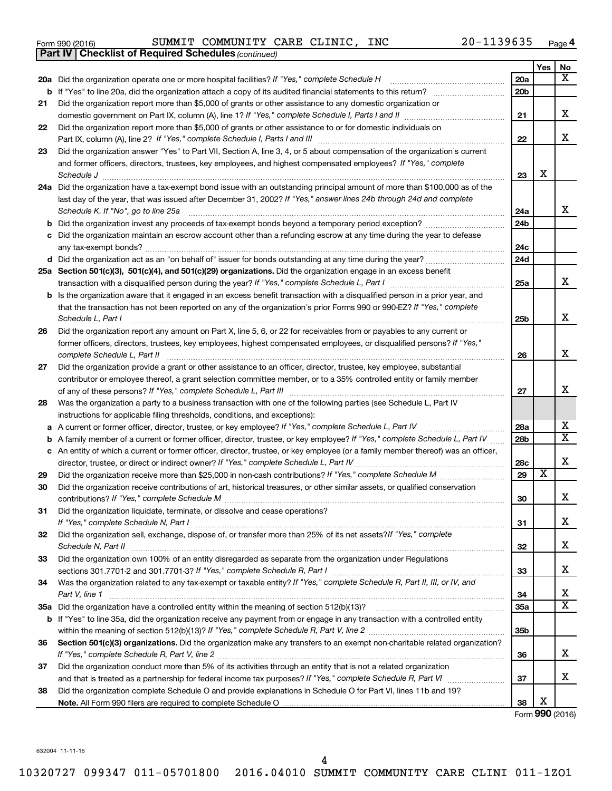|  | Form 990 (2016) |  |
|--|-----------------|--|
|  |                 |  |

*(continued)* **Part IV Checklist of Required Schedules**

Form 990 (2016) SUMMIT COMMUNITY CARE CLINIC, INC 20-1139635 <sub>Page</sub>

|     |                                                                                                                                                                                                                                                                   |                        | Yes                     | No                      |
|-----|-------------------------------------------------------------------------------------------------------------------------------------------------------------------------------------------------------------------------------------------------------------------|------------------------|-------------------------|-------------------------|
|     | 20a Did the organization operate one or more hospital facilities? If "Yes," complete Schedule H                                                                                                                                                                   | 20a                    |                         | X                       |
|     |                                                                                                                                                                                                                                                                   | 20 <sub>b</sub>        |                         |                         |
| 21  | Did the organization report more than \$5,000 of grants or other assistance to any domestic organization or                                                                                                                                                       |                        |                         |                         |
|     |                                                                                                                                                                                                                                                                   | 21                     |                         | х                       |
| 22  | Did the organization report more than \$5,000 of grants or other assistance to or for domestic individuals on                                                                                                                                                     |                        |                         |                         |
|     |                                                                                                                                                                                                                                                                   | 22                     |                         | x                       |
| 23  | Did the organization answer "Yes" to Part VII, Section A, line 3, 4, or 5 about compensation of the organization's current                                                                                                                                        |                        |                         |                         |
|     | and former officers, directors, trustees, key employees, and highest compensated employees? If "Yes," complete                                                                                                                                                    |                        |                         |                         |
|     | Schedule J <b>Execute Schedule J Execute Schedule J Execute Schedule J Execute Schedule J</b>                                                                                                                                                                     | 23                     | х                       |                         |
|     | 24a Did the organization have a tax-exempt bond issue with an outstanding principal amount of more than \$100,000 as of the                                                                                                                                       |                        |                         |                         |
|     | last day of the year, that was issued after December 31, 2002? If "Yes," answer lines 24b through 24d and complete                                                                                                                                                |                        |                         |                         |
|     | Schedule K. If "No", go to line 25a                                                                                                                                                                                                                               | 24a                    |                         | x                       |
|     |                                                                                                                                                                                                                                                                   | 24b                    |                         |                         |
|     | c Did the organization maintain an escrow account other than a refunding escrow at any time during the year to defease                                                                                                                                            | 24c                    |                         |                         |
|     |                                                                                                                                                                                                                                                                   | 24d                    |                         |                         |
|     | 25a Section 501(c)(3), 501(c)(4), and 501(c)(29) organizations. Did the organization engage in an excess benefit                                                                                                                                                  |                        |                         |                         |
|     |                                                                                                                                                                                                                                                                   | 25a                    |                         | x                       |
|     | <b>b</b> Is the organization aware that it engaged in an excess benefit transaction with a disqualified person in a prior year, and                                                                                                                               |                        |                         |                         |
|     | that the transaction has not been reported on any of the organization's prior Forms 990 or 990-EZ? If "Yes," complete                                                                                                                                             |                        |                         |                         |
|     | Schedule L, Part I                                                                                                                                                                                                                                                | 25b                    |                         | x                       |
| 26  | Did the organization report any amount on Part X, line 5, 6, or 22 for receivables from or payables to any current or                                                                                                                                             |                        |                         |                         |
|     | former officers, directors, trustees, key employees, highest compensated employees, or disqualified persons? If "Yes,"                                                                                                                                            |                        |                         |                         |
|     |                                                                                                                                                                                                                                                                   | 26                     |                         | x                       |
| 27  | Did the organization provide a grant or other assistance to an officer, director, trustee, key employee, substantial                                                                                                                                              |                        |                         |                         |
|     | contributor or employee thereof, a grant selection committee member, or to a 35% controlled entity or family member                                                                                                                                               |                        |                         |                         |
|     |                                                                                                                                                                                                                                                                   | 27                     |                         | x                       |
| 28  | Was the organization a party to a business transaction with one of the following parties (see Schedule L, Part IV                                                                                                                                                 |                        |                         |                         |
|     | instructions for applicable filing thresholds, conditions, and exceptions):                                                                                                                                                                                       |                        |                         | x                       |
|     | a A current or former officer, director, trustee, or key employee? If "Yes," complete Schedule L, Part IV                                                                                                                                                         | 28a<br>28 <sub>b</sub> |                         | $\overline{\mathtt{x}}$ |
|     | b A family member of a current or former officer, director, trustee, or key employee? If "Yes," complete Schedule L, Part IV<br>c An entity of which a current or former officer, director, trustee, or key employee (or a family member thereof) was an officer, |                        |                         |                         |
|     |                                                                                                                                                                                                                                                                   | 28c                    |                         | X                       |
| 29  |                                                                                                                                                                                                                                                                   | 29                     | $\overline{\textbf{x}}$ |                         |
| 30  | Did the organization receive contributions of art, historical treasures, or other similar assets, or qualified conservation                                                                                                                                       |                        |                         |                         |
|     |                                                                                                                                                                                                                                                                   | 30                     |                         | x                       |
| 31. | Did the organization liquidate, terminate, or dissolve and cease operations?                                                                                                                                                                                      |                        |                         |                         |
|     |                                                                                                                                                                                                                                                                   | 31                     |                         | х                       |
| 32  | Did the organization sell, exchange, dispose of, or transfer more than 25% of its net assets? If "Yes," complete                                                                                                                                                  |                        |                         |                         |
|     | Schedule N, Part II                                                                                                                                                                                                                                               | 32                     |                         | х                       |
| 33  | Did the organization own 100% of an entity disregarded as separate from the organization under Regulations                                                                                                                                                        |                        |                         |                         |
|     |                                                                                                                                                                                                                                                                   | 33                     |                         | х                       |
| 34  | Was the organization related to any tax-exempt or taxable entity? If "Yes," complete Schedule R, Part II, III, or IV, and                                                                                                                                         |                        |                         | х                       |
|     | Part V, line 1                                                                                                                                                                                                                                                    | 34                     |                         | $\overline{\texttt{x}}$ |
|     |                                                                                                                                                                                                                                                                   | 35a                    |                         |                         |
|     | b If "Yes" to line 35a, did the organization receive any payment from or engage in any transaction with a controlled entity                                                                                                                                       | 35 <sub>b</sub>        |                         |                         |
| 36  | Section 501(c)(3) organizations. Did the organization make any transfers to an exempt non-charitable related organization?                                                                                                                                        |                        |                         |                         |
|     |                                                                                                                                                                                                                                                                   | 36                     |                         | x                       |
| 37  | Did the organization conduct more than 5% of its activities through an entity that is not a related organization                                                                                                                                                  |                        |                         |                         |
|     |                                                                                                                                                                                                                                                                   | 37                     |                         | x                       |
| 38  | Did the organization complete Schedule O and provide explanations in Schedule O for Part VI, lines 11b and 19?                                                                                                                                                    |                        |                         |                         |
|     |                                                                                                                                                                                                                                                                   | 38                     | X                       |                         |

Form (2016) **990**

632004 11-11-16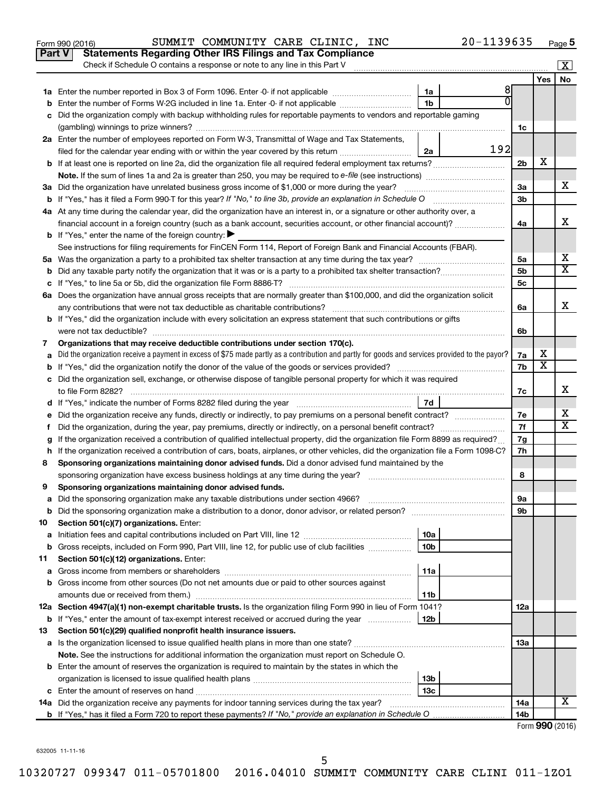|               | SUMMIT COMMUNITY CARE CLINIC, INC<br>20-1139635<br>Form 990 (2016)                                                                              |                 |                       | Page 5                  |
|---------------|-------------------------------------------------------------------------------------------------------------------------------------------------|-----------------|-----------------------|-------------------------|
| <b>Part V</b> | <b>Statements Regarding Other IRS Filings and Tax Compliance</b>                                                                                |                 |                       |                         |
|               | Check if Schedule O contains a response or note to any line in this Part V                                                                      |                 |                       | $\overline{\mathbf{x}}$ |
|               |                                                                                                                                                 |                 | Yes                   | No                      |
|               | 8<br>1a                                                                                                                                         |                 |                       |                         |
| b             | $\overline{0}$<br>Enter the number of Forms W-2G included in line 1a. Enter -0- if not applicable<br>1 <sub>b</sub>                             |                 |                       |                         |
|               | c Did the organization comply with backup withholding rules for reportable payments to vendors and reportable gaming                            |                 |                       |                         |
|               |                                                                                                                                                 | 1c              |                       |                         |
|               | 2a Enter the number of employees reported on Form W-3, Transmittal of Wage and Tax Statements,                                                  |                 |                       |                         |
|               | 192<br>filed for the calendar year ending with or within the year covered by this return<br>2a                                                  |                 |                       |                         |
|               |                                                                                                                                                 | 2 <sub>b</sub>  | х                     |                         |
|               |                                                                                                                                                 |                 |                       |                         |
|               | 3a Did the organization have unrelated business gross income of \$1,000 or more during the year?                                                | 3a              |                       | х                       |
|               |                                                                                                                                                 | 3 <sub>b</sub>  |                       |                         |
|               | 4a At any time during the calendar year, did the organization have an interest in, or a signature or other authority over, a                    |                 |                       |                         |
|               | financial account in a foreign country (such as a bank account, securities account, or other financial account)?                                | 4a              |                       | x                       |
|               | <b>b</b> If "Yes," enter the name of the foreign country: $\blacktriangleright$                                                                 |                 |                       |                         |
|               | See instructions for filing requirements for FinCEN Form 114, Report of Foreign Bank and Financial Accounts (FBAR).                             |                 |                       |                         |
|               |                                                                                                                                                 | 5a              |                       | x                       |
| b             |                                                                                                                                                 | 5b              |                       | $\overline{\texttt{x}}$ |
|               |                                                                                                                                                 | 5с              |                       |                         |
|               | 6a Does the organization have annual gross receipts that are normally greater than \$100,000, and did the organization solicit                  |                 |                       |                         |
|               |                                                                                                                                                 | 6a              |                       | x                       |
|               | <b>b</b> If "Yes," did the organization include with every solicitation an express statement that such contributions or gifts                   |                 |                       |                         |
|               |                                                                                                                                                 | 6b              |                       |                         |
| 7             | Organizations that may receive deductible contributions under section 170(c).                                                                   |                 |                       |                         |
| a             | Did the organization receive a payment in excess of \$75 made partly as a contribution and partly for goods and services provided to the payor? | 7a<br>7b        | x<br>х                |                         |
|               |                                                                                                                                                 |                 |                       |                         |
|               | c Did the organization sell, exchange, or otherwise dispose of tangible personal property for which it was required                             |                 |                       |                         |
|               |                                                                                                                                                 | 7c              |                       | х                       |
|               | 7d<br>d If "Yes," indicate the number of Forms 8282 filed during the year [11] [11] No. 2014 [12] [12] Hall St. [12]                            |                 |                       |                         |
|               | e Did the organization receive any funds, directly or indirectly, to pay premiums on a personal benefit contract?                               | 7e              |                       | х                       |
| f             | Did the organization, during the year, pay premiums, directly or indirectly, on a personal benefit contract?                                    | 7f              |                       | $\overline{\text{X}}$   |
| g             | If the organization received a contribution of qualified intellectual property, did the organization file Form 8899 as required?                | 7g              |                       |                         |
|               | h If the organization received a contribution of cars, boats, airplanes, or other vehicles, did the organization file a Form 1098-C?            | 7h              |                       |                         |
| 8             | Sponsoring organizations maintaining donor advised funds. Did a donor advised fund maintained by the                                            |                 |                       |                         |
|               | sponsoring organization have excess business holdings at any time during the year?                                                              | 8               |                       |                         |
|               | Sponsoring organizations maintaining donor advised funds.                                                                                       |                 |                       |                         |
| a             | Did the sponsoring organization make any taxable distributions under section 4966?                                                              | 9а              |                       |                         |
| b             |                                                                                                                                                 | 9b              |                       |                         |
| 10            | Section 501(c)(7) organizations. Enter:                                                                                                         |                 |                       |                         |
| a             | Initiation fees and capital contributions included on Part VIII, line 12<br>10a                                                                 |                 |                       |                         |
| b             | Gross receipts, included on Form 990, Part VIII, line 12, for public use of club facilities<br>10 <sub>b</sub>                                  |                 |                       |                         |
| 11            | Section 501(c)(12) organizations. Enter:                                                                                                        |                 |                       |                         |
| a             | 11a                                                                                                                                             |                 |                       |                         |
|               | b Gross income from other sources (Do not net amounts due or paid to other sources against                                                      |                 |                       |                         |
|               | 11b                                                                                                                                             |                 |                       |                         |
|               | 12a Section 4947(a)(1) non-exempt charitable trusts. Is the organization filing Form 990 in lieu of Form 1041?                                  | 12a             |                       |                         |
|               |                                                                                                                                                 |                 |                       |                         |
| 13            | Section 501(c)(29) qualified nonprofit health insurance issuers.                                                                                |                 |                       |                         |
|               | a Is the organization licensed to issue qualified health plans in more than one state?                                                          | 13a             |                       |                         |
|               | Note. See the instructions for additional information the organization must report on Schedule O.                                               |                 |                       |                         |
|               | <b>b</b> Enter the amount of reserves the organization is required to maintain by the states in which the                                       |                 |                       |                         |
|               | 13 <sub>b</sub>                                                                                                                                 |                 |                       |                         |
|               | 13c                                                                                                                                             |                 |                       | х                       |
|               | 14a Did the organization receive any payments for indoor tanning services during the tax year?                                                  | 14a             |                       |                         |
|               |                                                                                                                                                 | 14 <sub>b</sub> | Enrm $QQ \cap (2016)$ |                         |

SUMMIT COMMUNITY CARE CLINIC, INC  $20-1139635$ 

Form (2016) **990**

632005 11-11-16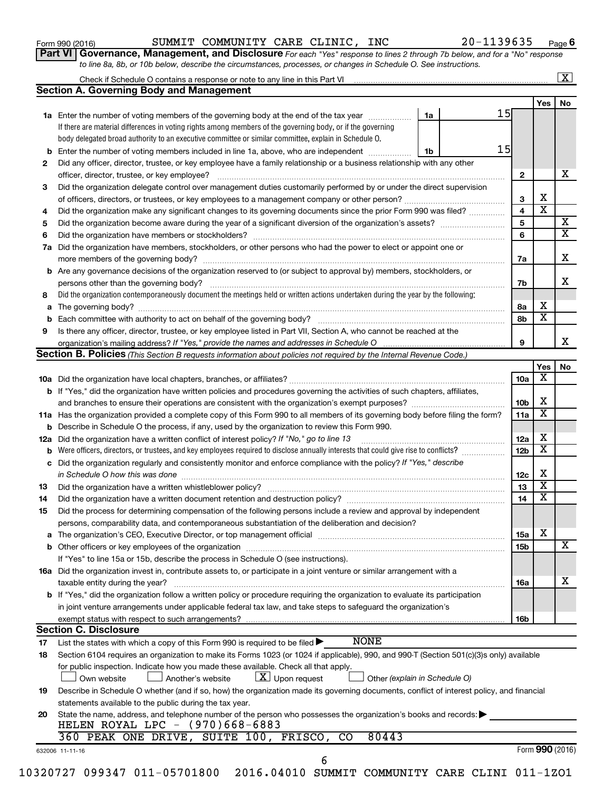|  | Form 990 (2016) |
|--|-----------------|
|--|-----------------|

#### Form 990 (2016) SUMMIT COMMUNITY CARE CLINIC, INC 20-1139635 <sub>Page</sub>

**Part VI** Governance, Management, and Disclosure For each "Yes" response to lines 2 through 7b below, and for a "No" response *to line 8a, 8b, or 10b below, describe the circumstances, processes, or changes in Schedule O. See instructions.*

|     |                                                                                                                                                                                                                                |    |    |                 |                              | $\overline{\mathbf{X}}$ |
|-----|--------------------------------------------------------------------------------------------------------------------------------------------------------------------------------------------------------------------------------|----|----|-----------------|------------------------------|-------------------------|
|     | <b>Section A. Governing Body and Management</b>                                                                                                                                                                                |    |    |                 |                              |                         |
|     |                                                                                                                                                                                                                                |    |    |                 | Yes                          | No                      |
|     | <b>1a</b> Enter the number of voting members of the governing body at the end of the tax year                                                                                                                                  | 1a | 15 |                 |                              |                         |
|     | If there are material differences in voting rights among members of the governing body, or if the governing                                                                                                                    |    |    |                 |                              |                         |
|     | body delegated broad authority to an executive committee or similar committee, explain in Schedule O.                                                                                                                          |    |    |                 |                              |                         |
| b   | Enter the number of voting members included in line 1a, above, who are independent                                                                                                                                             | 1b | 15 |                 |                              |                         |
| 2   | Did any officer, director, trustee, or key employee have a family relationship or a business relationship with any other                                                                                                       |    |    |                 |                              |                         |
|     | officer, director, trustee, or key employee?                                                                                                                                                                                   |    |    | $\mathbf{2}$    |                              | x                       |
| 3   | Did the organization delegate control over management duties customarily performed by or under the direct supervision                                                                                                          |    |    |                 |                              |                         |
|     |                                                                                                                                                                                                                                |    |    |                 | х<br>$\overline{\textbf{x}}$ |                         |
| 4   | Did the organization make any significant changes to its governing documents since the prior Form 990 was filed?                                                                                                               |    |    |                 |                              |                         |
| 5   |                                                                                                                                                                                                                                |    |    | 5               |                              | X                       |
| 6   |                                                                                                                                                                                                                                |    |    | 6               |                              | $\overline{\textbf{X}}$ |
| 7a  | Did the organization have members, stockholders, or other persons who had the power to elect or appoint one or                                                                                                                 |    |    |                 |                              |                         |
|     |                                                                                                                                                                                                                                |    |    | 7a              |                              | х                       |
|     | <b>b</b> Are any governance decisions of the organization reserved to (or subject to approval by) members, stockholders, or                                                                                                    |    |    |                 |                              |                         |
|     | persons other than the governing body?                                                                                                                                                                                         |    |    | 7b              |                              | x                       |
| 8   | Did the organization contemporaneously document the meetings held or written actions undertaken during the year by the following:                                                                                              |    |    |                 |                              |                         |
| a   |                                                                                                                                                                                                                                |    |    | 8а              | х                            |                         |
| b   |                                                                                                                                                                                                                                |    |    | 8b              | x                            |                         |
| 9   | Is there any officer, director, trustee, or key employee listed in Part VII, Section A, who cannot be reached at the                                                                                                           |    |    |                 |                              |                         |
|     |                                                                                                                                                                                                                                |    |    | 9               |                              | x.                      |
|     | <b>Section B. Policies</b> (This Section B requests information about policies not required by the Internal Revenue Code.)                                                                                                     |    |    |                 |                              |                         |
|     |                                                                                                                                                                                                                                |    |    |                 | Yes                          | No                      |
|     |                                                                                                                                                                                                                                |    |    | 10a             | х                            |                         |
|     | <b>b</b> If "Yes," did the organization have written policies and procedures governing the activities of such chapters, affiliates,                                                                                            |    |    |                 |                              |                         |
|     |                                                                                                                                                                                                                                |    |    | 10 <sub>b</sub> | х                            |                         |
|     | 11a Has the organization provided a complete copy of this Form 990 to all members of its governing body before filing the form?                                                                                                |    |    | 11a             | X                            |                         |
| b   | Describe in Schedule O the process, if any, used by the organization to review this Form 990.                                                                                                                                  |    |    |                 |                              |                         |
| 12a | Did the organization have a written conflict of interest policy? If "No," go to line 13                                                                                                                                        |    |    | 12a             | х                            |                         |
| b   | Were officers, directors, or trustees, and key employees required to disclose annually interests that could give rise to conflicts?                                                                                            |    |    |                 | $\overline{\textbf{x}}$      |                         |
| с   | 12 <sub>b</sub><br>Did the organization regularly and consistently monitor and enforce compliance with the policy? If "Yes," describe                                                                                          |    |    |                 |                              |                         |
|     | in Schedule O how this was done                                                                                                                                                                                                |    |    | 12c             | х                            |                         |
| 13  | Did the organization have a written whistleblower policy?                                                                                                                                                                      |    |    | 13              | x                            |                         |
| 14  |                                                                                                                                                                                                                                |    |    | 14              | x                            |                         |
| 15  | Did the process for determining compensation of the following persons include a review and approval by independent                                                                                                             |    |    |                 |                              |                         |
|     | persons, comparability data, and contemporaneous substantiation of the deliberation and decision?                                                                                                                              |    |    |                 |                              |                         |
| а   | The organization's CEO, Executive Director, or top management official manufactured content of the organization's CEO, Executive Director, or top management official manufactured content of the state of the state of the st |    |    | 15a             | х                            |                         |
| b   |                                                                                                                                                                                                                                |    |    | 15b             |                              | X                       |
|     | If "Yes" to line 15a or 15b, describe the process in Schedule O (see instructions).                                                                                                                                            |    |    |                 |                              |                         |
|     | 16a Did the organization invest in, contribute assets to, or participate in a joint venture or similar arrangement with a                                                                                                      |    |    |                 |                              |                         |
|     | taxable entity during the year?                                                                                                                                                                                                |    |    | 16a             |                              | х                       |
|     | b If "Yes," did the organization follow a written policy or procedure requiring the organization to evaluate its participation                                                                                                 |    |    |                 |                              |                         |
|     | in joint venture arrangements under applicable federal tax law, and take steps to safequard the organization's                                                                                                                 |    |    |                 |                              |                         |
|     | exempt status with respect to such arrangements?                                                                                                                                                                               |    |    | 16b             |                              |                         |
|     | <b>Section C. Disclosure</b>                                                                                                                                                                                                   |    |    |                 |                              |                         |
| 17  | <b>NONE</b><br>List the states with which a copy of this Form 990 is required to be filed $\blacktriangleright$                                                                                                                |    |    |                 |                              |                         |
| 18  | Section 6104 requires an organization to make its Forms 1023 (or 1024 if applicable), 990, and 990-T (Section 501(c)(3)s only) available                                                                                       |    |    |                 |                              |                         |
|     | for public inspection. Indicate how you made these available. Check all that apply.                                                                                                                                            |    |    |                 |                              |                         |
|     | $\lfloor \underline{X} \rfloor$ Upon request<br>Own website<br>Another's website<br>Other (explain in Schedule O)                                                                                                              |    |    |                 |                              |                         |
| 19  | Describe in Schedule O whether (and if so, how) the organization made its governing documents, conflict of interest policy, and financial                                                                                      |    |    |                 |                              |                         |
|     | statements available to the public during the tax year.                                                                                                                                                                        |    |    |                 |                              |                         |
| 20  | State the name, address, and telephone number of the person who possesses the organization's books and records:                                                                                                                |    |    |                 |                              |                         |
|     | HELEN ROYAL LPC - $(970)668-6883$                                                                                                                                                                                              |    |    |                 |                              |                         |
|     | 360 PEAK ONE DRIVE, SUITE 100, FRISCO,<br>80443<br>CO                                                                                                                                                                          |    |    |                 |                              |                         |
|     | 632006 11-11-16                                                                                                                                                                                                                |    |    |                 |                              | Form 990 (2016)         |
|     | 6                                                                                                                                                                                                                              |    |    |                 |                              |                         |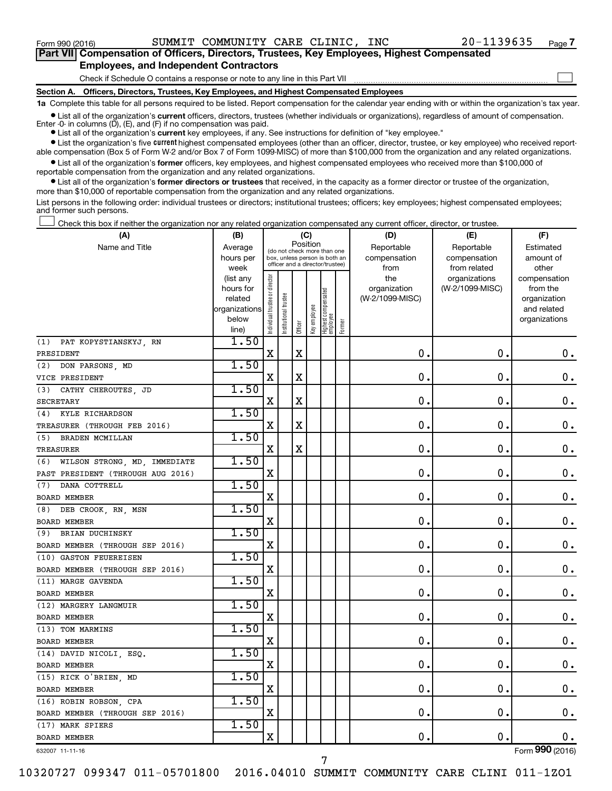Form 990 (2016) SUMMIT COMMUNITY CARE CLINIC, INC 20-1139635 <sub>Page</sub>

 $\Box$ 

| Part VII Compensation of Officers, Directors, Trustees, Key Employees, Highest Compensated |  |
|--------------------------------------------------------------------------------------------|--|
| <b>Employees, and Independent Contractors</b>                                              |  |

Check if Schedule O contains a response or note to any line in this Part VII

**Section A. Officers, Directors, Trustees, Key Employees, and Highest Compensated Employees**

**1a**  Complete this table for all persons required to be listed. Report compensation for the calendar year ending with or within the organization's tax year.

**•** List all of the organization's current officers, directors, trustees (whether individuals or organizations), regardless of amount of compensation. Enter -0- in columns  $(D)$ ,  $(E)$ , and  $(F)$  if no compensation was paid.

**•** List all of the organization's **current** key employees, if any. See instructions for definition of "key employee."

**•** List the organization's five current highest compensated employees (other than an officer, director, trustee, or key employee) who received report-

**•** List all of the organization's former officers, key employees, and highest compensated employees who received more than \$100,000 of able compensation (Box 5 of Form W-2 and/or Box 7 of Form 1099-MISC) of more than \$100,000 from the organization and any related organizations. reportable compensation from the organization and any related organizations.

**•** List all of the organization's former directors or trustees that received, in the capacity as a former director or trustee of the organization, more than \$10,000 of reportable compensation from the organization and any related organizations.

List persons in the following order: individual trustees or directors; institutional trustees; officers; key employees; highest compensated employees; and former such persons.

Check this box if neither the organization nor any related organization compensated any current officer, director, or trustee.  $\Box$ 

| (A)                               | (B)                    | (C)                                     |                                                                  |             |              |                                   |        | (D)                             | (E)                              | (F)                      |
|-----------------------------------|------------------------|-----------------------------------------|------------------------------------------------------------------|-------------|--------------|-----------------------------------|--------|---------------------------------|----------------------------------|--------------------------|
| Name and Title                    | Average                | Position<br>(do not check more than one |                                                                  |             |              |                                   |        | Reportable                      | Reportable                       | Estimated                |
|                                   | hours per              |                                         | box, unless person is both an<br>officer and a director/trustee) |             |              |                                   |        | compensation                    | compensation                     | amount of                |
|                                   | week                   |                                         |                                                                  |             |              |                                   |        | from                            | from related                     | other                    |
|                                   | (list any<br>hours for |                                         |                                                                  |             |              |                                   |        | the                             | organizations<br>(W-2/1099-MISC) | compensation<br>from the |
|                                   | related                |                                         |                                                                  |             |              |                                   |        | organization<br>(W-2/1099-MISC) |                                  | organization             |
|                                   | organizations          |                                         |                                                                  |             |              |                                   |        |                                 |                                  | and related              |
|                                   | below                  |                                         |                                                                  |             |              |                                   |        |                                 |                                  | organizations            |
|                                   | line)                  | Individual trustee or director          | Institutional trustee                                            | Officer     | Key employee | Highest compensated<br>  employee | Former |                                 |                                  |                          |
| PAT KOPYSTIANSKYJ, RN<br>(1)      | 1.50                   |                                         |                                                                  |             |              |                                   |        |                                 |                                  |                          |
| PRESIDENT                         |                        | X                                       |                                                                  | $\mathbf X$ |              |                                   |        | $\mathbf 0$ .                   | $\mathbf 0$ .                    | 0.                       |
| (2)<br>DON PARSONS, MD            | 1.50                   |                                         |                                                                  |             |              |                                   |        |                                 |                                  |                          |
| VICE PRESIDENT                    |                        | X                                       |                                                                  | X           |              |                                   |        | 0                               | 0.                               | $\mathbf 0$ .            |
| CATHY CHEROUTES, JD<br>(3)        | 1.50                   |                                         |                                                                  |             |              |                                   |        |                                 |                                  |                          |
| <b>SECRETARY</b>                  |                        | X                                       |                                                                  | $\mathbf X$ |              |                                   |        | $\mathbf 0$                     | 0.                               | $\mathbf 0$ .            |
| KYLE RICHARDSON<br>(4)            | 1.50                   |                                         |                                                                  |             |              |                                   |        |                                 |                                  |                          |
| TREASURER (THROUGH FEB 2016)      |                        | X                                       |                                                                  | X           |              |                                   |        | 0.                              | $\mathbf 0$                      | $\mathbf 0$ .            |
| (5) BRADEN MCMILLAN               | 1.50                   |                                         |                                                                  |             |              |                                   |        |                                 |                                  |                          |
| TREASURER                         |                        | X                                       |                                                                  | $\mathbf X$ |              |                                   |        | $\mathbf 0$                     | 0.                               | $\mathbf 0$ .            |
| (6) WILSON STRONG, MD, IMMEDIATE  | 1.50                   |                                         |                                                                  |             |              |                                   |        |                                 |                                  |                          |
| PAST PRESIDENT (THROUGH AUG 2016) |                        | Χ                                       |                                                                  |             |              |                                   |        | 0                               | 0                                | 0.                       |
| (7)<br>DANA COTTRELL              | 1.50                   |                                         |                                                                  |             |              |                                   |        |                                 |                                  |                          |
| BOARD MEMBER                      |                        | X                                       |                                                                  |             |              |                                   |        | 0                               | 0.                               | $\mathbf 0$ .            |
| (8) DEB CROOK, RN, MSN            | 1.50                   |                                         |                                                                  |             |              |                                   |        |                                 |                                  |                          |
| BOARD MEMBER                      |                        | X                                       |                                                                  |             |              |                                   |        | 0                               | 0                                | $\mathbf 0$ .            |
| (9) BRIAN DUCHINSKY               | 1.50                   |                                         |                                                                  |             |              |                                   |        |                                 |                                  |                          |
| BOARD MEMBER (THROUGH SEP 2016)   |                        | X                                       |                                                                  |             |              |                                   |        | 0                               | $\mathbf 0$                      | $\mathbf 0$ .            |
| (10) GASTON FEUEREISEN            | 1.50                   |                                         |                                                                  |             |              |                                   |        |                                 |                                  |                          |
| BOARD MEMBER (THROUGH SEP 2016)   |                        | X                                       |                                                                  |             |              |                                   |        | 0                               | 0                                | 0.                       |
| (11) MARGE GAVENDA                | 1.50                   |                                         |                                                                  |             |              |                                   |        |                                 |                                  |                          |
| <b>BOARD MEMBER</b>               |                        | $\mathbf X$                             |                                                                  |             |              |                                   |        | 0                               | 0.                               | $\mathbf 0$ .            |
| (12) MARGERY LANGMUIR             | 1.50                   |                                         |                                                                  |             |              |                                   |        |                                 |                                  |                          |
| BOARD MEMBER                      |                        | X                                       |                                                                  |             |              |                                   |        | 0.                              | 0.                               | $\mathbf 0$ .            |
| (13) TOM MARMINS                  | 1.50                   |                                         |                                                                  |             |              |                                   |        |                                 |                                  |                          |
| BOARD MEMBER                      |                        | $\mathbf X$                             |                                                                  |             |              |                                   |        | $\mathbf 0$                     | 0.                               | $\mathbf 0$ .            |
| (14) DAVID NICOLI, ESQ.           | 1.50                   |                                         |                                                                  |             |              |                                   |        |                                 |                                  |                          |
| BOARD MEMBER                      |                        | X                                       |                                                                  |             |              |                                   |        | 0                               | $\mathbf 0$ .                    | 0.                       |
| (15) RICK O'BRIEN, MD             | 1.50                   |                                         |                                                                  |             |              |                                   |        |                                 |                                  |                          |
| BOARD MEMBER                      |                        | $\mathbf X$                             |                                                                  |             |              |                                   |        | $\mathbf 0$                     | $\mathbf 0$ .                    | $\mathbf 0$ .            |
| (16) ROBIN ROBSON, CPA            | 1.50                   |                                         |                                                                  |             |              |                                   |        |                                 |                                  |                          |
| BOARD MEMBER (THROUGH SEP 2016)   |                        | X                                       |                                                                  |             |              |                                   |        | 0                               | $\mathbf 0$ .                    | 0.                       |
| (17) MARK SPIERS                  | 1.50                   |                                         |                                                                  |             |              |                                   |        |                                 |                                  |                          |
| <b>BOARD MEMBER</b>               |                        | X                                       |                                                                  |             |              |                                   |        | $\mathbf 0$ .                   | $\mathbf 0$ .                    | 0.                       |

632007 11-11-16

10320727 099347 011-05701800 2016.04010 SUMMIT COMMUNITY CARE CLINI 011-1ZO1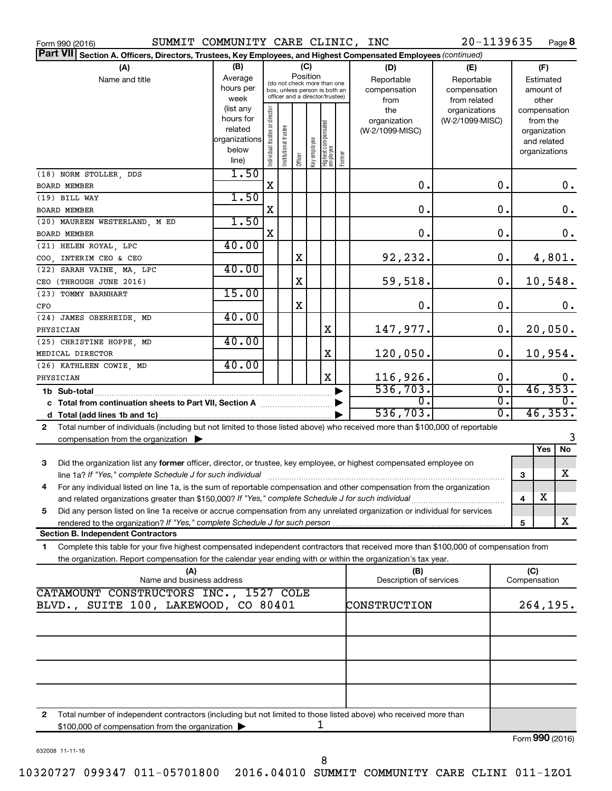| SUMMIT COMMUNITY CARE CLINIC, INC<br>Form 990 (2016)                                                                                                                                                                                                         |                                                                      |                                |                       |                                                                                                                    |              |                                  |        |                                           | 20-1139635                                        |                                        | Page 8                                                                   |
|--------------------------------------------------------------------------------------------------------------------------------------------------------------------------------------------------------------------------------------------------------------|----------------------------------------------------------------------|--------------------------------|-----------------------|--------------------------------------------------------------------------------------------------------------------|--------------|----------------------------------|--------|-------------------------------------------|---------------------------------------------------|----------------------------------------|--------------------------------------------------------------------------|
| Part VII Section A. Officers, Directors, Trustees, Key Employees, and Highest Compensated Employees (continued)                                                                                                                                              |                                                                      |                                |                       |                                                                                                                    |              |                                  |        |                                           |                                                   |                                        |                                                                          |
| (A)<br>Name and title                                                                                                                                                                                                                                        | (B)<br>Average<br>hours per<br>week                                  |                                |                       | (C)<br>Position<br>(do not check more than one<br>box, unless person is both an<br>officer and a director/trustee) |              |                                  |        | (D)<br>Reportable<br>compensation<br>from | (E)<br>Reportable<br>compensation<br>from related | (F)<br>Estimated<br>amount of<br>other |                                                                          |
|                                                                                                                                                                                                                                                              | (list any<br>hours for<br>related<br>organizations<br>below<br>line) | Individual trustee or director | Institutional trustee | Officer                                                                                                            | key employee | Highest compensated<br> employee | Former | the<br>organization<br>(W-2/1099-MISC)    | organizations<br>(W-2/1099-MISC)                  |                                        | compensation<br>from the<br>organization<br>and related<br>organizations |
| (18) NORM STOLLER, DDS                                                                                                                                                                                                                                       | 1.50                                                                 |                                |                       |                                                                                                                    |              |                                  |        |                                           |                                                   |                                        |                                                                          |
| BOARD MEMBER                                                                                                                                                                                                                                                 |                                                                      | X                              |                       |                                                                                                                    |              |                                  |        | 0.                                        | 0.                                                |                                        | 0.                                                                       |
| (19) BILL WAY                                                                                                                                                                                                                                                | 1.50                                                                 | Χ                              |                       |                                                                                                                    |              |                                  |        | 0.                                        | 0.                                                |                                        |                                                                          |
| BOARD MEMBER<br>(20) MAUREEN WESTERLAND, M ED                                                                                                                                                                                                                | 1.50                                                                 |                                |                       |                                                                                                                    |              |                                  |        |                                           |                                                   |                                        | 0.                                                                       |
| BOARD MEMBER                                                                                                                                                                                                                                                 |                                                                      | X                              |                       |                                                                                                                    |              |                                  |        | 0.                                        | 0.                                                |                                        | 0.                                                                       |
| (21) HELEN ROYAL, LPC                                                                                                                                                                                                                                        | 40.00                                                                |                                |                       |                                                                                                                    |              |                                  |        |                                           |                                                   |                                        |                                                                          |
| COO, INTERIM CEO & CEO                                                                                                                                                                                                                                       |                                                                      |                                |                       | X                                                                                                                  |              |                                  |        | 92,232.                                   | 0.                                                |                                        | 4,801.                                                                   |
| (22) SARAH VAINE, MA, LPC                                                                                                                                                                                                                                    | 40.00                                                                |                                |                       |                                                                                                                    |              |                                  |        |                                           |                                                   |                                        |                                                                          |
| CEO (THROUGH JUNE 2016)                                                                                                                                                                                                                                      |                                                                      |                                |                       | X                                                                                                                  |              |                                  |        | 59,518.                                   | 0.                                                |                                        | 10,548.                                                                  |
| (23) TOMMY BARNHART                                                                                                                                                                                                                                          | 15.00                                                                |                                |                       |                                                                                                                    |              |                                  |        |                                           |                                                   |                                        |                                                                          |
| CFO                                                                                                                                                                                                                                                          |                                                                      |                                |                       | X                                                                                                                  |              |                                  |        | 0.                                        | 0.                                                |                                        | 0.                                                                       |
| (24) JAMES OBERHEIDE, MD                                                                                                                                                                                                                                     | 40.00                                                                |                                |                       |                                                                                                                    |              |                                  |        |                                           |                                                   |                                        |                                                                          |
| PHYSICIAN                                                                                                                                                                                                                                                    |                                                                      |                                |                       |                                                                                                                    |              | X                                |        | 147,977.                                  | 0.                                                |                                        | 20,050.                                                                  |
| (25) CHRISTINE HOPPE, MD                                                                                                                                                                                                                                     | 40.00                                                                |                                |                       |                                                                                                                    |              |                                  |        |                                           |                                                   |                                        |                                                                          |
| MEDICAL DIRECTOR                                                                                                                                                                                                                                             | 40.00                                                                |                                |                       |                                                                                                                    |              | X                                |        | 120,050.                                  | 0.                                                |                                        | 10,954.                                                                  |
| (26) KATHLEEN COWIE, MD<br>PHYSICIAN                                                                                                                                                                                                                         |                                                                      |                                |                       |                                                                                                                    |              | $\mathbf X$                      |        | 116,926.                                  | 0.                                                |                                        |                                                                          |
|                                                                                                                                                                                                                                                              |                                                                      |                                |                       |                                                                                                                    |              |                                  |        | 536,703.                                  | $\overline{0}$ .                                  |                                        | $\frac{0}{46,353}$ .                                                     |
| 1b Sub-total<br>c Total from continuation sheets to Part VII, Section A manuscription.                                                                                                                                                                       |                                                                      |                                |                       |                                                                                                                    |              |                                  |        | σ.                                        | $\overline{0}$ .                                  |                                        |                                                                          |
|                                                                                                                                                                                                                                                              |                                                                      |                                |                       |                                                                                                                    |              |                                  |        | 536,703.                                  | $\overline{0}$ .                                  |                                        | 46, 353.                                                                 |
| Total number of individuals (including but not limited to those listed above) who received more than \$100,000 of reportable<br>$\mathbf{2}$                                                                                                                 |                                                                      |                                |                       |                                                                                                                    |              |                                  |        |                                           |                                                   |                                        |                                                                          |
| compensation from the organization $\blacktriangleright$                                                                                                                                                                                                     |                                                                      |                                |                       |                                                                                                                    |              |                                  |        |                                           |                                                   |                                        | 3                                                                        |
|                                                                                                                                                                                                                                                              |                                                                      |                                |                       |                                                                                                                    |              |                                  |        |                                           |                                                   |                                        | No<br>Yes                                                                |
| 3<br>Did the organization list any former officer, director, or trustee, key employee, or highest compensated employee on                                                                                                                                    |                                                                      |                                |                       |                                                                                                                    |              |                                  |        |                                           |                                                   | 3                                      | X                                                                        |
| 4 For any individual listed on line 1a, is the sum of reportable compensation and other compensation from the organization                                                                                                                                   |                                                                      |                                |                       |                                                                                                                    |              |                                  |        |                                           |                                                   |                                        |                                                                          |
| and related organizations greater than \$150,000? If "Yes," complete Schedule J for such individual                                                                                                                                                          |                                                                      |                                |                       |                                                                                                                    |              |                                  |        |                                           |                                                   | 4                                      | х                                                                        |
| Did any person listed on line 1a receive or accrue compensation from any unrelated organization or individual for services<br>5                                                                                                                              |                                                                      |                                |                       |                                                                                                                    |              |                                  |        |                                           |                                                   |                                        |                                                                          |
| <b>Section B. Independent Contractors</b>                                                                                                                                                                                                                    |                                                                      |                                |                       |                                                                                                                    |              |                                  |        |                                           |                                                   | 5                                      | x                                                                        |
|                                                                                                                                                                                                                                                              |                                                                      |                                |                       |                                                                                                                    |              |                                  |        |                                           |                                                   |                                        |                                                                          |
| Complete this table for your five highest compensated independent contractors that received more than \$100,000 of compensation from<br>1.<br>the organization. Report compensation for the calendar year ending with or within the organization's tax year. |                                                                      |                                |                       |                                                                                                                    |              |                                  |        |                                           |                                                   |                                        |                                                                          |
| (A)<br>Name and business address                                                                                                                                                                                                                             |                                                                      |                                |                       |                                                                                                                    |              |                                  |        | (B)<br>Description of services            |                                                   | (C)<br>Compensation                    |                                                                          |
| CATAMOUNT CONSTRUCTORS INC., 1527 COLE                                                                                                                                                                                                                       |                                                                      |                                |                       |                                                                                                                    |              |                                  |        |                                           |                                                   |                                        |                                                                          |
| BLVD., SUITE 100, LAKEWOOD, CO 80401                                                                                                                                                                                                                         |                                                                      |                                |                       |                                                                                                                    |              |                                  |        | CONSTRUCTION                              |                                                   |                                        | 264,195.                                                                 |
|                                                                                                                                                                                                                                                              |                                                                      |                                |                       |                                                                                                                    |              |                                  |        |                                           |                                                   |                                        |                                                                          |
|                                                                                                                                                                                                                                                              |                                                                      |                                |                       |                                                                                                                    |              |                                  |        |                                           |                                                   |                                        |                                                                          |
|                                                                                                                                                                                                                                                              |                                                                      |                                |                       |                                                                                                                    |              |                                  |        |                                           |                                                   |                                        |                                                                          |
|                                                                                                                                                                                                                                                              |                                                                      |                                |                       |                                                                                                                    |              |                                  |        |                                           |                                                   |                                        |                                                                          |
|                                                                                                                                                                                                                                                              |                                                                      |                                |                       |                                                                                                                    |              |                                  |        |                                           |                                                   |                                        |                                                                          |
|                                                                                                                                                                                                                                                              |                                                                      |                                |                       |                                                                                                                    |              |                                  |        |                                           |                                                   |                                        |                                                                          |
|                                                                                                                                                                                                                                                              |                                                                      |                                |                       |                                                                                                                    |              |                                  |        |                                           |                                                   |                                        |                                                                          |
| Total number of independent contractors (including but not limited to those listed above) who received more than<br>2                                                                                                                                        |                                                                      |                                |                       |                                                                                                                    |              | 1                                |        |                                           |                                                   |                                        |                                                                          |
| \$100,000 of compensation from the organization                                                                                                                                                                                                              |                                                                      |                                |                       |                                                                                                                    |              |                                  |        |                                           |                                                   |                                        |                                                                          |

632008 11-11-16

Form (2016) **990**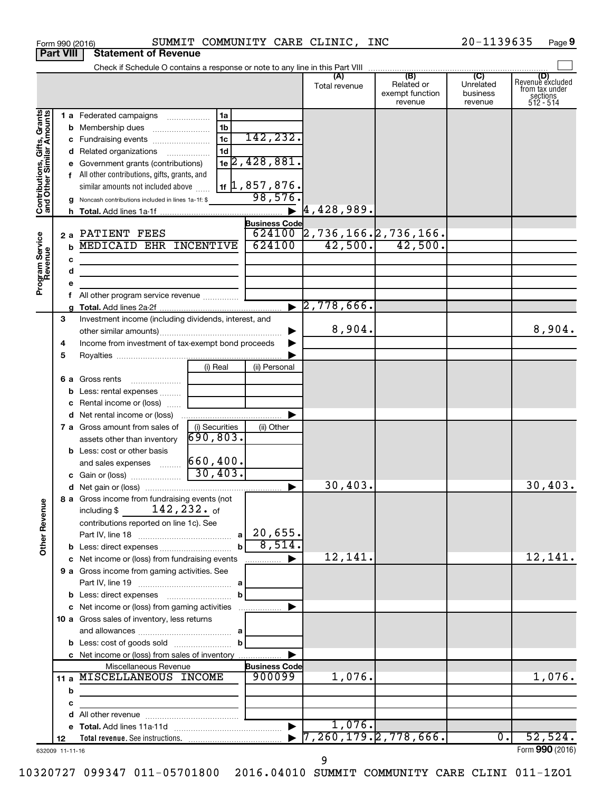|                                                           |    |             | Form 990 (2016)                                                         |                |                                | SUMMIT COMMUNITY CARE CLINIC, INC |                                          | 20-1139635                       | Page 9                                                             |
|-----------------------------------------------------------|----|-------------|-------------------------------------------------------------------------|----------------|--------------------------------|-----------------------------------|------------------------------------------|----------------------------------|--------------------------------------------------------------------|
| <b>Part VIII</b>                                          |    |             | <b>Statement of Revenue</b>                                             |                |                                |                                   |                                          |                                  |                                                                    |
|                                                           |    |             |                                                                         |                |                                |                                   |                                          |                                  |                                                                    |
|                                                           |    |             |                                                                         |                |                                | Total revenue                     | Related or<br>exempt function<br>revenue | Unrelated<br>business<br>revenue | (D)<br>Revenue excluded<br>from tax under<br>sections<br>512 - 514 |
|                                                           |    |             | 1 a Federated campaigns                                                 | 1a             |                                |                                   |                                          |                                  |                                                                    |
|                                                           |    |             | <b>b</b> Membership dues                                                | 1b             |                                |                                   |                                          |                                  |                                                                    |
|                                                           |    |             | c Fundraising events                                                    | 1c             | 142,232.                       |                                   |                                          |                                  |                                                                    |
|                                                           |    |             | d Related organizations                                                 | 1 <sub>d</sub> |                                |                                   |                                          |                                  |                                                                    |
|                                                           |    |             | e Government grants (contributions)                                     |                | $1e$ 2, 428, 881.              |                                   |                                          |                                  |                                                                    |
|                                                           |    |             | f All other contributions, gifts, grants, and                           |                |                                |                                   |                                          |                                  |                                                                    |
|                                                           |    |             | similar amounts not included above                                      |                | $1$ if $\vert 1$ , 857 , 876.  |                                   |                                          |                                  |                                                                    |
| Contributions, Gifts, Grants<br>and Other Similar Amounts |    |             | g Noncash contributions included in lines 1a-1f: \$                     |                | 98,576.                        |                                   |                                          |                                  |                                                                    |
|                                                           |    |             |                                                                         |                |                                | 4, 428, 989.                      |                                          |                                  |                                                                    |
|                                                           |    |             |                                                                         |                | <b>Business Code</b>           |                                   |                                          |                                  |                                                                    |
|                                                           |    |             | 2 a PATIENT FEES                                                        |                |                                | 624100 2,736,166. 2,736,166.      |                                          |                                  |                                                                    |
|                                                           |    | $\mathbf b$ | <b>MEDICAID EHR INCENTIVE</b>                                           |                | 624100                         |                                   | $42,500.$ $42,500.$                      |                                  |                                                                    |
|                                                           |    | с           |                                                                         |                |                                |                                   |                                          |                                  |                                                                    |
|                                                           |    | d           |                                                                         |                |                                |                                   |                                          |                                  |                                                                    |
| Program Service<br>Revenue                                |    |             |                                                                         |                |                                |                                   |                                          |                                  |                                                                    |
|                                                           |    | f.          | All other program service revenue                                       |                |                                |                                   |                                          |                                  |                                                                    |
|                                                           |    |             |                                                                         |                |                                | $\blacktriangleright$ 2,778,666.  |                                          |                                  |                                                                    |
|                                                           | З  |             | Investment income (including dividends, interest, and                   |                |                                |                                   |                                          |                                  |                                                                    |
|                                                           |    |             |                                                                         |                |                                | 8,904.                            |                                          |                                  | 8,904.                                                             |
|                                                           | 4  |             | Income from investment of tax-exempt bond proceeds                      |                |                                |                                   |                                          |                                  |                                                                    |
|                                                           | 5  |             |                                                                         |                |                                |                                   |                                          |                                  |                                                                    |
|                                                           |    |             |                                                                         | (i) Real       | (ii) Personal                  |                                   |                                          |                                  |                                                                    |
|                                                           |    |             | <b>6 a</b> Gross rents                                                  |                |                                |                                   |                                          |                                  |                                                                    |
|                                                           |    |             | Less: rental expenses                                                   |                |                                |                                   |                                          |                                  |                                                                    |
|                                                           |    |             | c Rental income or (loss)                                               |                |                                |                                   |                                          |                                  |                                                                    |
|                                                           |    |             |                                                                         |                |                                |                                   |                                          |                                  |                                                                    |
|                                                           |    |             | <b>7 a</b> Gross amount from sales of                                   | (i) Securities | (ii) Other                     |                                   |                                          |                                  |                                                                    |
|                                                           |    |             | assets other than inventory                                             | 690, 803.      |                                |                                   |                                          |                                  |                                                                    |
|                                                           |    |             | <b>b</b> Less: cost or other basis                                      |                |                                |                                   |                                          |                                  |                                                                    |
|                                                           |    |             | and sales expenses                                                      | 660, 400.      |                                |                                   |                                          |                                  |                                                                    |
|                                                           |    |             | c Gain or (loss)                                                        | 30,403.        |                                |                                   |                                          |                                  |                                                                    |
|                                                           |    |             |                                                                         |                |                                | $30,403$ .                        |                                          |                                  | 30,403.                                                            |
|                                                           |    |             | 8 a Gross income from fundraising events (not                           |                |                                |                                   |                                          |                                  |                                                                    |
|                                                           |    |             | including \$ $142, 232$ of                                              |                |                                |                                   |                                          |                                  |                                                                    |
| <b>Other Revenue</b>                                      |    |             | contributions reported on line 1c). See                                 |                |                                |                                   |                                          |                                  |                                                                    |
|                                                           |    |             |                                                                         |                |                                |                                   |                                          |                                  |                                                                    |
|                                                           |    |             |                                                                         | $\mathbf b$    | 8,514.                         |                                   |                                          |                                  |                                                                    |
|                                                           |    |             | c Net income or (loss) from fundraising events                          |                | .                              | 12,141.                           |                                          |                                  | 12,141.                                                            |
|                                                           |    |             | 9 a Gross income from gaming activities. See                            |                |                                |                                   |                                          |                                  |                                                                    |
|                                                           |    |             |                                                                         |                |                                |                                   |                                          |                                  |                                                                    |
|                                                           |    |             |                                                                         | b              |                                |                                   |                                          |                                  |                                                                    |
|                                                           |    |             |                                                                         |                |                                |                                   |                                          |                                  |                                                                    |
|                                                           |    |             | 10 a Gross sales of inventory, less returns                             |                |                                |                                   |                                          |                                  |                                                                    |
|                                                           |    |             |                                                                         |                |                                |                                   |                                          |                                  |                                                                    |
|                                                           |    |             |                                                                         |                |                                |                                   |                                          |                                  |                                                                    |
|                                                           |    |             | c Net income or (loss) from sales of inventory<br>Miscellaneous Revenue |                |                                |                                   |                                          |                                  |                                                                    |
|                                                           |    |             | 11 a MISCELLANEOUS INCOME                                               |                | <b>Business Code</b><br>900099 | 1,076.                            |                                          |                                  | 1,076.                                                             |
|                                                           |    | b           |                                                                         |                |                                |                                   |                                          |                                  |                                                                    |
|                                                           |    | с           |                                                                         |                |                                |                                   |                                          |                                  |                                                                    |
|                                                           |    | d           |                                                                         |                |                                |                                   |                                          |                                  |                                                                    |
|                                                           |    |             |                                                                         |                |                                | 1,076.                            |                                          |                                  |                                                                    |
|                                                           | 12 |             |                                                                         |                |                                | 7, 260, 179.2, 778, 666.          |                                          | 0.                               | 52,524.                                                            |
| 632009 11-11-16                                           |    |             |                                                                         |                |                                |                                   |                                          |                                  | Form 990 (2016)                                                    |

632009 11-11-16

Form **990** (2016) **990**

**9**

10320727 099347 011-05701800 2016.04010 SUMMIT COMMUNITY CARE CLINI 011-1ZO1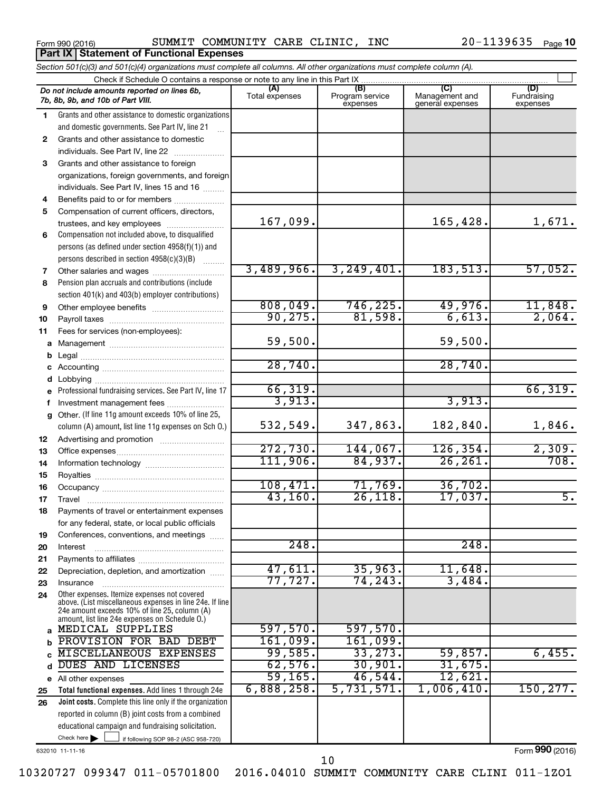**Part IX Statement of Functional Expenses**

Form 990 (2016) SUMMIT COMMUNITY CARE CLINIC, INC 20-1139635 Page

|              | Section 501(c)(3) and 501(c)(4) organizations must complete all columns. All other organizations must complete column (A). |                       |                                    |                                    |                                |
|--------------|----------------------------------------------------------------------------------------------------------------------------|-----------------------|------------------------------------|------------------------------------|--------------------------------|
|              | Check if Schedule O contains a response or note to any line in this Part IX                                                |                       |                                    |                                    |                                |
|              | Do not include amounts reported on lines 6b,<br>7b, 8b, 9b, and 10b of Part VIII.                                          | (A)<br>Total expenses | (B)<br>Program service<br>expenses | Management and<br>general expenses | (D)<br>Fundraising<br>expenses |
| 1.           | Grants and other assistance to domestic organizations                                                                      |                       |                                    |                                    |                                |
|              | and domestic governments. See Part IV, line 21                                                                             |                       |                                    |                                    |                                |
| 2            | Grants and other assistance to domestic                                                                                    |                       |                                    |                                    |                                |
|              | individuals. See Part IV, line 22                                                                                          |                       |                                    |                                    |                                |
| 3            | Grants and other assistance to foreign                                                                                     |                       |                                    |                                    |                                |
|              | organizations, foreign governments, and foreign                                                                            |                       |                                    |                                    |                                |
|              | individuals. See Part IV, lines 15 and 16                                                                                  |                       |                                    |                                    |                                |
| 4            | Benefits paid to or for members                                                                                            |                       |                                    |                                    |                                |
| 5            | Compensation of current officers, directors,                                                                               |                       |                                    |                                    |                                |
|              | trustees, and key employees                                                                                                | 167,099.              |                                    | 165,428.                           | 1,671.                         |
| 6            | Compensation not included above, to disqualified                                                                           |                       |                                    |                                    |                                |
|              | persons (as defined under section 4958(f)(1)) and                                                                          |                       |                                    |                                    |                                |
|              | persons described in section 4958(c)(3)(B)                                                                                 |                       |                                    |                                    |                                |
| 7            |                                                                                                                            | 3,489,966.            | 3, 249, 401.                       | 183, 513.                          | 57,052.                        |
| 8            | Pension plan accruals and contributions (include                                                                           |                       |                                    |                                    |                                |
|              | section 401(k) and 403(b) employer contributions)                                                                          |                       |                                    |                                    |                                |
| 9            |                                                                                                                            | 808,049.<br>90, 275.  | 746, 225.<br>81,598.               | 49,976.<br>6,613.                  | $\frac{11,848}{2,064}$         |
| 10           |                                                                                                                            |                       |                                    |                                    |                                |
| 11           | Fees for services (non-employees):                                                                                         | 59,500.               |                                    |                                    |                                |
| a            |                                                                                                                            |                       |                                    | 59,500.                            |                                |
| b            |                                                                                                                            | 28,740.               |                                    | 28,740.                            |                                |
|              |                                                                                                                            |                       |                                    |                                    |                                |
| d            |                                                                                                                            | 66, 319.              |                                    |                                    | 66, 319.                       |
|              | Professional fundraising services. See Part IV, line 17                                                                    | 3,913.                |                                    | 3,913.                             |                                |
| a            | Investment management fees<br>Other. (If line 11g amount exceeds 10% of line 25,                                           |                       |                                    |                                    |                                |
|              | column (A) amount, list line 11g expenses on Sch O.)                                                                       | 532,549.              | 347,863.                           | 182,840.                           | 1,846.                         |
| 12           |                                                                                                                            |                       |                                    |                                    |                                |
| 13           |                                                                                                                            | 272,730.              | 144,067.                           | 126, 354.                          | 2,309.<br>708.                 |
| 14           |                                                                                                                            | 111,906.              | 84,937.                            | 26, 261.                           |                                |
| 15           |                                                                                                                            | 108,471.              | 71,769.                            | 36,702.                            |                                |
| 16           |                                                                                                                            | 43,160.               | 26,118.                            | 17,037.                            | $\overline{5}$ .               |
| 17           |                                                                                                                            |                       |                                    |                                    |                                |
| 18           | Payments of travel or entertainment expenses                                                                               |                       |                                    |                                    |                                |
|              | for any federal, state, or local public officials                                                                          |                       |                                    |                                    |                                |
| 19           | Conferences, conventions, and meetings                                                                                     | 248.                  |                                    | 248.                               |                                |
| 20<br>21     | Interest                                                                                                                   |                       |                                    |                                    |                                |
| 22           | Depreciation, depletion, and amortization                                                                                  | 47,611.               | 35,963.                            | 11,648.                            |                                |
| 23           | Insurance                                                                                                                  | 77,727.               | 74, 243.                           | 3,484                              |                                |
| 24           | Other expenses. Itemize expenses not covered<br>above. (List miscellaneous expenses in line 24e. If line                   |                       |                                    |                                    |                                |
|              | 24e amount exceeds 10% of line 25, column (A)<br>amount, list line 24e expenses on Schedule O.)                            |                       |                                    |                                    |                                |
| $\mathbf{a}$ | MEDICAL SUPPLIES                                                                                                           | 597,570.              | 597,570.                           |                                    |                                |
| b            | PROVISION FOR BAD DEBT                                                                                                     | 161,099.              | 161,099.                           |                                    |                                |
|              | MISCELLANEOUS EXPENSES                                                                                                     | 99,585.               | 33, 273.                           | 59,857.                            | 6,455.                         |
| d            | DUES AND LICENSES                                                                                                          | 62,576.               | 30,901.                            | 31,675.                            |                                |
|              | e All other expenses                                                                                                       | 59, 165.              | 46,544.                            | 12,621.                            |                                |
| 25           | Total functional expenses. Add lines 1 through 24e                                                                         | 6,888,258.            | 5,731,571.                         | 1,006,410.                         | 150, 277.                      |
| 26           | Joint costs. Complete this line only if the organization                                                                   |                       |                                    |                                    |                                |
|              | reported in column (B) joint costs from a combined                                                                         |                       |                                    |                                    |                                |
|              | educational campaign and fundraising solicitation.                                                                         |                       |                                    |                                    |                                |
|              | Check here $\blacktriangleright$<br>if following SOP 98-2 (ASC 958-720)                                                    |                       |                                    |                                    |                                |

632010 11-11-16

Form (2016) **990**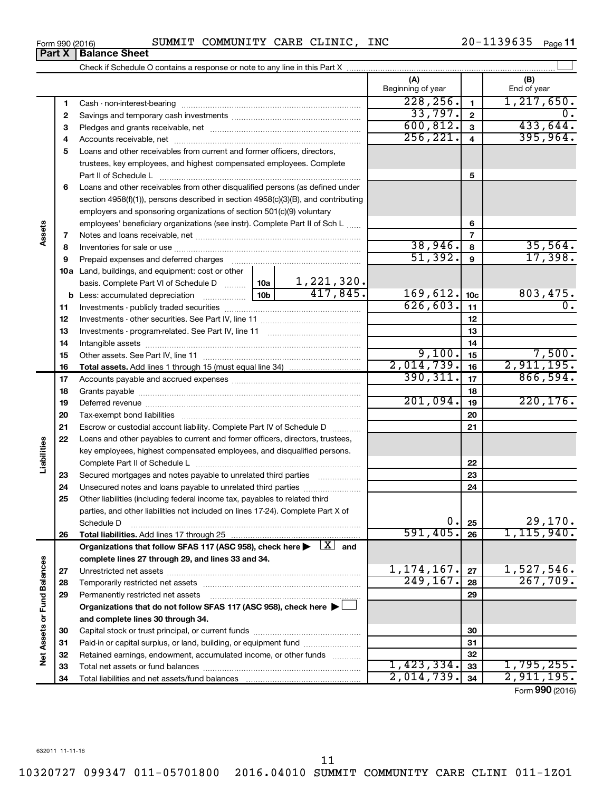| Form 990 (2016) |  | SUMMIT COMMUNITY CARE CLINIC, |  |  | INC | $20 - 1139635$ Page 11 |  |  |
|-----------------|--|-------------------------------|--|--|-----|------------------------|--|--|
|-----------------|--|-------------------------------|--|--|-----|------------------------|--|--|

**Part X Balance Sheet**

|                             |    |                                                                                                                         |         | (A)<br>Beginning of year |                         | (B)<br>End of year                      |
|-----------------------------|----|-------------------------------------------------------------------------------------------------------------------------|---------|--------------------------|-------------------------|-----------------------------------------|
|                             | 1  |                                                                                                                         |         | 228, 256.                | $\mathbf{1}$            | 1, 217, 650.                            |
|                             | 2  |                                                                                                                         | 33,797. | $\overline{\mathbf{2}}$  | 0.                      |                                         |
|                             | З  |                                                                                                                         |         | 600, 812.                | 3                       | 433,644.                                |
|                             | 4  |                                                                                                                         |         | 256, 221.                | $\overline{\mathbf{4}}$ | 395,964.                                |
|                             | 5  | Loans and other receivables from current and former officers, directors,                                                |         |                          |                         |                                         |
|                             |    | trustees, key employees, and highest compensated employees. Complete                                                    |         |                          |                         |                                         |
|                             |    |                                                                                                                         |         |                          | 5                       |                                         |
|                             | 6  | Loans and other receivables from other disqualified persons (as defined under                                           |         |                          |                         |                                         |
|                             |    | section 4958(f)(1)), persons described in section 4958(c)(3)(B), and contributing                                       |         |                          |                         |                                         |
|                             |    | employers and sponsoring organizations of section 501(c)(9) voluntary                                                   |         |                          |                         |                                         |
|                             |    | employees' beneficiary organizations (see instr). Complete Part II of Sch L                                             |         |                          | 6                       |                                         |
| Assets                      | 7  |                                                                                                                         |         |                          | 7                       |                                         |
|                             | 8  |                                                                                                                         |         | 38,946.                  | 8                       | 35,564.                                 |
|                             | 9  | Prepaid expenses and deferred charges                                                                                   |         | 51,392.                  | 9                       | 17,398.                                 |
|                             |    | <b>10a</b> Land, buildings, and equipment: cost or other                                                                |         |                          |                         |                                         |
|                             |    | 1,221,320.<br>basis. Complete Part VI of Schedule D  10a                                                                |         |                          |                         |                                         |
|                             |    | 417,845.<br>10 <sub>b</sub><br><b>b</b> Less: accumulated depreciation                                                  |         | 169,612.                 | 10 <sub>c</sub>         | 803,475.                                |
|                             | 11 |                                                                                                                         |         | 626, 603.                | 11                      | 0.                                      |
|                             | 12 |                                                                                                                         |         |                          | 12                      |                                         |
|                             | 13 |                                                                                                                         |         |                          | 13                      |                                         |
|                             | 14 |                                                                                                                         |         |                          | 14                      |                                         |
|                             | 15 |                                                                                                                         |         | 9,100.                   | 15                      | 7,500.                                  |
|                             | 16 |                                                                                                                         |         | 2,014,739.               | 16                      | 2,911,195.                              |
|                             | 17 |                                                                                                                         |         | 390, 311.                | 17                      | 866,594.                                |
|                             | 18 |                                                                                                                         |         |                          | 18                      |                                         |
|                             | 19 |                                                                                                                         |         | 201,094.                 | 19                      | 220, 176.                               |
|                             | 20 |                                                                                                                         |         |                          | 20                      |                                         |
|                             | 21 | Escrow or custodial account liability. Complete Part IV of Schedule D                                                   |         |                          | 21                      |                                         |
|                             | 22 | Loans and other payables to current and former officers, directors, trustees,                                           |         |                          |                         |                                         |
| Liabilities                 |    | key employees, highest compensated employees, and disqualified persons.                                                 |         |                          |                         |                                         |
|                             |    |                                                                                                                         |         |                          | 22                      |                                         |
|                             | 23 | Secured mortgages and notes payable to unrelated third parties                                                          |         |                          | 23                      |                                         |
|                             | 24 | Unsecured notes and loans payable to unrelated third parties                                                            |         |                          | 24                      |                                         |
|                             | 25 | Other liabilities (including federal income tax, payables to related third                                              |         |                          |                         |                                         |
|                             |    | parties, and other liabilities not included on lines 17-24). Complete Part X of                                         |         |                          |                         |                                         |
|                             |    | Schedule D                                                                                                              |         | 0.                       | 25                      | 29,170.                                 |
|                             | 26 |                                                                                                                         |         | 591,405.                 | 26                      | 1, 115, 940.                            |
|                             |    | Organizations that follow SFAS 117 (ASC 958), check here $\blacktriangleright \begin{array}{c} \perp X \end{array}$ and |         |                          |                         |                                         |
|                             |    | complete lines 27 through 29, and lines 33 and 34.                                                                      |         |                          |                         |                                         |
| Net Assets or Fund Balances | 27 |                                                                                                                         |         | 1, 174, 167.             | 27                      | 1,527,546.                              |
|                             | 28 |                                                                                                                         |         | 249, 167.                | 28                      | 267,709.                                |
|                             | 29 | Permanently restricted net assets                                                                                       |         |                          | 29                      |                                         |
|                             |    | Organizations that do not follow SFAS 117 (ASC 958), check here ▶ L                                                     |         |                          |                         |                                         |
|                             |    | and complete lines 30 through 34.                                                                                       |         |                          |                         |                                         |
|                             | 30 |                                                                                                                         |         |                          | 30                      |                                         |
|                             | 31 | Paid-in or capital surplus, or land, building, or equipment fund                                                        |         |                          | 31                      |                                         |
|                             | 32 | Retained earnings, endowment, accumulated income, or other funds                                                        |         |                          | 32                      |                                         |
|                             | 33 |                                                                                                                         |         | 1,423,334.               | 33                      | 1,795,255.                              |
|                             | 34 |                                                                                                                         |         | 2,014,739.               | 34                      | 2,911,195.<br>$T_{\text{c}}$ 000 (2016) |

Form (2016) **990**

11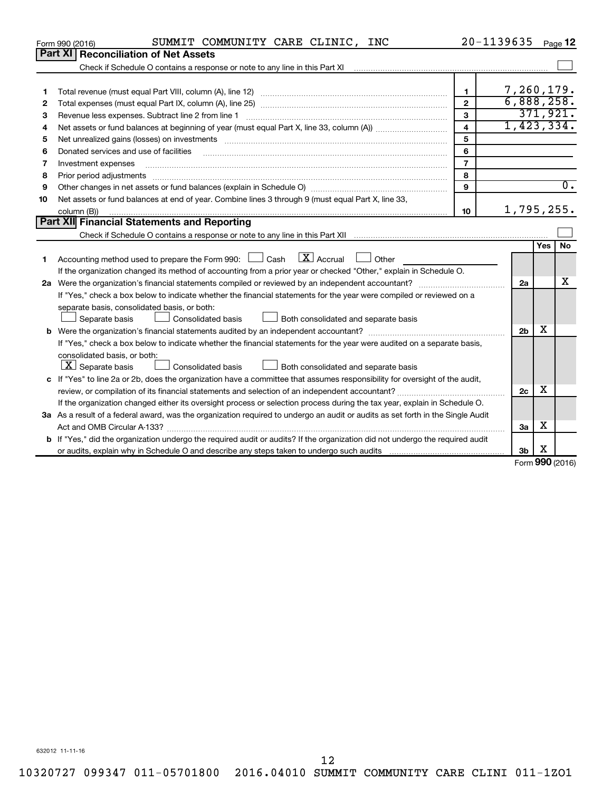|    | SUMMIT COMMUNITY CARE CLINIC, INC<br>Form 990 (2016)                                                                                 | 20-1139635              |                |     | Page 12                     |
|----|--------------------------------------------------------------------------------------------------------------------------------------|-------------------------|----------------|-----|-----------------------------|
|    | <b>Part XI Reconciliation of Net Assets</b>                                                                                          |                         |                |     |                             |
|    |                                                                                                                                      |                         |                |     |                             |
|    |                                                                                                                                      |                         |                |     |                             |
| 1  |                                                                                                                                      | $\mathbf{1}$            | 7,260,179.     |     |                             |
| 2  |                                                                                                                                      | $\overline{2}$          | 6,888,258.     |     |                             |
| 3  |                                                                                                                                      | 3                       |                |     | 371,921.                    |
| 4  |                                                                                                                                      | $\overline{\mathbf{A}}$ | 1,423,334.     |     |                             |
| 5  |                                                                                                                                      | 5                       |                |     |                             |
| 6  | Donated services and use of facilities                                                                                               | 6                       |                |     |                             |
| 7  | Investment expenses                                                                                                                  | $\overline{7}$          |                |     |                             |
| 8  | Prior period adjustments                                                                                                             | 8                       |                |     |                             |
| 9  |                                                                                                                                      | 9                       |                |     | $\overline{0}$ .            |
| 10 | Net assets or fund balances at end of year. Combine lines 3 through 9 (must equal Part X, line 33,                                   |                         |                |     |                             |
|    | column (B))                                                                                                                          | 10                      | 1,795,255.     |     |                             |
|    | Part XII Financial Statements and Reporting                                                                                          |                         |                |     |                             |
|    |                                                                                                                                      |                         |                |     |                             |
|    |                                                                                                                                      |                         |                | Yes | <b>No</b>                   |
| 1  | $\mathbf{X}$ Accrual<br>Accounting method used to prepare the Form 990: [13] Cash<br>Other                                           |                         |                |     |                             |
|    | If the organization changed its method of accounting from a prior year or checked "Other," explain in Schedule O.                    |                         |                |     |                             |
|    |                                                                                                                                      |                         | 2a             |     | x                           |
|    | If "Yes," check a box below to indicate whether the financial statements for the year were compiled or reviewed on a                 |                         |                |     |                             |
|    | separate basis, consolidated basis, or both:                                                                                         |                         |                |     |                             |
|    | Separate basis<br>Consolidated basis<br>Both consolidated and separate basis                                                         |                         |                |     |                             |
|    |                                                                                                                                      |                         | 2 <sub>b</sub> | х   |                             |
|    | If "Yes," check a box below to indicate whether the financial statements for the year were audited on a separate basis,              |                         |                |     |                             |
|    | consolidated basis, or both:                                                                                                         |                         |                |     |                             |
|    | $ \mathbf{X} $ Separate basis<br>Consolidated basis<br>Both consolidated and separate basis                                          |                         |                |     |                             |
|    | c If "Yes" to line 2a or 2b, does the organization have a committee that assumes responsibility for oversight of the audit,          |                         |                |     |                             |
|    |                                                                                                                                      |                         | 2c             | х   |                             |
|    | If the organization changed either its oversight process or selection process during the tax year, explain in Schedule O.            |                         |                |     |                             |
|    | 3a As a result of a federal award, was the organization required to undergo an audit or audits as set forth in the Single Audit      |                         |                |     |                             |
|    |                                                                                                                                      |                         | 3a             | х   |                             |
|    | <b>b</b> If "Yes," did the organization undergo the required audit or audits? If the organization did not undergo the required audit |                         |                |     |                             |
|    |                                                                                                                                      |                         | 3 <sub>b</sub> | х   |                             |
|    |                                                                                                                                      |                         |                |     | $F_{\alpha r m}$ 990 (2016) |

Form (2016) **990**

632012 11-11-16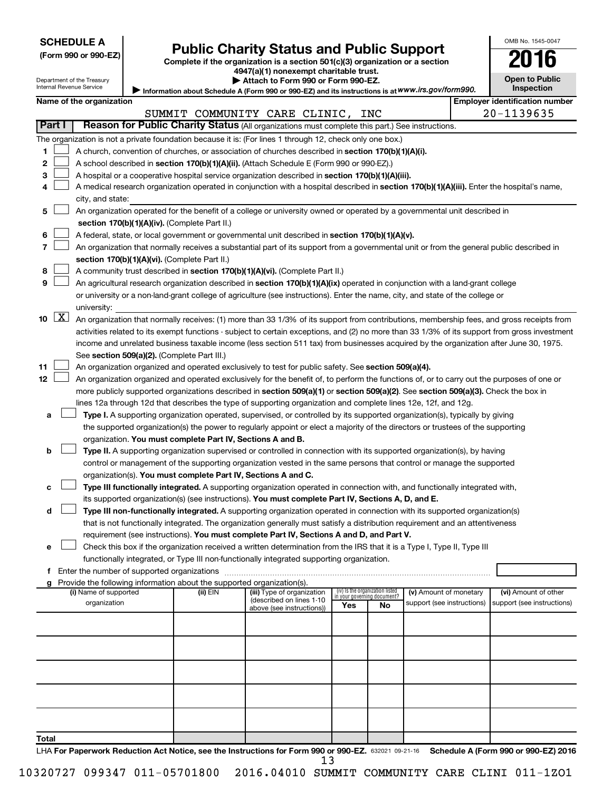# Form 990 or 990-EZ) **Public Charity Status and Public Support**<br>
Complete if the organization is a section 501(c)(3) organization or a section<br> **2016**

**4947(a)(1) nonexempt charitable trust. | Attach to Form 990 or Form 990-EZ.** 

| --                    | -- |
|-----------------------|----|
| <b>Open to Public</b> |    |
| <b>Inspection</b>     |    |

OMB No. 1545-0047

Department of the Treasury Internal Revenue Service

| Information about Schedule A (Form 990 or 990-EZ) and its instructions is at WWW.irs.gov/form990. |  |
|---------------------------------------------------------------------------------------------------|--|
|                                                                                                   |  |

| Name of the organization                                                                                                                                                                                                                                              |                                                                |                            | <b>Employer identification number</b> |
|-----------------------------------------------------------------------------------------------------------------------------------------------------------------------------------------------------------------------------------------------------------------------|----------------------------------------------------------------|----------------------------|---------------------------------------|
| SUMMIT COMMUNITY CARE CLINIC, INC                                                                                                                                                                                                                                     |                                                                |                            | 20-1139635                            |
| Part I<br>Reason for Public Charity Status (All organizations must complete this part.) See instructions.                                                                                                                                                             |                                                                |                            |                                       |
| The organization is not a private foundation because it is: (For lines 1 through 12, check only one box.)                                                                                                                                                             |                                                                |                            |                                       |
| 1<br>A church, convention of churches, or association of churches described in section 170(b)(1)(A)(i).                                                                                                                                                               |                                                                |                            |                                       |
| 2<br>A school described in section 170(b)(1)(A)(ii). (Attach Schedule E (Form 990 or 990-EZ).)                                                                                                                                                                        |                                                                |                            |                                       |
| 3<br>A hospital or a cooperative hospital service organization described in section 170(b)(1)(A)(iii).                                                                                                                                                                |                                                                |                            |                                       |
| A medical research organization operated in conjunction with a hospital described in section 170(b)(1)(A)(iii). Enter the hospital's name,<br>4                                                                                                                       |                                                                |                            |                                       |
| city, and state:                                                                                                                                                                                                                                                      |                                                                |                            |                                       |
| An organization operated for the benefit of a college or university owned or operated by a governmental unit described in<br>5                                                                                                                                        |                                                                |                            |                                       |
| section 170(b)(1)(A)(iv). (Complete Part II.)                                                                                                                                                                                                                         |                                                                |                            |                                       |
| A federal, state, or local government or governmental unit described in section 170(b)(1)(A)(v).<br>6                                                                                                                                                                 |                                                                |                            |                                       |
| 7<br>An organization that normally receives a substantial part of its support from a governmental unit or from the general public described in                                                                                                                        |                                                                |                            |                                       |
| section 170(b)(1)(A)(vi). (Complete Part II.)                                                                                                                                                                                                                         |                                                                |                            |                                       |
| 8<br>A community trust described in section 170(b)(1)(A)(vi). (Complete Part II.)                                                                                                                                                                                     |                                                                |                            |                                       |
| 9<br>An agricultural research organization described in section 170(b)(1)(A)(ix) operated in conjunction with a land-grant college                                                                                                                                    |                                                                |                            |                                       |
| or university or a non-land-grant college of agriculture (see instructions). Enter the name, city, and state of the college or                                                                                                                                        |                                                                |                            |                                       |
| university:<br>$\boxed{\text{X}}$                                                                                                                                                                                                                                     |                                                                |                            |                                       |
| 10<br>An organization that normally receives: (1) more than 33 1/3% of its support from contributions, membership fees, and gross receipts from                                                                                                                       |                                                                |                            |                                       |
| activities related to its exempt functions - subject to certain exceptions, and (2) no more than 33 1/3% of its support from gross investment                                                                                                                         |                                                                |                            |                                       |
| income and unrelated business taxable income (less section 511 tax) from businesses acquired by the organization after June 30, 1975.                                                                                                                                 |                                                                |                            |                                       |
| See section 509(a)(2). (Complete Part III.)<br>11                                                                                                                                                                                                                     |                                                                |                            |                                       |
| An organization organized and operated exclusively to test for public safety. See section 509(a)(4).<br>12 <sub>2</sub><br>An organization organized and operated exclusively for the benefit of, to perform the functions of, or to carry out the purposes of one or |                                                                |                            |                                       |
| more publicly supported organizations described in section 509(a)(1) or section 509(a)(2). See section 509(a)(3). Check the box in                                                                                                                                    |                                                                |                            |                                       |
| lines 12a through 12d that describes the type of supporting organization and complete lines 12e, 12f, and 12g.                                                                                                                                                        |                                                                |                            |                                       |
| Type I. A supporting organization operated, supervised, or controlled by its supported organization(s), typically by giving<br>a                                                                                                                                      |                                                                |                            |                                       |
| the supported organization(s) the power to regularly appoint or elect a majority of the directors or trustees of the supporting                                                                                                                                       |                                                                |                            |                                       |
| organization. You must complete Part IV, Sections A and B.                                                                                                                                                                                                            |                                                                |                            |                                       |
| Type II. A supporting organization supervised or controlled in connection with its supported organization(s), by having<br>b                                                                                                                                          |                                                                |                            |                                       |
| control or management of the supporting organization vested in the same persons that control or manage the supported                                                                                                                                                  |                                                                |                            |                                       |
| organization(s). You must complete Part IV, Sections A and C.                                                                                                                                                                                                         |                                                                |                            |                                       |
| Type III functionally integrated. A supporting organization operated in connection with, and functionally integrated with,<br>c                                                                                                                                       |                                                                |                            |                                       |
| its supported organization(s) (see instructions). You must complete Part IV, Sections A, D, and E.                                                                                                                                                                    |                                                                |                            |                                       |
| d<br>Type III non-functionally integrated. A supporting organization operated in connection with its supported organization(s)                                                                                                                                        |                                                                |                            |                                       |
| that is not functionally integrated. The organization generally must satisfy a distribution requirement and an attentiveness                                                                                                                                          |                                                                |                            |                                       |
| requirement (see instructions). You must complete Part IV, Sections A and D, and Part V.                                                                                                                                                                              |                                                                |                            |                                       |
| Check this box if the organization received a written determination from the IRS that it is a Type I, Type II, Type III                                                                                                                                               |                                                                |                            |                                       |
| functionally integrated, or Type III non-functionally integrated supporting organization.                                                                                                                                                                             |                                                                |                            |                                       |
|                                                                                                                                                                                                                                                                       |                                                                |                            |                                       |
| Provide the following information about the supported organization(s).<br>g                                                                                                                                                                                           |                                                                |                            |                                       |
| (ii) EIN<br>(i) Name of supported<br>(iii) Type of organization                                                                                                                                                                                                       | (iv) Is the organization listed<br>in your governing document? | (v) Amount of monetary     | (vi) Amount of other                  |
| (described on lines 1-10<br>organization<br>Yes<br>above (see instructions))                                                                                                                                                                                          | No                                                             | support (see instructions) | support (see instructions)            |
|                                                                                                                                                                                                                                                                       |                                                                |                            |                                       |
|                                                                                                                                                                                                                                                                       |                                                                |                            |                                       |
|                                                                                                                                                                                                                                                                       |                                                                |                            |                                       |
|                                                                                                                                                                                                                                                                       |                                                                |                            |                                       |
|                                                                                                                                                                                                                                                                       |                                                                |                            |                                       |
|                                                                                                                                                                                                                                                                       |                                                                |                            |                                       |
|                                                                                                                                                                                                                                                                       |                                                                |                            |                                       |
|                                                                                                                                                                                                                                                                       |                                                                |                            |                                       |
|                                                                                                                                                                                                                                                                       |                                                                |                            |                                       |
|                                                                                                                                                                                                                                                                       |                                                                |                            |                                       |
| Total                                                                                                                                                                                                                                                                 |                                                                |                            |                                       |

LHA For Paperwork Reduction Act Notice, see the Instructions for Form 990 or 990-EZ. 632021 09-21-16 Schedule A (Form 990 or 990-EZ) 2016 13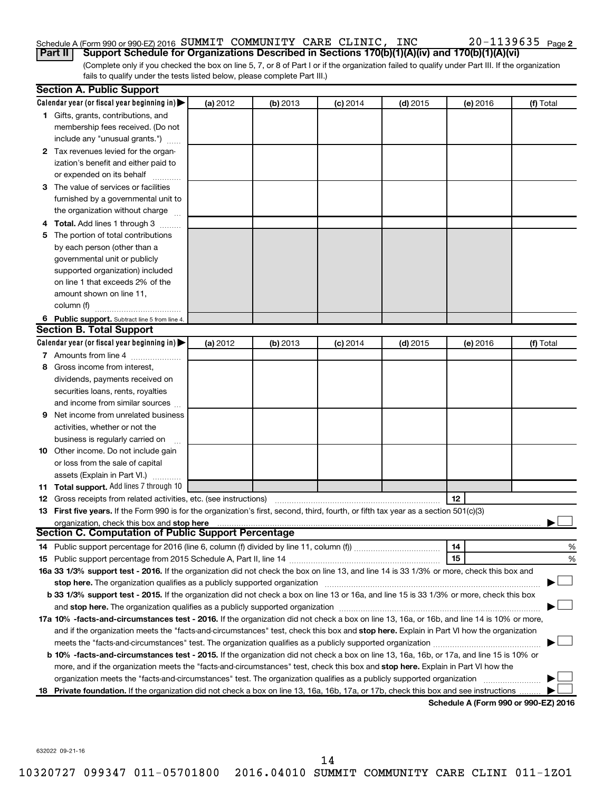#### Schedule A (Form 990 or 990-EZ) 2016  ${\tt SUMMIT}$   ${\tt COMMUNITY}$   ${\tt CARE}$   ${\tt CLINIC}$ ,  ${\tt INC}$   $20$  –  $1139635$   ${\tt Page}$ **Part II Support Schedule for Organizations Described in Sections 170(b)(1)(A)(iv) and 170(b)(1)(A)(vi)**

(Complete only if you checked the box on line 5, 7, or 8 of Part I or if the organization failed to qualify under Part III. If the organization fails to qualify under the tests listed below, please complete Part III.)

|   | <b>Section A. Public Support</b>                                                                                                               |          |          |            |            |          |           |
|---|------------------------------------------------------------------------------------------------------------------------------------------------|----------|----------|------------|------------|----------|-----------|
|   | Calendar year (or fiscal year beginning in) $\blacktriangleright$                                                                              | (a) 2012 | (b) 2013 | $(c)$ 2014 | $(d)$ 2015 | (e) 2016 | (f) Total |
|   | 1 Gifts, grants, contributions, and                                                                                                            |          |          |            |            |          |           |
|   | membership fees received. (Do not                                                                                                              |          |          |            |            |          |           |
|   | include any "unusual grants.")                                                                                                                 |          |          |            |            |          |           |
|   | 2 Tax revenues levied for the organ-                                                                                                           |          |          |            |            |          |           |
|   | ization's benefit and either paid to                                                                                                           |          |          |            |            |          |           |
|   | or expended on its behalf                                                                                                                      |          |          |            |            |          |           |
|   | 3 The value of services or facilities                                                                                                          |          |          |            |            |          |           |
|   | furnished by a governmental unit to                                                                                                            |          |          |            |            |          |           |
|   | the organization without charge                                                                                                                |          |          |            |            |          |           |
|   | 4 Total. Add lines 1 through 3                                                                                                                 |          |          |            |            |          |           |
| 5 | The portion of total contributions                                                                                                             |          |          |            |            |          |           |
|   | by each person (other than a                                                                                                                   |          |          |            |            |          |           |
|   | governmental unit or publicly                                                                                                                  |          |          |            |            |          |           |
|   | supported organization) included                                                                                                               |          |          |            |            |          |           |
|   | on line 1 that exceeds 2% of the                                                                                                               |          |          |            |            |          |           |
|   | amount shown on line 11,                                                                                                                       |          |          |            |            |          |           |
|   | column (f)                                                                                                                                     |          |          |            |            |          |           |
|   | 6 Public support. Subtract line 5 from line 4.                                                                                                 |          |          |            |            |          |           |
|   | <b>Section B. Total Support</b>                                                                                                                |          |          |            |            |          |           |
|   | Calendar year (or fiscal year beginning in) $\blacktriangleright$                                                                              | (a) 2012 | (b) 2013 | $(c)$ 2014 | $(d)$ 2015 | (e) 2016 | (f) Total |
|   | 7 Amounts from line 4                                                                                                                          |          |          |            |            |          |           |
| 8 | Gross income from interest,                                                                                                                    |          |          |            |            |          |           |
|   | dividends, payments received on                                                                                                                |          |          |            |            |          |           |
|   | securities loans, rents, royalties                                                                                                             |          |          |            |            |          |           |
|   | and income from similar sources                                                                                                                |          |          |            |            |          |           |
| 9 | Net income from unrelated business                                                                                                             |          |          |            |            |          |           |
|   | activities, whether or not the                                                                                                                 |          |          |            |            |          |           |
|   | business is regularly carried on                                                                                                               |          |          |            |            |          |           |
|   | <b>10</b> Other income. Do not include gain                                                                                                    |          |          |            |            |          |           |
|   | or loss from the sale of capital                                                                                                               |          |          |            |            |          |           |
|   | assets (Explain in Part VI.)                                                                                                                   |          |          |            |            |          |           |
|   | 11 Total support. Add lines 7 through 10                                                                                                       |          |          |            |            |          |           |
|   | <b>12</b> Gross receipts from related activities, etc. (see instructions)                                                                      |          |          |            |            | 12       |           |
|   | 13 First five years. If the Form 990 is for the organization's first, second, third, fourth, or fifth tax year as a section 501(c)(3)          |          |          |            |            |          |           |
|   | organization, check this box and stop here                                                                                                     |          |          |            |            |          |           |
|   | Section C. Computation of Public Support Percentage                                                                                            |          |          |            |            |          |           |
|   |                                                                                                                                                |          |          |            |            | 14       | %         |
|   |                                                                                                                                                |          |          |            |            | 15       | %         |
|   | 16a 33 1/3% support test - 2016. If the organization did not check the box on line 13, and line 14 is 33 1/3% or more, check this box and      |          |          |            |            |          |           |
|   | stop here. The organization qualifies as a publicly supported organization manufactured content and the organization                           |          |          |            |            |          |           |
|   | b 33 1/3% support test - 2015. If the organization did not check a box on line 13 or 16a, and line 15 is 33 1/3% or more, check this box       |          |          |            |            |          |           |
|   |                                                                                                                                                |          |          |            |            |          |           |
|   | 17a 10% -facts-and-circumstances test - 2016. If the organization did not check a box on line 13, 16a, or 16b, and line 14 is 10% or more,     |          |          |            |            |          |           |
|   | and if the organization meets the "facts-and-circumstances" test, check this box and stop here. Explain in Part VI how the organization        |          |          |            |            |          |           |
|   |                                                                                                                                                |          |          |            |            |          |           |
|   | <b>b 10%</b> -facts-and-circumstances test - 2015. If the organization did not check a box on line 13, 16a, 16b, or 17a, and line 15 is 10% or |          |          |            |            |          |           |
|   | more, and if the organization meets the "facts-and-circumstances" test, check this box and stop here. Explain in Part VI how the               |          |          |            |            |          |           |
|   | organization meets the "facts-and-circumstances" test. The organization qualifies as a publicly supported organization                         |          |          |            |            |          |           |
|   |                                                                                                                                                |          |          |            |            |          |           |
|   | 18 Private foundation. If the organization did not check a box on line 13, 16a, 16b, 17a, or 17b, check this box and see instructions          |          |          |            |            |          |           |

**Schedule A (Form 990 or 990-EZ) 2016**

632022 09-21-16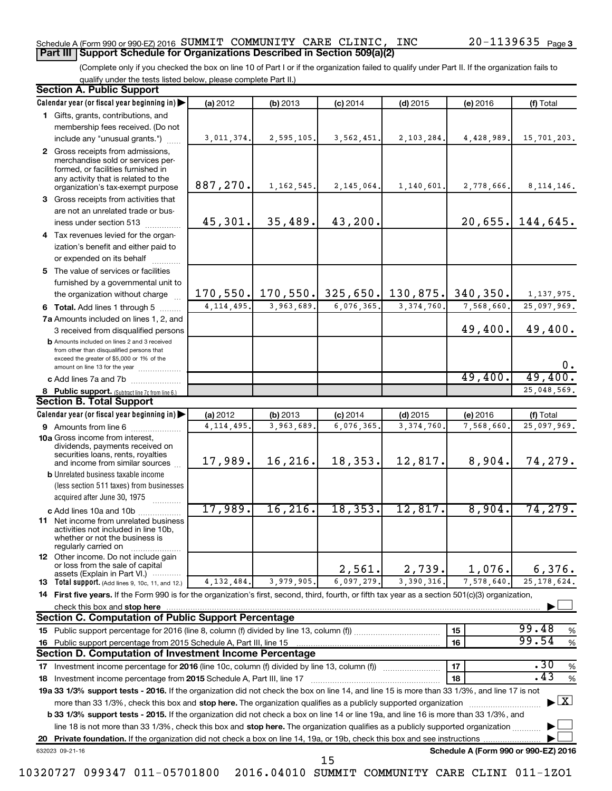#### Schedule A (Form 990 or 990-EZ) 2016  ${\tt SUMMIT}$   ${\tt COMMUNITY}$   ${\tt CARE}$   ${\tt CLINIC}$ ,  ${\tt INC}$   $20$  –  $1139635$   ${\tt Page}$ **Part III Support Schedule for Organizations Described in Section 509(a)(2)**

(Complete only if you checked the box on line 10 of Part I or if the organization failed to qualify under Part II. If the organization fails to qualify under the tests listed below, please complete Part II.)

| <b>Section A. Public Support</b>                                                                                                                    |              |                                         |            |              |                                      |                                          |
|-----------------------------------------------------------------------------------------------------------------------------------------------------|--------------|-----------------------------------------|------------|--------------|--------------------------------------|------------------------------------------|
| Calendar year (or fiscal year beginning in)                                                                                                         | (a) 2012     | (b) 2013                                | $(c)$ 2014 | $(d)$ 2015   | (e) 2016                             | (f) Total                                |
| 1 Gifts, grants, contributions, and                                                                                                                 |              |                                         |            |              |                                      |                                          |
| membership fees received. (Do not                                                                                                                   |              |                                         |            |              |                                      |                                          |
| include any "unusual grants.")                                                                                                                      | 3,011,374.   | 2,595,105.                              | 3,562,451. | 2,103,284.   | 4,428,989.                           | 15,701,203.                              |
| 2 Gross receipts from admissions,<br>merchandise sold or services per-<br>formed, or facilities furnished in<br>any activity that is related to the |              |                                         |            |              |                                      |                                          |
| organization's tax-exempt purpose                                                                                                                   | 887,270.     | 1, 162, 545.                            | 2,145,064. | 1,140,601.   | 2,778,666.                           | 8, 114, 146.                             |
| 3 Gross receipts from activities that                                                                                                               |              |                                         |            |              |                                      |                                          |
| are not an unrelated trade or bus-                                                                                                                  |              |                                         |            |              |                                      |                                          |
| iness under section 513                                                                                                                             | 45,301.      | 35,489.                                 | 43,200.    |              |                                      | $20,655.$ 144,645.                       |
| 4 Tax revenues levied for the organ-                                                                                                                |              |                                         |            |              |                                      |                                          |
| ization's benefit and either paid to<br>or expended on its behalf                                                                                   |              |                                         |            |              |                                      |                                          |
| 5 The value of services or facilities                                                                                                               |              |                                         |            |              |                                      |                                          |
| furnished by a governmental unit to                                                                                                                 |              |                                         |            |              |                                      |                                          |
| the organization without charge                                                                                                                     |              | 170, 550. 170, 550. 325, 650. 130, 875. |            |              | 340, 350.                            | 1, 137, 975.                             |
| 6 Total. Add lines 1 through 5                                                                                                                      | 4, 114, 495. | 3,963,689.                              | 6,076,365. | 3, 374, 760. | 7,568,660.                           | 25,097,969.                              |
| 7a Amounts included on lines 1, 2, and                                                                                                              |              |                                         |            |              |                                      |                                          |
| 3 received from disqualified persons                                                                                                                |              |                                         |            |              | 49,400.                              | 49,400.                                  |
| <b>b</b> Amounts included on lines 2 and 3 received<br>from other than disqualified persons that<br>exceed the greater of \$5,000 or 1% of the      |              |                                         |            |              |                                      | $0$ .                                    |
| amount on line 13 for the year                                                                                                                      |              |                                         |            |              | 49,400.                              | 49,400.                                  |
| c Add lines 7a and 7b                                                                                                                               |              |                                         |            |              |                                      | 25,048,569.                              |
| 8 Public support. (Subtract line 7c from line 6.)<br><b>Section B. Total Support</b>                                                                |              |                                         |            |              |                                      |                                          |
| Calendar year (or fiscal year beginning in)                                                                                                         | (a) 2012     | (b) 2013                                | $(c)$ 2014 | $(d)$ 2015   | (e) 2016                             | (f) Total                                |
| 9 Amounts from line 6                                                                                                                               | 4, 114, 495. | 3,963,689                               | 6,076,365  | 3, 374, 760  | 7,568,660                            | 25,097,969.                              |
| <b>10a</b> Gross income from interest,<br>dividends, payments received on<br>securities loans, rents, royalties                                     |              |                                         |            |              |                                      |                                          |
| and income from similar sources                                                                                                                     | 17,989.      | 16,216.                                 | 18,353.    | 12,817.      | 8,904.                               | 74,279.                                  |
| <b>b</b> Unrelated business taxable income<br>(less section 511 taxes) from businesses<br>acquired after June 30, 1975                              |              |                                         |            |              |                                      |                                          |
|                                                                                                                                                     | 17,989.      | 16, 216.                                | 18, 353.   | 12,817.      | 8,904.                               | 74,279.                                  |
| c Add lines 10a and 10b<br>11 Net income from unrelated business<br>activities not included in line 10b.<br>whether or not the business is          |              |                                         |            |              |                                      |                                          |
| regularly carried on<br>12 Other income. Do not include gain<br>or loss from the sale of capital                                                    |              |                                         | 2,561.     | 2,739.       | 1,076.                               | 6,376.                                   |
| assets (Explain in Part VI.)<br><b>13</b> Total support. (Add lines 9, 10c, 11, and 12.)                                                            | 4, 132, 484. | 3,979,905.                              | 6,097,279. | 3,390,316.   | 7,578,640.                           | 25, 178, 624.                            |
| 14 First five years. If the Form 990 is for the organization's first, second, third, fourth, or fifth tax year as a section 501(c)(3) organization, |              |                                         |            |              |                                      |                                          |
| check this box and stop here                                                                                                                        |              |                                         |            |              |                                      |                                          |
| <b>Section C. Computation of Public Support Percentage</b>                                                                                          |              |                                         |            |              |                                      |                                          |
|                                                                                                                                                     |              |                                         |            |              | 15                                   | 99.48<br>%                               |
| 16 Public support percentage from 2015 Schedule A, Part III, line 15                                                                                |              |                                         |            |              | 16                                   | 99.54<br>$\%$                            |
| Section D. Computation of Investment Income Percentage                                                                                              |              |                                         |            |              |                                      |                                          |
| 17 Investment income percentage for 2016 (line 10c, column (f) divided by line 13, column (f))                                                      |              |                                         |            |              | 17                                   | .30<br>$\%$                              |
| 18 Investment income percentage from 2015 Schedule A, Part III, line 17                                                                             |              |                                         |            |              | 18                                   | .43<br>%                                 |
| 19a 33 1/3% support tests - 2016. If the organization did not check the box on line 14, and line 15 is more than 33 1/3%, and line 17 is not        |              |                                         |            |              |                                      |                                          |
| more than 33 1/3%, check this box and stop here. The organization qualifies as a publicly supported organization                                    |              |                                         |            |              |                                      | $\blacktriangleright$ $\boxed{\text{X}}$ |
| b 33 1/3% support tests - 2015. If the organization did not check a box on line 14 or line 19a, and line 16 is more than 33 1/3%, and               |              |                                         |            |              |                                      |                                          |
| line 18 is not more than 33 1/3%, check this box and stop here. The organization qualifies as a publicly supported organization                     |              |                                         |            |              |                                      |                                          |
|                                                                                                                                                     |              |                                         |            |              |                                      |                                          |
| 632023 09-21-16                                                                                                                                     |              |                                         |            |              | Schedule A (Form 990 or 990-EZ) 2016 |                                          |
|                                                                                                                                                     |              |                                         | 15         |              |                                      |                                          |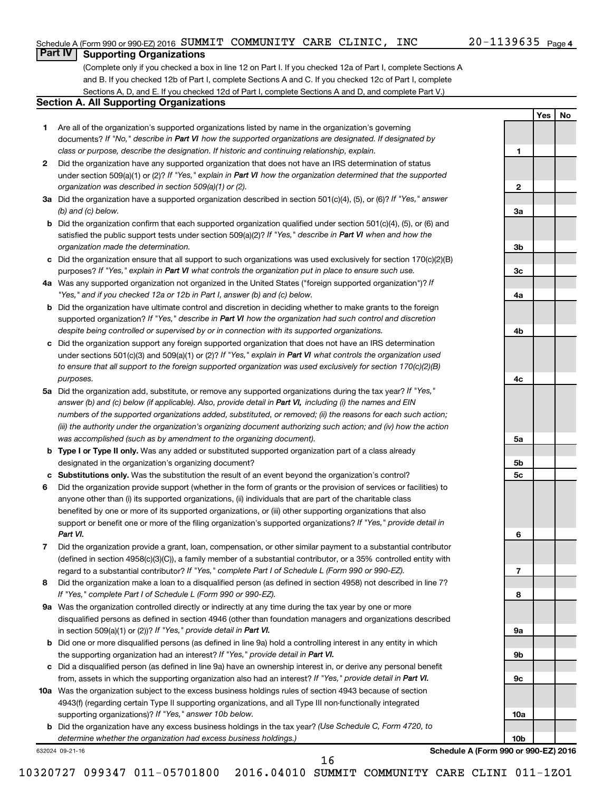**1**

**2**

**3a**

**3b**

**3c**

**4a**

**4b**

**4c**

**5a**

**5b 5c**

**6**

**7**

**8**

**9a**

**9b**

**9c**

**10a**

**10b**

**Yes No**

## **Part IV Supporting Organizations**

(Complete only if you checked a box in line 12 on Part I. If you checked 12a of Part I, complete Sections A and B. If you checked 12b of Part I, complete Sections A and C. If you checked 12c of Part I, complete Sections A, D, and E. If you checked 12d of Part I, complete Sections A and D, and complete Part V.)

#### **Section A. All Supporting Organizations**

- **1** Are all of the organization's supported organizations listed by name in the organization's governing documents? If "No," describe in Part VI how the supported organizations are designated. If designated by *class or purpose, describe the designation. If historic and continuing relationship, explain.*
- **2** Did the organization have any supported organization that does not have an IRS determination of status under section 509(a)(1) or (2)? If "Yes," explain in Part VI how the organization determined that the supported *organization was described in section 509(a)(1) or (2).*
- **3a** Did the organization have a supported organization described in section 501(c)(4), (5), or (6)? If "Yes," answer *(b) and (c) below.*
- **b** Did the organization confirm that each supported organization qualified under section 501(c)(4), (5), or (6) and satisfied the public support tests under section 509(a)(2)? If "Yes," describe in Part VI when and how the *organization made the determination.*
- **c** Did the organization ensure that all support to such organizations was used exclusively for section 170(c)(2)(B) purposes? If "Yes," explain in Part VI what controls the organization put in place to ensure such use.
- **4 a** *If* Was any supported organization not organized in the United States ("foreign supported organization")? *"Yes," and if you checked 12a or 12b in Part I, answer (b) and (c) below.*
- **b** Did the organization have ultimate control and discretion in deciding whether to make grants to the foreign supported organization? If "Yes," describe in Part VI how the organization had such control and discretion *despite being controlled or supervised by or in connection with its supported organizations.*
- **c** Did the organization support any foreign supported organization that does not have an IRS determination under sections 501(c)(3) and 509(a)(1) or (2)? If "Yes," explain in Part VI what controls the organization used *to ensure that all support to the foreign supported organization was used exclusively for section 170(c)(2)(B) purposes.*
- **5a** Did the organization add, substitute, or remove any supported organizations during the tax year? If "Yes," answer (b) and (c) below (if applicable). Also, provide detail in Part VI, including (i) the names and EIN *numbers of the supported organizations added, substituted, or removed; (ii) the reasons for each such action; (iii) the authority under the organization's organizing document authorizing such action; and (iv) how the action was accomplished (such as by amendment to the organizing document).*
- **b** Type I or Type II only. Was any added or substituted supported organization part of a class already designated in the organization's organizing document?
- **c Substitutions only.**  Was the substitution the result of an event beyond the organization's control?
- **6** Did the organization provide support (whether in the form of grants or the provision of services or facilities) to support or benefit one or more of the filing organization's supported organizations? If "Yes," provide detail in anyone other than (i) its supported organizations, (ii) individuals that are part of the charitable class benefited by one or more of its supported organizations, or (iii) other supporting organizations that also *Part VI.*
- **7** Did the organization provide a grant, loan, compensation, or other similar payment to a substantial contributor regard to a substantial contributor? If "Yes," complete Part I of Schedule L (Form 990 or 990-EZ). (defined in section 4958(c)(3)(C)), a family member of a substantial contributor, or a 35% controlled entity with
- **8** Did the organization make a loan to a disqualified person (as defined in section 4958) not described in line 7? *If "Yes," complete Part I of Schedule L (Form 990 or 990-EZ).*
- **9 a** Was the organization controlled directly or indirectly at any time during the tax year by one or more in section 509(a)(1) or (2))? If "Yes," provide detail in Part VI. disqualified persons as defined in section 4946 (other than foundation managers and organizations described
- **b** Did one or more disqualified persons (as defined in line 9a) hold a controlling interest in any entity in which the supporting organization had an interest? If "Yes," provide detail in Part VI.
- **c** Did a disqualified person (as defined in line 9a) have an ownership interest in, or derive any personal benefit from, assets in which the supporting organization also had an interest? If "Yes," provide detail in Part VI.
- **10 a** Was the organization subject to the excess business holdings rules of section 4943 because of section supporting organizations)? If "Yes," answer 10b below. 4943(f) (regarding certain Type II supporting organizations, and all Type III non-functionally integrated
	- **b** Did the organization have any excess business holdings in the tax year? (Use Schedule C, Form 4720, to *determine whether the organization had excess business holdings.)*

632024 09-21-16

**Schedule A (Form 990 or 990-EZ) 2016**

10320727 099347 011-05701800 2016.04010 SUMMIT COMMUNITY CARE CLINI 011-1ZO1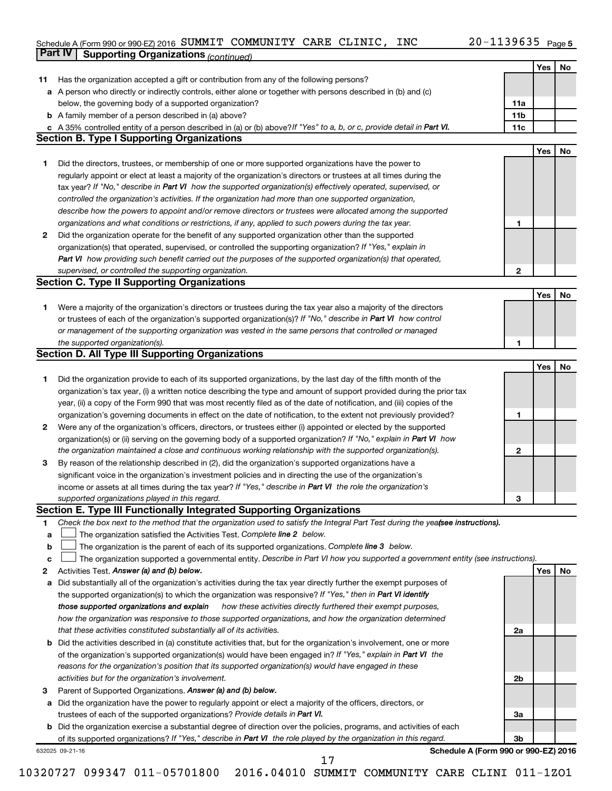#### Schedule A (Form 990 or 990-EZ) 2016 SUMMIT COMMUNITY CARE CLINIC, INC  $ZU-1139635$  Page SUMMIT COMMUNITY CARE CLINIC, INC 20-1139635

|    | Part IV<br><b>Supporting Organizations (continued)</b>                                                                          |                 |     |    |
|----|---------------------------------------------------------------------------------------------------------------------------------|-----------------|-----|----|
|    |                                                                                                                                 |                 | Yes | No |
| 11 | Has the organization accepted a gift or contribution from any of the following persons?                                         |                 |     |    |
|    | a A person who directly or indirectly controls, either alone or together with persons described in (b) and (c)                  |                 |     |    |
|    | below, the governing body of a supported organization?                                                                          | 11a             |     |    |
|    | <b>b</b> A family member of a person described in (a) above?                                                                    | 11 <sub>b</sub> |     |    |
|    | c A 35% controlled entity of a person described in (a) or (b) above? If "Yes" to a, b, or c, provide detail in Part VI.         | 11c             |     |    |
|    | <b>Section B. Type I Supporting Organizations</b>                                                                               |                 |     |    |
|    |                                                                                                                                 |                 | Yes | No |
| 1  | Did the directors, trustees, or membership of one or more supported organizations have the power to                             |                 |     |    |
|    | regularly appoint or elect at least a majority of the organization's directors or trustees at all times during the              |                 |     |    |
|    |                                                                                                                                 |                 |     |    |
|    | tax year? If "No," describe in Part VI how the supported organization(s) effectively operated, supervised, or                   |                 |     |    |
|    | controlled the organization's activities. If the organization had more than one supported organization,                         |                 |     |    |
|    | describe how the powers to appoint and/or remove directors or trustees were allocated among the supported                       |                 |     |    |
|    | organizations and what conditions or restrictions, if any, applied to such powers during the tax year.                          | 1               |     |    |
| 2  | Did the organization operate for the benefit of any supported organization other than the supported                             |                 |     |    |
|    | organization(s) that operated, supervised, or controlled the supporting organization? If "Yes," explain in                      |                 |     |    |
|    | Part VI how providing such benefit carried out the purposes of the supported organization(s) that operated,                     |                 |     |    |
|    | supervised, or controlled the supporting organization.                                                                          | $\mathbf{2}$    |     |    |
|    | <b>Section C. Type II Supporting Organizations</b>                                                                              |                 |     |    |
|    |                                                                                                                                 |                 | Yes | No |
| 1  | Were a majority of the organization's directors or trustees during the tax year also a majority of the directors                |                 |     |    |
|    | or trustees of each of the organization's supported organization(s)? If "No," describe in Part VI how control                   |                 |     |    |
|    | or management of the supporting organization was vested in the same persons that controlled or managed                          |                 |     |    |
|    | the supported organization(s).                                                                                                  | 1               |     |    |
|    | <b>Section D. All Type III Supporting Organizations</b>                                                                         |                 |     |    |
|    |                                                                                                                                 |                 | Yes | No |
| 1  | Did the organization provide to each of its supported organizations, by the last day of the fifth month of the                  |                 |     |    |
|    | organization's tax year, (i) a written notice describing the type and amount of support provided during the prior tax           |                 |     |    |
|    | year, (ii) a copy of the Form 990 that was most recently filed as of the date of notification, and (iii) copies of the          |                 |     |    |
|    | organization's governing documents in effect on the date of notification, to the extent not previously provided?                | 1               |     |    |
| 2  | Were any of the organization's officers, directors, or trustees either (i) appointed or elected by the supported                |                 |     |    |
|    | organization(s) or (ii) serving on the governing body of a supported organization? If "No," explain in Part VI how              |                 |     |    |
|    | the organization maintained a close and continuous working relationship with the supported organization(s).                     | 2               |     |    |
| 3  | By reason of the relationship described in (2), did the organization's supported organizations have a                           |                 |     |    |
|    | significant voice in the organization's investment policies and in directing the use of the organization's                      |                 |     |    |
|    | income or assets at all times during the tax year? If "Yes," describe in Part VI the role the organization's                    |                 |     |    |
|    | supported organizations played in this regard.                                                                                  | з               |     |    |
|    | Section E. Type III Functionally Integrated Supporting Organizations                                                            |                 |     |    |
| 1  | Check the box next to the method that the organization used to satisfy the Integral Part Test during the yealsee instructions). |                 |     |    |
| a  | The organization satisfied the Activities Test. Complete line 2 below.                                                          |                 |     |    |
| b  | The organization is the parent of each of its supported organizations. Complete line 3 below.                                   |                 |     |    |
| c  | The organization supported a governmental entity. Describe in Part VI how you supported a government entity (see instructions). |                 |     |    |
| 2  | Activities Test. Answer (a) and (b) below.                                                                                      |                 | Yes | No |
|    | Did substantially all of the organization's activities during the tax year directly further the exempt purposes of              |                 |     |    |
| а  | the supported organization(s) to which the organization was responsive? If "Yes," then in Part VI identify                      |                 |     |    |
|    | those supported organizations and explain<br>how these activities directly furthered their exempt purposes,                     |                 |     |    |
|    | how the organization was responsive to those supported organizations, and how the organization determined                       |                 |     |    |
|    | that these activities constituted substantially all of its activities.                                                          | 2a              |     |    |
|    |                                                                                                                                 |                 |     |    |
| b  | Did the activities described in (a) constitute activities that, but for the organization's involvement, one or more             |                 |     |    |
|    | of the organization's supported organization(s) would have been engaged in? If "Yes," explain in Part VI the                    |                 |     |    |
|    | reasons for the organization's position that its supported organization(s) would have engaged in these                          |                 |     |    |
|    | activities but for the organization's involvement.                                                                              | 2b              |     |    |
| з  | Parent of Supported Organizations. Answer (a) and (b) below.                                                                    |                 |     |    |
| а  | Did the organization have the power to regularly appoint or elect a majority of the officers, directors, or                     |                 |     |    |
|    | trustees of each of the supported organizations? Provide details in Part VI.                                                    | За              |     |    |
|    | <b>b</b> Did the organization exercise a substantial degree of direction over the policies, programs, and activities of each    |                 |     |    |
|    | of its supported organizations? If "Yes," describe in Part VI the role played by the organization in this regard.               | 3b              |     |    |
|    | Schedule A (Form 990 or 990-EZ) 2016<br>632025 09-21-16<br>17                                                                   |                 |     |    |
|    |                                                                                                                                 |                 |     |    |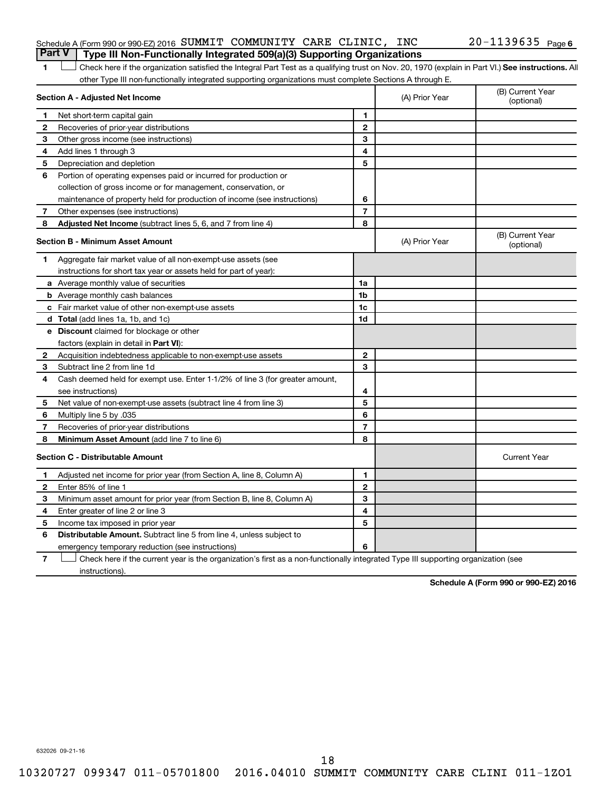#### Schedule A (Form 990 or 990-EZ) 2016  ${\tt SUMMIT}$   ${\tt COMMUNITY}$   ${\tt CARE}$   ${\tt CLINIC}$ ,  ${\tt INC}$   $20$  –  $1139635$   ${\tt Page}$ **Part V Type III Non-Functionally Integrated 509(a)(3) Supporting Organizations**

1 **Letter See instructions.** All Check here if the organization satisfied the Integral Part Test as a qualifying trust on Nov. 20, 1970 (explain in Part VI.) See instructions. All other Type III non-functionally integrated supporting organizations must complete Sections A through E.

|                                         | Section A - Adjusted Net Income                                              |                | (A) Prior Year | (B) Current Year<br>(optional) |
|-----------------------------------------|------------------------------------------------------------------------------|----------------|----------------|--------------------------------|
| 1                                       | Net short-term capital gain                                                  | 1              |                |                                |
| $\mathbf{2}$                            | Recoveries of prior-year distributions                                       | $\mathbf{2}$   |                |                                |
| 3                                       | Other gross income (see instructions)                                        | 3              |                |                                |
| 4                                       | Add lines 1 through 3                                                        | 4              |                |                                |
| 5                                       | Depreciation and depletion                                                   | 5              |                |                                |
| 6                                       | Portion of operating expenses paid or incurred for production or             |                |                |                                |
|                                         | collection of gross income or for management, conservation, or               |                |                |                                |
|                                         | maintenance of property held for production of income (see instructions)     | 6              |                |                                |
| 7                                       | Other expenses (see instructions)                                            | $\overline{7}$ |                |                                |
| 8                                       | Adjusted Net Income (subtract lines 5, 6, and 7 from line 4)                 | 8              |                |                                |
| <b>Section B - Minimum Asset Amount</b> |                                                                              |                | (A) Prior Year | (B) Current Year<br>(optional) |
| 1.                                      | Aggregate fair market value of all non-exempt-use assets (see                |                |                |                                |
|                                         | instructions for short tax year or assets held for part of year):            |                |                |                                |
|                                         | a Average monthly value of securities                                        | 1a             |                |                                |
|                                         | <b>b</b> Average monthly cash balances                                       | 1b             |                |                                |
|                                         | c Fair market value of other non-exempt-use assets                           | 1c             |                |                                |
|                                         | <b>d</b> Total (add lines 1a, 1b, and 1c)                                    | 1d             |                |                                |
|                                         | e Discount claimed for blockage or other                                     |                |                |                                |
|                                         | factors (explain in detail in <b>Part VI</b> ):                              |                |                |                                |
| 2                                       | Acquisition indebtedness applicable to non-exempt-use assets                 | $\mathbf{2}$   |                |                                |
| 3                                       | Subtract line 2 from line 1d                                                 | 3              |                |                                |
| 4                                       | Cash deemed held for exempt use. Enter 1-1/2% of line 3 (for greater amount, |                |                |                                |
|                                         | see instructions)                                                            | 4              |                |                                |
| 5                                       | Net value of non-exempt-use assets (subtract line 4 from line 3)             | 5              |                |                                |
| 6                                       | Multiply line 5 by .035                                                      | 6              |                |                                |
| 7                                       | Recoveries of prior-year distributions                                       | $\overline{7}$ |                |                                |
| 8                                       | <b>Minimum Asset Amount (add line 7 to line 6)</b>                           | 8              |                |                                |
|                                         | <b>Section C - Distributable Amount</b>                                      |                |                | <b>Current Year</b>            |
| 1                                       | Adjusted net income for prior year (from Section A, line 8, Column A)        | 1              |                |                                |
| $\mathbf{2}$                            | Enter 85% of line 1                                                          | $\mathbf{2}$   |                |                                |
| 3                                       | Minimum asset amount for prior year (from Section B, line 8, Column A)       | 3              |                |                                |
| 4                                       | Enter greater of line 2 or line 3                                            | 4              |                |                                |
| 5                                       | Income tax imposed in prior year                                             | 5              |                |                                |
| 6                                       | Distributable Amount. Subtract line 5 from line 4, unless subject to         |                |                |                                |
|                                         | emergency temporary reduction (see instructions)                             | 6              |                |                                |
|                                         |                                                                              |                |                |                                |

**7** Check here if the current year is the organization's first as a non-functionally integrated Type III supporting organization (see † instructions).

**Schedule A (Form 990 or 990-EZ) 2016**

632026 09-21-16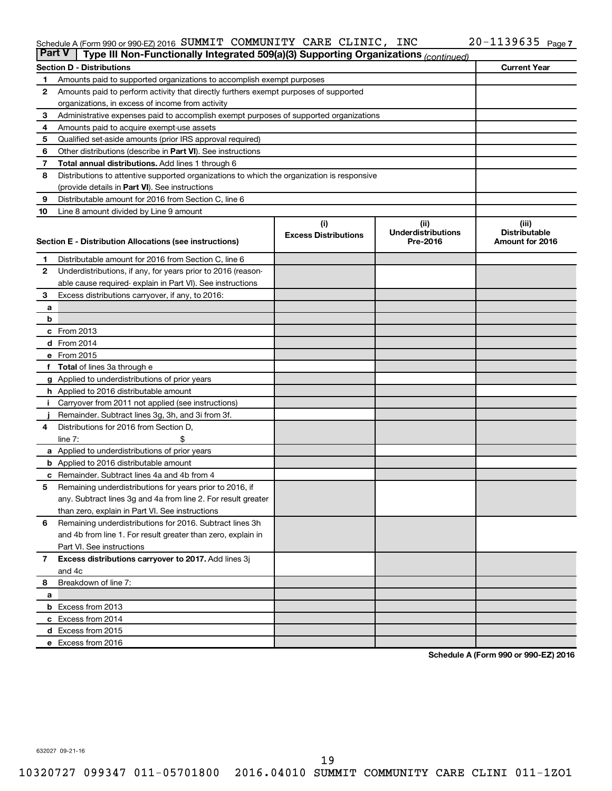#### Schedule A (Form 990 or 990-EZ) 2016 SUMMIT COMMUNITY CARE CLINIC, INC  $ZU-1139635$  Page SUMMIT COMMUNITY CARE CLINIC, INC 20-1139635

| <b>Part V</b>  | Type III Non-Functionally Integrated 509(a)(3) Supporting Organizations (continued)        |                             |                                       |                                         |  |  |
|----------------|--------------------------------------------------------------------------------------------|-----------------------------|---------------------------------------|-----------------------------------------|--|--|
|                | <b>Section D - Distributions</b>                                                           |                             |                                       | <b>Current Year</b>                     |  |  |
| 1              | Amounts paid to supported organizations to accomplish exempt purposes                      |                             |                                       |                                         |  |  |
| $\mathbf{2}$   | Amounts paid to perform activity that directly furthers exempt purposes of supported       |                             |                                       |                                         |  |  |
|                | organizations, in excess of income from activity                                           |                             |                                       |                                         |  |  |
| 3              | Administrative expenses paid to accomplish exempt purposes of supported organizations      |                             |                                       |                                         |  |  |
| 4              | Amounts paid to acquire exempt-use assets                                                  |                             |                                       |                                         |  |  |
| 5              | Qualified set-aside amounts (prior IRS approval required)                                  |                             |                                       |                                         |  |  |
| 6              | Other distributions (describe in <b>Part VI</b> ). See instructions                        |                             |                                       |                                         |  |  |
| 7              | <b>Total annual distributions.</b> Add lines 1 through 6                                   |                             |                                       |                                         |  |  |
| 8              | Distributions to attentive supported organizations to which the organization is responsive |                             |                                       |                                         |  |  |
|                | (provide details in Part VI). See instructions                                             |                             |                                       |                                         |  |  |
| 9              | Distributable amount for 2016 from Section C, line 6                                       |                             |                                       |                                         |  |  |
| 10             | Line 8 amount divided by Line 9 amount                                                     |                             |                                       |                                         |  |  |
|                |                                                                                            | (i)                         | (ii)                                  | (iii)                                   |  |  |
|                |                                                                                            | <b>Excess Distributions</b> | <b>Underdistributions</b><br>Pre-2016 | <b>Distributable</b><br>Amount for 2016 |  |  |
|                | Section E - Distribution Allocations (see instructions)                                    |                             |                                       |                                         |  |  |
| 1              | Distributable amount for 2016 from Section C, line 6                                       |                             |                                       |                                         |  |  |
| $\mathbf{2}$   | Underdistributions, if any, for years prior to 2016 (reason-                               |                             |                                       |                                         |  |  |
|                | able cause required-explain in Part VI). See instructions                                  |                             |                                       |                                         |  |  |
| 3              | Excess distributions carryover, if any, to 2016:                                           |                             |                                       |                                         |  |  |
| а              |                                                                                            |                             |                                       |                                         |  |  |
| b              |                                                                                            |                             |                                       |                                         |  |  |
|                | c From 2013                                                                                |                             |                                       |                                         |  |  |
|                | <b>d</b> From 2014                                                                         |                             |                                       |                                         |  |  |
|                | e From 2015                                                                                |                             |                                       |                                         |  |  |
|                | f Total of lines 3a through e                                                              |                             |                                       |                                         |  |  |
|                | g Applied to underdistributions of prior years                                             |                             |                                       |                                         |  |  |
|                | h Applied to 2016 distributable amount                                                     |                             |                                       |                                         |  |  |
| Ť.             | Carryover from 2011 not applied (see instructions)                                         |                             |                                       |                                         |  |  |
|                | Remainder. Subtract lines 3g, 3h, and 3i from 3f.                                          |                             |                                       |                                         |  |  |
| 4              | Distributions for 2016 from Section D,                                                     |                             |                                       |                                         |  |  |
|                | line $7:$                                                                                  |                             |                                       |                                         |  |  |
|                | a Applied to underdistributions of prior years                                             |                             |                                       |                                         |  |  |
|                | <b>b</b> Applied to 2016 distributable amount                                              |                             |                                       |                                         |  |  |
| c              | Remainder. Subtract lines 4a and 4b from 4                                                 |                             |                                       |                                         |  |  |
| 5              | Remaining underdistributions for years prior to 2016, if                                   |                             |                                       |                                         |  |  |
|                | any. Subtract lines 3g and 4a from line 2. For result greater                              |                             |                                       |                                         |  |  |
|                | than zero, explain in Part VI. See instructions                                            |                             |                                       |                                         |  |  |
| 6              | Remaining underdistributions for 2016. Subtract lines 3h                                   |                             |                                       |                                         |  |  |
|                | and 4b from line 1. For result greater than zero, explain in                               |                             |                                       |                                         |  |  |
|                | Part VI. See instructions                                                                  |                             |                                       |                                         |  |  |
| $\overline{7}$ | Excess distributions carryover to 2017. Add lines 3j                                       |                             |                                       |                                         |  |  |
|                | and 4c                                                                                     |                             |                                       |                                         |  |  |
| 8              | Breakdown of line 7:                                                                       |                             |                                       |                                         |  |  |
| а              |                                                                                            |                             |                                       |                                         |  |  |
|                | <b>b</b> Excess from 2013                                                                  |                             |                                       |                                         |  |  |
|                | c Excess from 2014                                                                         |                             |                                       |                                         |  |  |
|                | d Excess from 2015                                                                         |                             |                                       |                                         |  |  |
|                | e Excess from 2016                                                                         |                             |                                       |                                         |  |  |

**Schedule A (Form 990 or 990-EZ) 2016**

632027 09-21-16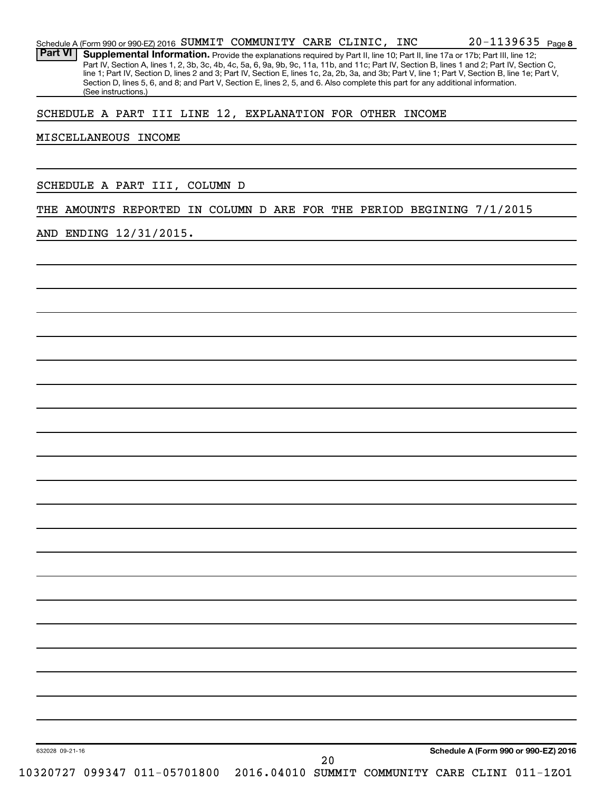|  | Schedule A (Form 990 or 990-EZ) 2016 SUMMIT COMMUNITY CARE CLINIC, INC |  |  |  |  |  | $20 - 1139635$ Page 8 |  |
|--|------------------------------------------------------------------------|--|--|--|--|--|-----------------------|--|
|--|------------------------------------------------------------------------|--|--|--|--|--|-----------------------|--|

Part VI | Supplemental Information. Provide the explanations required by Part II, line 10; Part II, line 17a or 17b; Part III, line 12; Part IV, Section A, lines 1, 2, 3b, 3c, 4b, 4c, 5a, 6, 9a, 9b, 9c, 11a, 11b, and 11c; Part IV, Section B, lines 1 and 2; Part IV, Section C, line 1; Part IV, Section D, lines 2 and 3; Part IV, Section E, lines 1c, 2a, 2b, 3a, and 3b; Part V, line 1; Part V, Section B, line 1e; Part V, Section D, lines 5, 6, and 8; and Part V, Section E, lines 2, 5, and 6. Also complete this part for any additional information. (See instructions.)

SCHEDULE A PART III LINE 12, EXPLANATION FOR OTHER INCOME

#### MISCELLANEOUS INCOME

SCHEDULE A PART III, COLUMN D

THE AMOUNTS REPORTED IN COLUMN D ARE FOR THE PERIOD BEGINING 7/1/2015

AND ENDING 12/31/2015.

632028 09-21-16

**Schedule A (Form 990 or 990-EZ) 2016**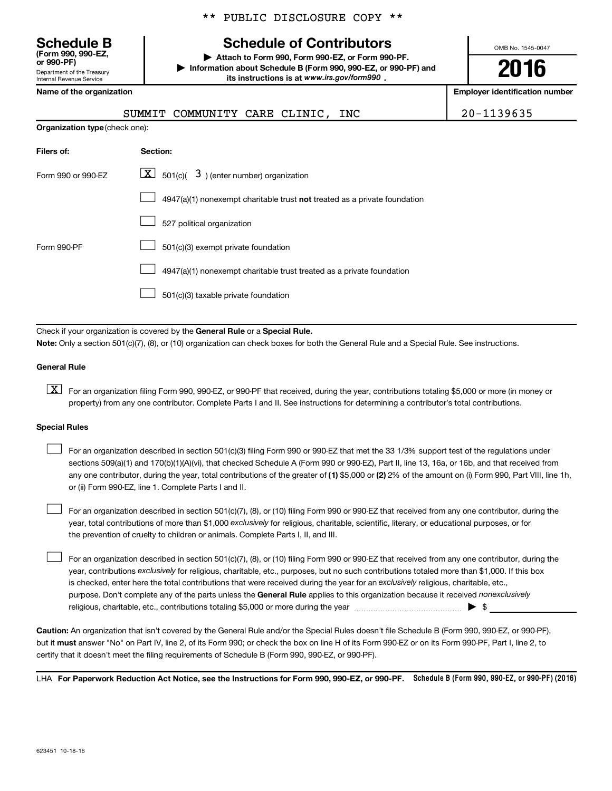Department of the Treasury Internal Revenue Service **(Form 990, 990-EZ,**

\*\* PUBLIC DISCLOSURE COPY \*\*

## **Schedule B Schedule of Contributors**

**or 990-PF) | Attach to Form 990, Form 990-EZ, or Form 990-PF. | Information about Schedule B (Form 990, 990-EZ, or 990-PF) and** its instructions is at www.irs.gov/form990.

OMB No. 1545-0047

**2016**

**Name of the organization Employer identification number**

## SUMMIT COMMUNITY CARE CLINIC, INC | 20-1139635

| <b>Organization type (check one):</b> |                                                                           |  |  |  |  |
|---------------------------------------|---------------------------------------------------------------------------|--|--|--|--|
| Filers of:                            | Section:                                                                  |  |  |  |  |
| Form 990 or 990-EZ                    | $\boxed{\textbf{X}}$ 501(c)( 3) (enter number) organization               |  |  |  |  |
|                                       | 4947(a)(1) nonexempt charitable trust not treated as a private foundation |  |  |  |  |
|                                       | 527 political organization                                                |  |  |  |  |
| Form 990-PF                           | 501(c)(3) exempt private foundation                                       |  |  |  |  |
|                                       | 4947(a)(1) nonexempt charitable trust treated as a private foundation     |  |  |  |  |
|                                       | 501(c)(3) taxable private foundation                                      |  |  |  |  |

Check if your organization is covered by the General Rule or a Special Rule.

**Note:**  Only a section 501(c)(7), (8), or (10) organization can check boxes for both the General Rule and a Special Rule. See instructions.

#### **General Rule**

**K** For an organization filing Form 990, 990-EZ, or 990-PF that received, during the year, contributions totaling \$5,000 or more (in money or property) from any one contributor. Complete Parts I and II. See instructions for determining a contributor's total contributions.

#### **Special Rules**

 $\Box$ 

any one contributor, during the year, total contributions of the greater of **(1)** \$5,000 or **(2)** 2% of the amount on (i) Form 990, Part VIII, line 1h, For an organization described in section 501(c)(3) filing Form 990 or 990-EZ that met the 33 1/3% support test of the regulations under sections 509(a)(1) and 170(b)(1)(A)(vi), that checked Schedule A (Form 990 or 990-EZ), Part II, line 13, 16a, or 16b, and that received from or (ii) Form 990-EZ, line 1. Complete Parts I and II.  $\Box$ 

year, total contributions of more than \$1,000 *exclusively* for religious, charitable, scientific, literary, or educational purposes, or for For an organization described in section 501(c)(7), (8), or (10) filing Form 990 or 990-EZ that received from any one contributor, during the the prevention of cruelty to children or animals. Complete Parts I, II, and III.  $\Box$ 

purpose. Don't complete any of the parts unless the General Rule applies to this organization because it received nonexclusively year, contributions exclusively for religious, charitable, etc., purposes, but no such contributions totaled more than \$1,000. If this box is checked, enter here the total contributions that were received during the year for an exclusively religious, charitable, etc., For an organization described in section 501(c)(7), (8), or (10) filing Form 990 or 990-EZ that received from any one contributor, during the religious, charitable, etc., contributions totaling \$5,000 or more during the year  $\ldots$  $\ldots$  $\ldots$  $\ldots$  $\ldots$  $\ldots$ 

**Caution:**  An organization that isn't covered by the General Rule and/or the Special Rules doesn't file Schedule B (Form 990, 990-EZ, or 990-PF),  **must** but it answer "No" on Part IV, line 2, of its Form 990; or check the box on line H of its Form 990-EZ or on its Form 990-PF, Part I, line 2, to certify that it doesn't meet the filing requirements of Schedule B (Form 990, 990-EZ, or 990-PF).

LHA For Paperwork Reduction Act Notice, see the Instructions for Form 990, 990-EZ, or 990-PF. Schedule B (Form 990, 990-EZ, or 990-PF) (2016)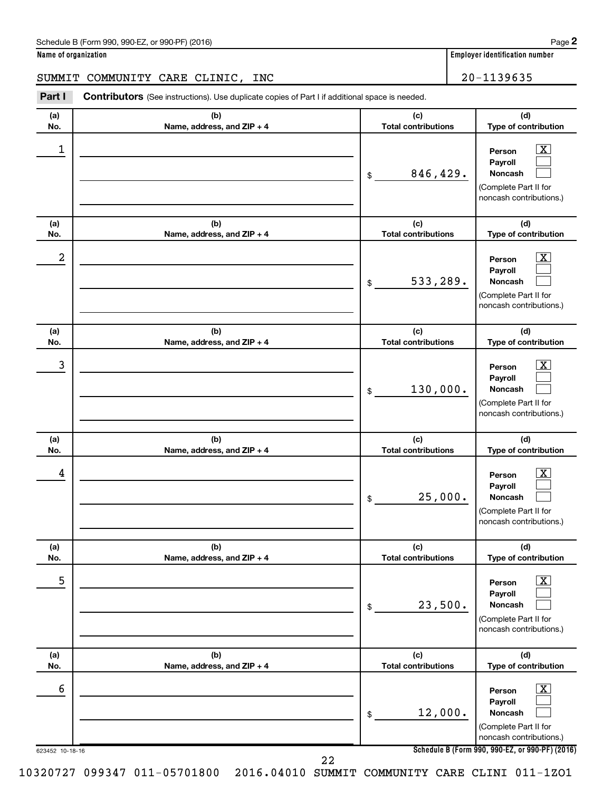#### SUMMIT COMMUNITY CARE CLINIC, INC | 20-1139635

623452 10-18-16 **Schedule B (Form 990, 990-EZ, or 990-PF) (2016) (a) No. (b) Name, address, and ZIP + 4 (c) Total contributions (d) Type of contribution Person Payroll Noncash (a) No. (b) Name, address, and ZIP + 4 (c) Total contributions (d) Type of contribution Person Payroll Noncash (a) No. (b) Name, address, and ZIP + 4 (c) Total contributions (d) Type of contribution Person Payroll Noncash (a) No. (b) Name, address, and ZIP + 4 (c) Total contributions (d) Type of contribution Person Payroll Noncash (a) No. (b) Name, address, and ZIP + 4 (c) Total contributions (d) Type of contribution Person Payroll Noncash (a) No. (b) Name, address, and ZIP + 4 (c) Total contributions (d) Type of contribution Person Payroll Noncash Part I** Contributors (See instructions). Use duplicate copies of Part I if additional space is needed. \$ (Complete Part II for noncash contributions.) \$ (Complete Part II for noncash contributions.) \$ (Complete Part II for noncash contributions.) \$ (Complete Part II for noncash contributions.) \$ (Complete Part II for noncash contributions.) \$ (Complete Part II for noncash contributions.)  $\lfloor x \rfloor$  $\Box$  $\Box$  $\overline{\mathbf{X}}$  $\Box$  $\Box$  $\boxed{\textbf{X}}$  $\Box$  $\Box$  $\boxed{\textbf{X}}$  $\Box$  $\Box$  $\boxed{\text{X}}$  $\Box$  $\Box$  $\boxed{\text{X}}$  $\Box$  $\Box$  $\begin{array}{|c|c|c|c|c|}\hline \ \text{1} & \text{Person} & \text{X} \ \hline \end{array}$ 846,429.  $2$  Person  $\overline{\text{X}}$ 533,289.  $\begin{array}{|c|c|c|c|c|c|}\hline \text{3} & \text{Person} & \text{X} \ \hline \end{array}$ 130,000.  $\begin{array}{|c|c|c|c|c|}\hline \text{4} & \text{Person} & \text{\textbf{X}}\ \hline \end{array}$ 25,000. 5 X 23,500.  $\overline{6}$  Person  $\overline{X}$ 12,000. 22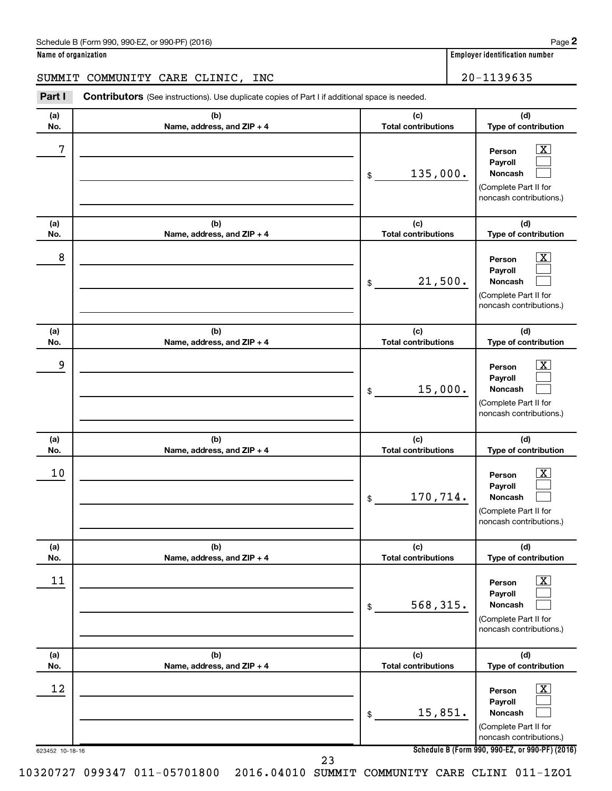#### SUMMIT COMMUNITY CARE CLINIC, INC | 20-1139635

623452 10-18-16 **Schedule B (Form 990, 990-EZ, or 990-PF) (2016) (a) No. (b) Name, address, and ZIP + 4 (c) Total contributions (d) Type of contribution Person Payroll Noncash (a) No. (b) Name, address, and ZIP + 4 (c) Total contributions (d) Type of contribution Person Payroll Noncash (a) No. (b) Name, address, and ZIP + 4 (c) Total contributions (d) Type of contribution Person Payroll Noncash (a) No. (b) Name, address, and ZIP + 4 (c) Total contributions (d) Type of contribution Person Payroll Noncash (a) No. (b) Name, address, and ZIP + 4 (c) Total contributions (d) Type of contribution Person Payroll Noncash (a) No. (b) Name, address, and ZIP + 4 (c) Total contributions (d) Type of contribution Person Payroll Noncash Part I** Contributors (See instructions). Use duplicate copies of Part I if additional space is needed. \$ (Complete Part II for noncash contributions.) \$ (Complete Part II for noncash contributions.) \$ (Complete Part II for noncash contributions.) \$ (Complete Part II for noncash contributions.) \$ (Complete Part II for noncash contributions.) \$ (Complete Part II for noncash contributions.)  $\lfloor x \rfloor$  $\Box$  $\Box$  $\overline{\mathbf{X}}$  $\Box$  $\Box$  $\boxed{\textbf{X}}$  $\Box$  $\Box$  $\boxed{\textbf{X}}$  $\Box$  $\Box$  $\boxed{\text{X}}$  $\Box$  $\Box$  $\boxed{\textbf{X}}$  $\Box$  $\Box$  $7$   $|$  Person  $\overline{\text{X}}$ 135,000.  $8$  Person  $\overline{\text{X}}$ 21,500. 9 X 15,000.  $10$  Person  $\overline{\text{X}}$ 170,714.  $\begin{array}{|c|c|c|c|c|}\hline \text{11} & \text{Person} & \text{X} \\\hline \end{array}$ 568,315.  $\begin{array}{|c|c|c|c|c|}\hline \text{12} & \text{Person} & \text{X} \\\hline \end{array}$ 15,851. 23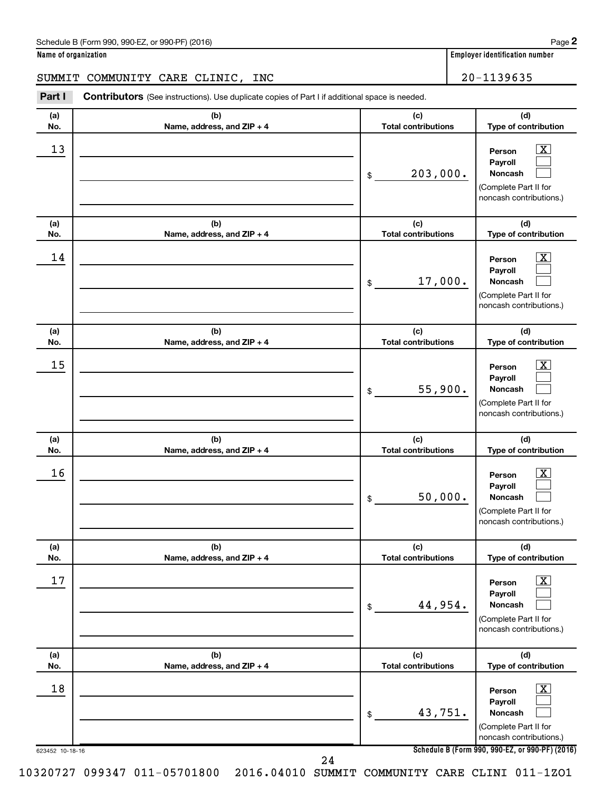#### SUMMIT COMMUNITY CARE CLINIC, INC | 20-1139635

623452 10-18-16 **Schedule B (Form 990, 990-EZ, or 990-PF) (2016) (a) No. (b) Name, address, and ZIP + 4 (c) Total contributions (d) Type of contribution Person Payroll Noncash (a) No. (b) Name, address, and ZIP + 4 (c) Total contributions (d) Type of contribution Person Payroll Noncash (a) No. (b) Name, address, and ZIP + 4 (c) Total contributions (d) Type of contribution Person Payroll Noncash (a) No. (b) Name, address, and ZIP + 4 (c) Total contributions (d) Type of contribution Person Payroll Noncash (a) No. (b) Name, address, and ZIP + 4 (c) Total contributions (d) Type of contribution Person Payroll Noncash (a) No. (b) Name, address, and ZIP + 4 (c) Total contributions (d) Type of contribution Person Payroll Noncash Part I** Contributors (See instructions). Use duplicate copies of Part I if additional space is needed. \$ (Complete Part II for noncash contributions.) \$ (Complete Part II for noncash contributions.) \$ (Complete Part II for noncash contributions.) \$ (Complete Part II for noncash contributions.) \$ (Complete Part II for noncash contributions.) \$ (Complete Part II for noncash contributions.)  $\lfloor x \rfloor$  $\Box$  $\Box$  $\overline{\mathbf{X}}$  $\Box$  $\Box$  $\boxed{\textbf{X}}$  $\Box$  $\Box$  $\boxed{\textbf{X}}$  $\Box$  $\Box$  $\boxed{\text{X}}$  $\Box$  $\Box$  $\boxed{\textbf{X}}$  $\Box$  $\Box$  $\begin{array}{|c|c|c|c|c|}\hline \text{13} & \text{Person} & \text{X} \\\hline \end{array}$ 203,000.  $\begin{array}{|c|c|c|c|c|}\hline \text{14} & \text{Person} & \text{X} \\\hline \end{array}$ 17,000.  $15$  Person  $\overline{\text{X}}$ 55,900.  $16$  Person  $\overline{\text{X}}$ 50,000.  $17$  Person  $\overline{\text{X}}$ 44,954.  $\begin{array}{|c|c|c|c|c|c|}\hline \text{18} & \text{Person} & \text{X} \\\hline \end{array}$ 43,751. 24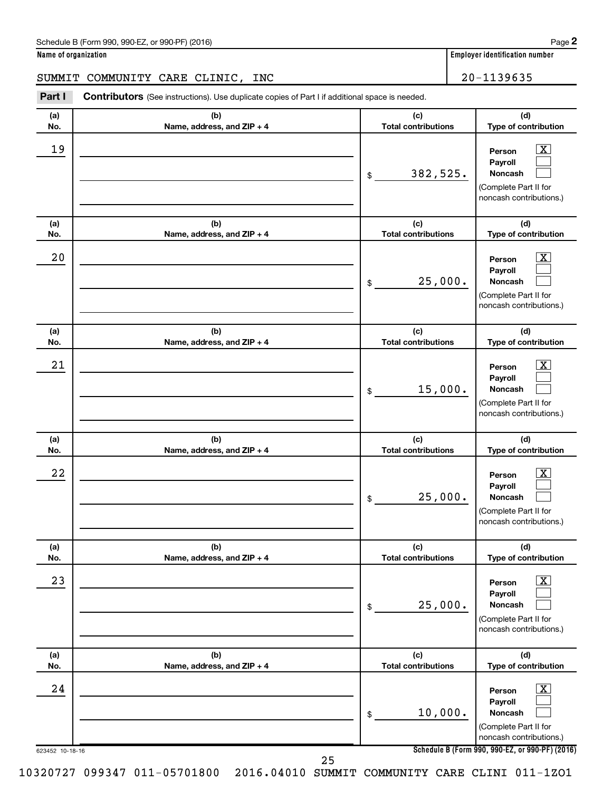#### SUMMIT COMMUNITY CARE CLINIC, INC | 20-1139635

623452 10-18-16 **Schedule B (Form 990, 990-EZ, or 990-PF) (2016) (a) No. (b) Name, address, and ZIP + 4 (c) Total contributions (d) Type of contribution Person Payroll Noncash (a) No. (b) Name, address, and ZIP + 4 (c) Total contributions (d) Type of contribution Person Payroll Noncash (a) No. (b) Name, address, and ZIP + 4 (c) Total contributions (d) Type of contribution Person Payroll Noncash (a) No. (b) Name, address, and ZIP + 4 (c) Total contributions (d) Type of contribution Person Payroll Noncash (a) No. (b) Name, address, and ZIP + 4 (c) Total contributions (d) Type of contribution Person Payroll Noncash (a) No. (b) Name, address, and ZIP + 4 (c) Total contributions (d) Type of contribution Person Payroll Noncash Part I** Contributors (See instructions). Use duplicate copies of Part I if additional space is needed. \$ (Complete Part II for noncash contributions.) \$ (Complete Part II for noncash contributions.) \$ (Complete Part II for noncash contributions.) \$ (Complete Part II for noncash contributions.) \$ (Complete Part II for noncash contributions.) \$ (Complete Part II for noncash contributions.)  $\lfloor x \rfloor$  $\Box$  $\Box$  $\overline{\mathbf{X}}$  $\Box$  $\Box$  $\boxed{\textbf{X}}$  $\Box$  $\Box$  $\boxed{\textbf{X}}$  $\Box$  $\Box$  $\boxed{\text{X}}$  $\Box$  $\Box$  $\boxed{\textbf{X}}$  $\Box$  $\Box$  $19$  Person  $\overline{\text{X}}$ 382,525.  $20$  Person  $\overline{\text{X}}$ 25,000.  $21$  Person  $\overline{\text{X}}$ 15,000.  $22$  Person  $\overline{\text{X}}$ 25,000.  $23$  Person  $\overline{\text{X}}$ 25,000.  $24$  Person  $\overline{\text{X}}$ 10,000. 25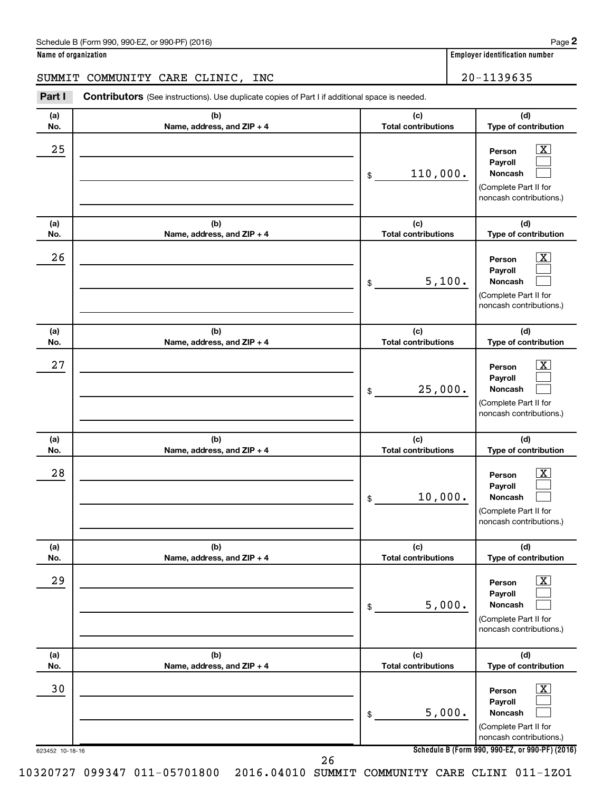## SUMMIT COMMUNITY CARE CLINIC, INC 20-1139635

| Part I                | <b>Contributors</b> (See instructions). Use duplicate copies of Part I if additional space is needed. |                                   |                                                                                                                                                                     |
|-----------------------|-------------------------------------------------------------------------------------------------------|-----------------------------------|---------------------------------------------------------------------------------------------------------------------------------------------------------------------|
| (a)<br>No.            | (b)<br>Name, address, and ZIP + 4                                                                     | (c)<br><b>Total contributions</b> | (d)<br>Type of contribution                                                                                                                                         |
| 25                    |                                                                                                       | 110,000.<br>\$                    | $\overline{\text{X}}$<br>Person<br>Pavroll<br><b>Noncash</b><br>(Complete Part II for<br>noncash contributions.)                                                    |
| (a)<br>No.            | (b)<br>Name, address, and ZIP + 4                                                                     | (c)<br><b>Total contributions</b> | (d)<br>Type of contribution                                                                                                                                         |
| 26                    |                                                                                                       | 5,100.<br>\$                      | $\overline{\mathbf{X}}$<br>Person<br>Payroll<br><b>Noncash</b><br>(Complete Part II for<br>noncash contributions.)                                                  |
| (a)<br>No.            | (b)<br>Name, address, and ZIP + 4                                                                     | (c)<br><b>Total contributions</b> | (d)<br>Type of contribution                                                                                                                                         |
| 27                    |                                                                                                       | 25,000.<br>\$                     | $\overline{\mathbf{X}}$<br>Person<br>Payroll<br><b>Noncash</b><br>(Complete Part II for<br>noncash contributions.)                                                  |
| (a)<br>No.            | (b)<br>Name, address, and ZIP + 4                                                                     | (c)<br><b>Total contributions</b> | (d)<br>Type of contribution                                                                                                                                         |
| 28                    |                                                                                                       | 10,000.<br>\$                     | $\overline{\mathbf{X}}$<br>Person<br>Payroll<br><b>Noncash</b><br>(Complete Part II for<br>noncash contributions.)                                                  |
| (a)<br>No.            | (b)<br>Name, address, and ZIP + 4                                                                     | (c)<br><b>Total contributions</b> | (d)<br>Type of contribution                                                                                                                                         |
| 29                    |                                                                                                       | 5,000.<br>\$                      | $\overline{\mathbf{X}}$<br>Person<br>Payroll<br>Noncash<br>(Complete Part II for<br>noncash contributions.)                                                         |
| (a)<br>No.            | (b)<br>Name, address, and ZIP + 4                                                                     | (c)<br><b>Total contributions</b> | (d)<br>Type of contribution                                                                                                                                         |
| 30<br>623452 10-18-16 |                                                                                                       | 5,000.<br>\$                      | $\overline{\text{X}}$<br>Person<br>Payroll<br><b>Noncash</b><br>(Complete Part II for<br>noncash contributions.)<br>Schedule B (Form 990, 990-EZ, or 990-PF) (2016) |
|                       |                                                                                                       | 26                                |                                                                                                                                                                     |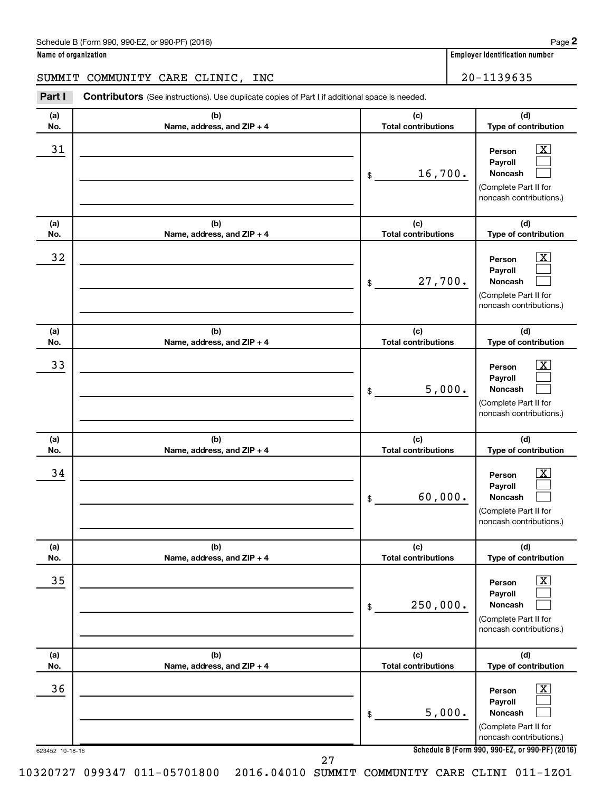#### SUMMIT COMMUNITY CARE CLINIC, INC | 20-1139635

623452 10-18-16 **Schedule B (Form 990, 990-EZ, or 990-PF) (2016) (a) No. (b) Name, address, and ZIP + 4 (c) Total contributions (d) Type of contribution Person Payroll Noncash (a) No. (b) Name, address, and ZIP + 4 (c) Total contributions (d) Type of contribution Person Payroll Noncash (a) No. (b) Name, address, and ZIP + 4 (c) Total contributions (d) Type of contribution Person Payroll Noncash (a) No. (b) Name, address, and ZIP + 4 (c) Total contributions (d) Type of contribution Person Payroll Noncash (a) No. (b) Name, address, and ZIP + 4 (c) Total contributions (d) Type of contribution Person Payroll Noncash (a) No. (b) Name, address, and ZIP + 4 (c) Total contributions (d) Type of contribution Person Payroll Noncash Part I** Contributors (See instructions). Use duplicate copies of Part I if additional space is needed. \$ (Complete Part II for noncash contributions.) \$ (Complete Part II for noncash contributions.) \$ (Complete Part II for noncash contributions.) \$ (Complete Part II for noncash contributions.) \$ (Complete Part II for noncash contributions.) \$ (Complete Part II for noncash contributions.)  $\lfloor x \rfloor$  $\Box$  $\Box$  $\overline{\mathbf{X}}$  $\Box$  $\Box$  $\boxed{\textbf{X}}$  $\Box$  $\Box$  $\boxed{\textbf{X}}$  $\Box$  $\Box$  $\boxed{\text{X}}$  $\Box$  $\Box$  $\boxed{\textbf{X}}$  $\Box$  $\Box$  $\begin{array}{|c|c|c|c|c|}\hline \text{31} & \text{Person} & \text{X} \\\hline \end{array}$ 16,700.  $\begin{array}{|c|c|c|c|c|}\hline \text{32} & \text{Person} & \text{X} \ \hline \end{array}$ 27,700.  $\overline{33}$  Person  $\overline{\text{X}}$ 5,000.  $\begin{array}{|c|c|c|c|c|}\hline \text{34} & \text{Person} & \text{X} \\\hline \end{array}$ 60,000.  $\overline{35}$  Person  $\overline{\text{X}}$ 250,000.  $36$  Person  $\overline{\text{X}}$ 5,000. 27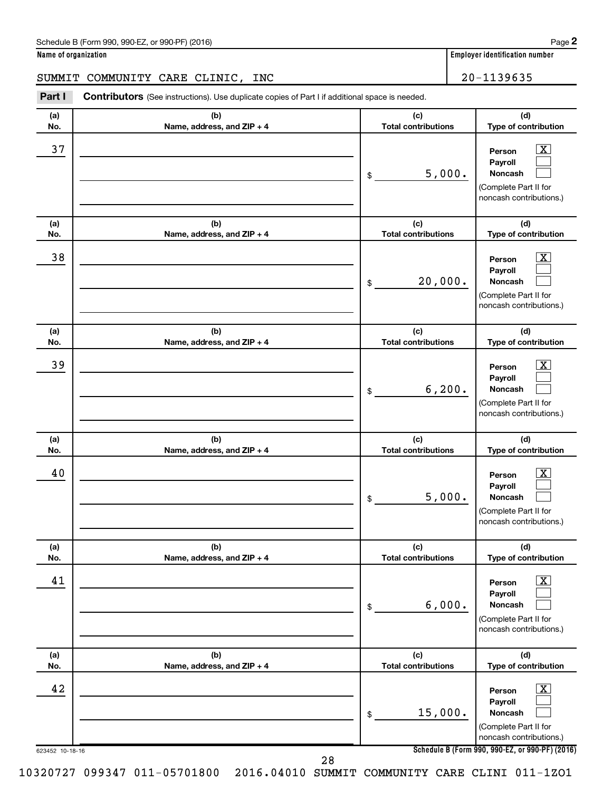#### SUMMIT COMMUNITY CARE CLINIC, INC | 20-1139635

623452 10-18-16 **Schedule B (Form 990, 990-EZ, or 990-PF) (2016) (a) No. (b) Name, address, and ZIP + 4 (c) Total contributions (d) Type of contribution Person Payroll Noncash (a) No. (b) Name, address, and ZIP + 4 (c) Total contributions (d) Type of contribution Person Payroll Noncash (a) No. (b) Name, address, and ZIP + 4 (c) Total contributions (d) Type of contribution Person Payroll Noncash (a) No. (b) Name, address, and ZIP + 4 (c) Total contributions (d) Type of contribution Person Payroll Noncash (a) No. (b) Name, address, and ZIP + 4 (c) Total contributions (d) Type of contribution Person Payroll Noncash (a) No. (b) Name, address, and ZIP + 4 (c) Total contributions (d) Type of contribution Person Payroll Noncash Part I** Contributors (See instructions). Use duplicate copies of Part I if additional space is needed. \$ (Complete Part II for noncash contributions.) \$ (Complete Part II for noncash contributions.) \$ (Complete Part II for noncash contributions.) \$ (Complete Part II for noncash contributions.) \$ (Complete Part II for noncash contributions.) \$ (Complete Part II for noncash contributions.)  $\lfloor x \rfloor$  $\Box$  $\Box$  $\overline{\mathbf{X}}$  $\Box$  $\Box$  $\boxed{\textbf{X}}$  $\Box$  $\Box$  $\boxed{\textbf{X}}$  $\Box$  $\Box$  $\boxed{\text{X}}$  $\Box$  $\Box$  $\boxed{\text{X}}$  $\Box$  $\Box$  $\overline{37}$  Person  $\overline{\text{X}}$ 5,000.  $\overline{38}$  Person  $\overline{\text{X}}$ 20,000.  $\overline{39}$  Person  $\overline{\text{X}}$ 6,200.  $40$  Person  $\overline{\text{X}}$ 5,000.  $41$  Person  $\overline{\text{X}}$ 6,000.  $42$  Person  $\overline{\text{X}}$ 15,000. 28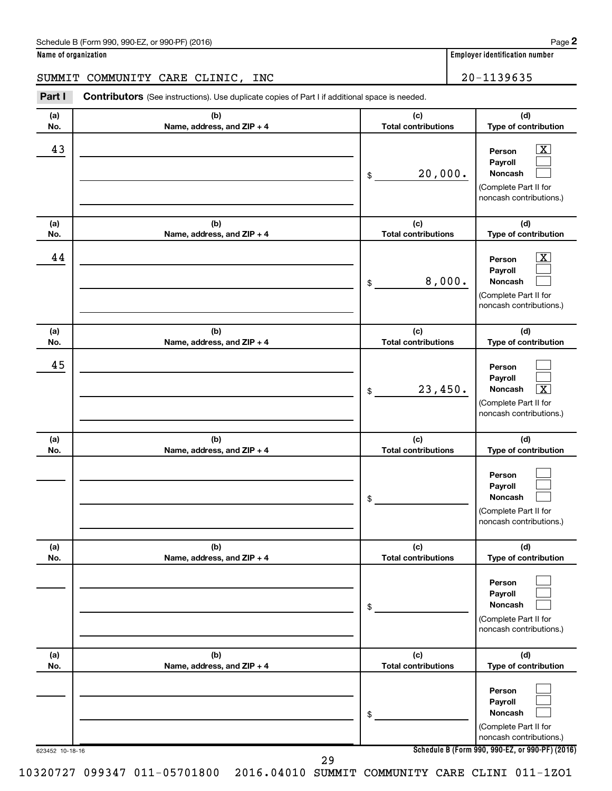#### SUMMIT COMMUNITY CARE CLINIC, INC  $\vert$  20-1139635

623452 10-18-16 **Schedule B (Form 990, 990-EZ, or 990-PF) (2016) (a) No. (b) Name, address, and ZIP + 4 (c) Total contributions (d) Type of contribution Person Payroll Noncash (a) No. (b) Name, address, and ZIP + 4 (c) Total contributions (d) Type of contribution Person Payroll Noncash (a) No. (b) Name, address, and ZIP + 4 (c) Total contributions (d) Type of contribution Person Payroll Noncash (a) No. (b) Name, address, and ZIP + 4 (c) Total contributions (d) Type of contribution Person Payroll Noncash (a) No. (b) Name, address, and ZIP + 4 (c) Total contributions (d) Type of contribution Person Payroll Noncash (a) No. (b) Name, address, and ZIP + 4 (c) Total contributions (d) Type of contribution Person Payroll Noncash Part I** Contributors (See instructions). Use duplicate copies of Part I if additional space is needed. \$ (Complete Part II for noncash contributions.) \$ (Complete Part II for noncash contributions.) \$ (Complete Part II for noncash contributions.) \$ (Complete Part II for noncash contributions.) \$ (Complete Part II for noncash contributions.) \$ (Complete Part II for noncash contributions.)  $\lfloor x \rfloor$  $\Box$  $\Box$  $\overline{\mathbf{X}}$  $\Box$  $\Box$  $\Box$  $\Box$  $\boxed{\textbf{X}}$  $\Box$  $\Box$  $\Box$  $\Box$  $\Box$  $\Box$  $\Box$  $\Box$  $\Box$  $43$  Person  $\overline{\text{X}}$ 20,000.  $44$  Person  $\overline{\text{X}}$ 8,000. 45  $23,450.$ 29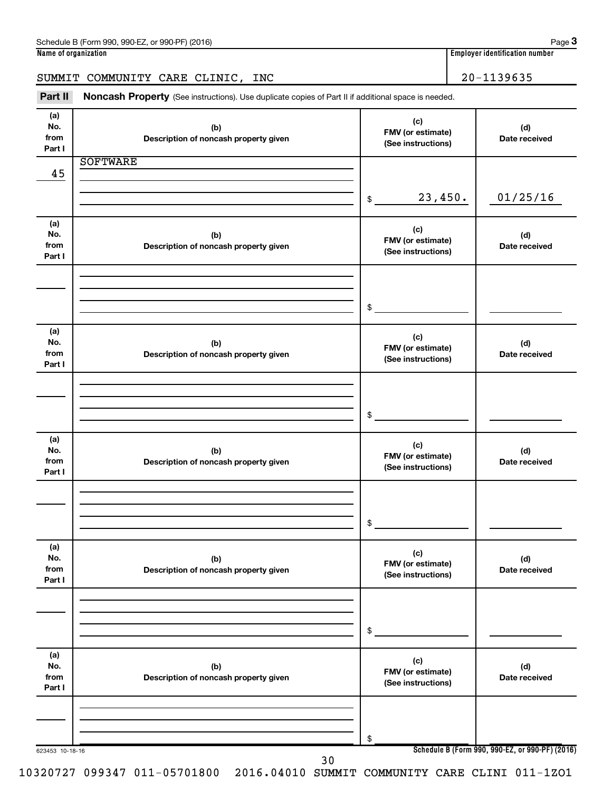## SUMMIT COMMUNITY CARE CLINIC, INC 20-1139635

Part II Noncash Property (See instructions). Use duplicate copies of Part II if additional space is needed.

| (a)<br>No.<br>from<br>Part I | (b)<br>Description of noncash property given | (c)<br>FMV (or estimate)<br>(See instructions) | (d)<br>Date received                            |
|------------------------------|----------------------------------------------|------------------------------------------------|-------------------------------------------------|
|                              | <b>SOFTWARE</b>                              |                                                |                                                 |
| 45                           |                                              |                                                |                                                 |
|                              |                                              |                                                |                                                 |
|                              |                                              | 23,450.<br>$\frac{1}{2}$                       | 01/25/16                                        |
|                              |                                              |                                                |                                                 |
|                              |                                              |                                                |                                                 |
| (a)                          |                                              | (c)                                            |                                                 |
| No.                          | (b)                                          | FMV (or estimate)                              | (d)                                             |
| from<br>Part I               | Description of noncash property given        | (See instructions)                             | Date received                                   |
|                              |                                              |                                                |                                                 |
|                              |                                              |                                                |                                                 |
|                              |                                              |                                                |                                                 |
|                              |                                              |                                                |                                                 |
|                              |                                              | \$                                             |                                                 |
|                              |                                              |                                                |                                                 |
| (a)                          |                                              |                                                |                                                 |
| No.                          | (b)                                          | (c)                                            | (d)                                             |
| from                         | Description of noncash property given        | FMV (or estimate)                              | Date received                                   |
| Part I                       |                                              | (See instructions)                             |                                                 |
|                              |                                              |                                                |                                                 |
|                              |                                              |                                                |                                                 |
|                              |                                              |                                                |                                                 |
|                              |                                              | $$\mathbb{S}$$                                 |                                                 |
|                              |                                              |                                                |                                                 |
|                              |                                              |                                                |                                                 |
| (a)<br>No.                   |                                              | (c)                                            |                                                 |
| from                         | (b)                                          | FMV (or estimate)                              | (d)                                             |
| Part I                       | Description of noncash property given        | (See instructions)                             | Date received                                   |
|                              |                                              |                                                |                                                 |
|                              |                                              |                                                |                                                 |
|                              |                                              |                                                |                                                 |
|                              |                                              |                                                |                                                 |
|                              |                                              | $$\mathbb{S}$$                                 |                                                 |
|                              |                                              |                                                |                                                 |
| (a)                          |                                              | (c)                                            |                                                 |
| No.                          | (b)                                          | FMV (or estimate)                              | (d)                                             |
| from                         | Description of noncash property given        | (See instructions)                             | Date received                                   |
| Part I                       |                                              |                                                |                                                 |
|                              |                                              |                                                |                                                 |
|                              |                                              |                                                |                                                 |
|                              |                                              |                                                |                                                 |
|                              |                                              | \$                                             |                                                 |
|                              |                                              |                                                |                                                 |
| (a)                          |                                              |                                                |                                                 |
| No.                          | (b)                                          | (c)                                            | (d)                                             |
| from                         | Description of noncash property given        | FMV (or estimate)                              | Date received                                   |
| Part I                       |                                              | (See instructions)                             |                                                 |
|                              |                                              |                                                |                                                 |
|                              |                                              |                                                |                                                 |
|                              |                                              |                                                |                                                 |
|                              |                                              |                                                |                                                 |
|                              |                                              | \$                                             | Schedule B (Form 990, 990-EZ, or 990-PF) (2016) |
| 623453 10-18-16              | 30                                           |                                                |                                                 |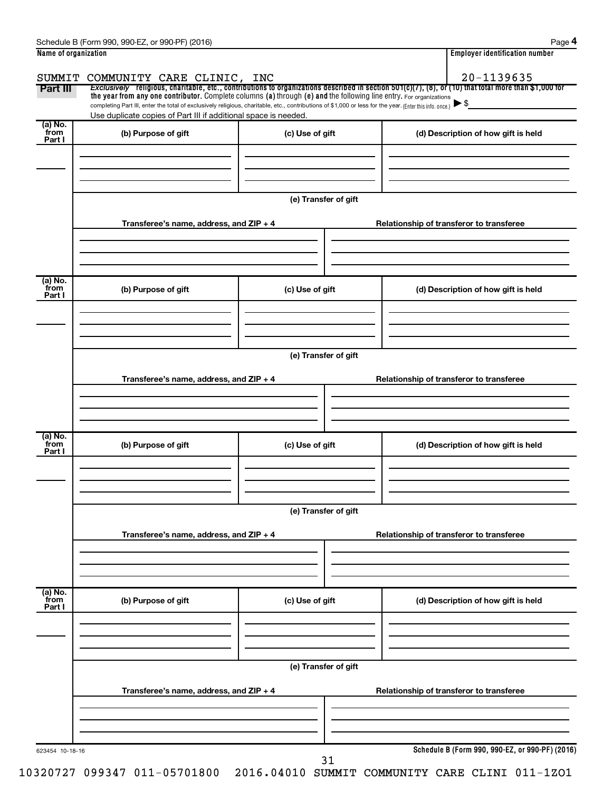|                             | Schedule B (Form 990, 990-EZ, or 990-PF) (2016)                                                                                                                                                                                                                                 |                      |  | Page                                                                                                                                                                |  |  |
|-----------------------------|---------------------------------------------------------------------------------------------------------------------------------------------------------------------------------------------------------------------------------------------------------------------------------|----------------------|--|---------------------------------------------------------------------------------------------------------------------------------------------------------------------|--|--|
| Name of organization        |                                                                                                                                                                                                                                                                                 |                      |  | <b>Employer identification number</b>                                                                                                                               |  |  |
|                             |                                                                                                                                                                                                                                                                                 |                      |  |                                                                                                                                                                     |  |  |
| Part III                    | SUMMIT COMMUNITY CARE CLINIC, INC                                                                                                                                                                                                                                               |                      |  | 20-1139635<br>Exclusively religious, charitable, etc., contributions to organizations described in section 501(c)(7), (8), or (10) that total more than \$1,000 for |  |  |
|                             | the year from any one contributor. Complete columns (a) through (e) and the following line entry. For organizations<br>completing Part III, enter the total of exclusively religious, charitable, etc., contributions of \$1,000 or less for the year. (Enter this info. once.) |                      |  | ▶\$                                                                                                                                                                 |  |  |
|                             | Use duplicate copies of Part III if additional space is needed.                                                                                                                                                                                                                 |                      |  |                                                                                                                                                                     |  |  |
| $(a)$ No.<br>from<br>Part I | (b) Purpose of gift                                                                                                                                                                                                                                                             | (c) Use of gift      |  | (d) Description of how gift is held                                                                                                                                 |  |  |
|                             |                                                                                                                                                                                                                                                                                 |                      |  |                                                                                                                                                                     |  |  |
|                             |                                                                                                                                                                                                                                                                                 | (e) Transfer of gift |  |                                                                                                                                                                     |  |  |
|                             |                                                                                                                                                                                                                                                                                 |                      |  |                                                                                                                                                                     |  |  |
|                             | Transferee's name, address, and ZIP + 4                                                                                                                                                                                                                                         |                      |  | Relationship of transferor to transferee                                                                                                                            |  |  |
|                             |                                                                                                                                                                                                                                                                                 |                      |  |                                                                                                                                                                     |  |  |
|                             |                                                                                                                                                                                                                                                                                 |                      |  |                                                                                                                                                                     |  |  |
| $(a)$ No.                   |                                                                                                                                                                                                                                                                                 |                      |  |                                                                                                                                                                     |  |  |
| from<br>Part I              | (b) Purpose of gift                                                                                                                                                                                                                                                             | (c) Use of gift      |  | (d) Description of how gift is held                                                                                                                                 |  |  |
|                             |                                                                                                                                                                                                                                                                                 |                      |  |                                                                                                                                                                     |  |  |
|                             |                                                                                                                                                                                                                                                                                 |                      |  |                                                                                                                                                                     |  |  |
|                             |                                                                                                                                                                                                                                                                                 |                      |  |                                                                                                                                                                     |  |  |
|                             |                                                                                                                                                                                                                                                                                 | (e) Transfer of gift |  |                                                                                                                                                                     |  |  |
|                             | Transferee's name, address, and ZIP + 4                                                                                                                                                                                                                                         |                      |  | Relationship of transferor to transferee                                                                                                                            |  |  |
|                             |                                                                                                                                                                                                                                                                                 |                      |  |                                                                                                                                                                     |  |  |
|                             |                                                                                                                                                                                                                                                                                 |                      |  |                                                                                                                                                                     |  |  |
|                             |                                                                                                                                                                                                                                                                                 |                      |  |                                                                                                                                                                     |  |  |
| (a) No.<br>from<br>Part I   | (b) Purpose of gift                                                                                                                                                                                                                                                             | (c) Use of gift      |  | (d) Description of how gift is held                                                                                                                                 |  |  |
|                             |                                                                                                                                                                                                                                                                                 |                      |  |                                                                                                                                                                     |  |  |
|                             |                                                                                                                                                                                                                                                                                 |                      |  |                                                                                                                                                                     |  |  |
|                             | (e) Transfer of gift                                                                                                                                                                                                                                                            |                      |  |                                                                                                                                                                     |  |  |
|                             |                                                                                                                                                                                                                                                                                 |                      |  |                                                                                                                                                                     |  |  |
|                             | Transferee's name, address, and ZIP + 4                                                                                                                                                                                                                                         |                      |  | Relationship of transferor to transferee                                                                                                                            |  |  |
|                             |                                                                                                                                                                                                                                                                                 |                      |  |                                                                                                                                                                     |  |  |
|                             |                                                                                                                                                                                                                                                                                 |                      |  |                                                                                                                                                                     |  |  |
| (a) No.<br>from             |                                                                                                                                                                                                                                                                                 |                      |  |                                                                                                                                                                     |  |  |
| Part I                      | (b) Purpose of gift                                                                                                                                                                                                                                                             | (c) Use of gift      |  | (d) Description of how gift is held                                                                                                                                 |  |  |
|                             |                                                                                                                                                                                                                                                                                 |                      |  |                                                                                                                                                                     |  |  |
|                             |                                                                                                                                                                                                                                                                                 |                      |  |                                                                                                                                                                     |  |  |
|                             |                                                                                                                                                                                                                                                                                 |                      |  |                                                                                                                                                                     |  |  |

**Transferee's name, address, and ZIP + 4 Relationship of transferor to transferee**

31

**(e) Transfer of gift**

623454 10-18-16

**Schedule B (Form 990, 990-EZ, or 990-PF) (2016)**

10320727 099347 011-05701800 2016.04010 SUMMIT COMMUNITY CARE CLINI 011-1ZO1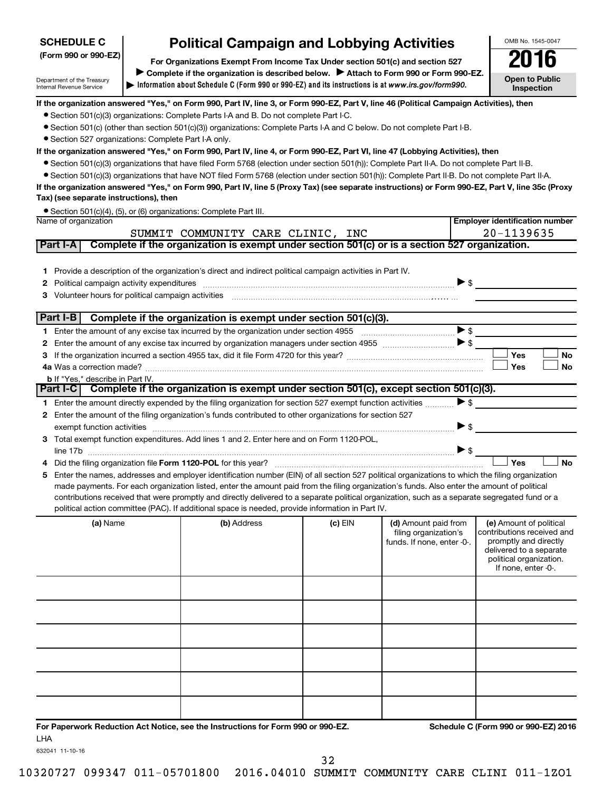#### **(Form 990 or 990-EZ) For Organizations Exempt From Income Tax Under section 501(c) and section 527 SCHEDULE C Political Campaign and Lobbying Activities**<br>Drganizations Exempt From Income Tax Under section 501(c) and section 527 **2016**

**Information about Schedule C (Form 990 or 990-EZ) and its instructions is at |**  *www.irs.gov/form990.* Complete if the organization is described below. > Attach to Form 990 or Form 990-EZ.

OMB No. 1545-0047

**Open to Public Inspection**

**Employer identification number**

### **If the organization answered "Yes," on Form 990, Part IV, line 3, or Form 990-EZ, Part V, line 46 (Political Campaign Activities), then**

- Section 501(c)(3) organizations: Complete Parts I-A and B. Do not complete Part I-C.
- Section 501(c) (other than section 501(c)(3)) organizations: Complete Parts I-A and C below. Do not complete Part I-B.
- Section 527 organizations: Complete Part I-A only.

Department of the Treasury Internal Revenue Service

### **If the organization answered "Yes," on Form 990, Part IV, line 4, or Form 990-EZ, Part VI, line 47 (Lobbying Activities), then**

- Section 501(c)(3) organizations that have filed Form 5768 (election under section 501(h)): Complete Part II-A. Do not complete Part II-B.
- Section 501(c)(3) organizations that have NOT filed Form 5768 (election under section 501(h)): Complete Part II-B. Do not complete Part II-A.

**If the organization answered "Yes," on Form 990, Part IV, line 5 (Proxy Tax) (see separate instructions) or Form 990-EZ, Part V, line 35c (Proxy Tax) (see separate instructions), then**

|                      | ● Section 501(c)(4), (5), or (6) organizations: Complete Part III. |
|----------------------|--------------------------------------------------------------------|
| Name of organization |                                                                    |

|        | SUMMIT COMMUNITY CARE CLINIC, INC                                                                                                                                                                                                                                                                                                           |                          | 20-1139635 |           |
|--------|---------------------------------------------------------------------------------------------------------------------------------------------------------------------------------------------------------------------------------------------------------------------------------------------------------------------------------------------|--------------------------|------------|-----------|
|        | Complete if the organization is exempt under section 501(c) or is a section 527 organization.<br><b>Part I-A</b>                                                                                                                                                                                                                            |                          |            |           |
| 2<br>3 | Provide a description of the organization's direct and indirect political campaign activities in Part IV.<br>Volunteer hours for political campaign activities [11] with an intervention of the state of political campaign activities [11] with an intervention of the state of the state of the state of the state of the state of the st | $\triangleright$ \$      |            |           |
|        | Part I-B<br>Complete if the organization is exempt under section 501(c)(3).                                                                                                                                                                                                                                                                 |                          |            |           |
|        |                                                                                                                                                                                                                                                                                                                                             | $\blacktriangleright$ \$ |            |           |
| 2      |                                                                                                                                                                                                                                                                                                                                             |                          |            |           |
| 3      |                                                                                                                                                                                                                                                                                                                                             |                          | Yes        | <b>No</b> |
|        |                                                                                                                                                                                                                                                                                                                                             |                          | Yes        | <b>No</b> |
|        | <b>b</b> If "Yes," describe in Part IV.                                                                                                                                                                                                                                                                                                     |                          |            |           |
|        | Complete if the organization is exempt under section 501(c), except section 501(c)(3).<br>  Part I-C I                                                                                                                                                                                                                                      |                          |            |           |
| 1.     | Enter the amount directly expended by the filing organization for section 527 exempt function activities                                                                                                                                                                                                                                    | $\triangleright$ s       |            |           |
| 2      | Enter the amount of the filing organization's funds contributed to other organizations for section 527                                                                                                                                                                                                                                      |                          |            |           |
|        |                                                                                                                                                                                                                                                                                                                                             | $\triangleright$ \$      |            |           |
| 3      | Total exempt function expenditures. Add lines 1 and 2. Enter here and on Form 1120-POL,                                                                                                                                                                                                                                                     |                          |            |           |
|        |                                                                                                                                                                                                                                                                                                                                             | $\blacktriangleright$ \$ |            |           |
| 4      |                                                                                                                                                                                                                                                                                                                                             |                          | Yes        | <b>No</b> |
| 5.     | Enter the names, addresses and employer identification number (EIN) of all section 527 political organizations to which the filing organization                                                                                                                                                                                             |                          |            |           |
|        | made payments. For each organization listed, enter the amount paid from the filing organization's funds. Also enter the amount of political                                                                                                                                                                                                 |                          |            |           |
|        | contributions received that were promptly and directly delivered to a separate political organization, such as a separate segregated fund or a                                                                                                                                                                                              |                          |            |           |
|        | political action committee (PAC). If additional space is needed, provide information in Part IV.                                                                                                                                                                                                                                            |                          |            |           |

| (a) Name | (b) Address | $(c)$ EIN | (d) Amount paid from<br>filing organization's<br>funds. If none, enter -0-. | (e) Amount of political<br>contributions received and<br>promptly and directly<br>delivered to a separate<br>political organization.<br>If none, enter -0-. |
|----------|-------------|-----------|-----------------------------------------------------------------------------|-------------------------------------------------------------------------------------------------------------------------------------------------------------|
|          |             |           |                                                                             |                                                                                                                                                             |
|          |             |           |                                                                             |                                                                                                                                                             |
|          |             |           |                                                                             |                                                                                                                                                             |
|          |             |           |                                                                             |                                                                                                                                                             |
|          |             |           |                                                                             |                                                                                                                                                             |
|          |             |           |                                                                             |                                                                                                                                                             |

**For Paperwork Reduction Act Notice, see the Instructions for Form 990 or 990-EZ. Schedule C (Form 990 or 990-EZ) 2016** LHA

632041 11-10-16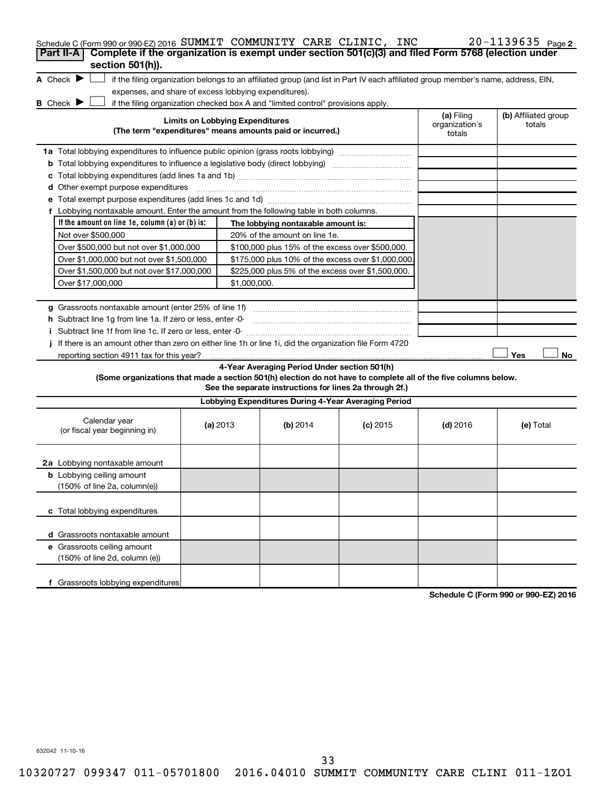| Schedule C (Form 990 or 990-EZ) 2016 SUMMIT COMMUNITY CARE CLINIC, INC                                                                                                                                                                          |                                        |                                                                                                         |            |                                        | $20 - 1139635$ Page 2          |
|-------------------------------------------------------------------------------------------------------------------------------------------------------------------------------------------------------------------------------------------------|----------------------------------------|---------------------------------------------------------------------------------------------------------|------------|----------------------------------------|--------------------------------|
| Complete if the organization is exempt under section 501(c)(3) and filed Form 5768 (election under<br>Part II-A                                                                                                                                 |                                        |                                                                                                         |            |                                        |                                |
| section 501(h)).<br>A Check $\blacktriangleright$<br>if the filing organization belongs to an affiliated group (and list in Part IV each affiliated group member's name, address, EIN,<br>expenses, and share of excess lobbying expenditures). |                                        |                                                                                                         |            |                                        |                                |
| B Check P<br>if the filing organization checked box A and "limited control" provisions apply.                                                                                                                                                   | <b>Limits on Lobbying Expenditures</b> | (The term "expenditures" means amounts paid or incurred.)                                               |            | (a) Filing<br>organization's<br>totals | (b) Affiliated group<br>totals |
| 1a Total lobbying expenditures to influence public opinion (grass roots lobbying)                                                                                                                                                               |                                        |                                                                                                         |            |                                        |                                |
|                                                                                                                                                                                                                                                 |                                        |                                                                                                         |            |                                        |                                |
| c                                                                                                                                                                                                                                               |                                        |                                                                                                         |            |                                        |                                |
| <b>d</b> Other exempt purpose expenditures                                                                                                                                                                                                      |                                        |                                                                                                         |            |                                        |                                |
|                                                                                                                                                                                                                                                 |                                        |                                                                                                         |            |                                        |                                |
| f Lobbying nontaxable amount. Enter the amount from the following table in both columns.                                                                                                                                                        |                                        |                                                                                                         |            |                                        |                                |
| If the amount on line 1e, column (a) or (b) is:                                                                                                                                                                                                 |                                        | The lobbying nontaxable amount is:                                                                      |            |                                        |                                |
| Not over \$500,000                                                                                                                                                                                                                              |                                        | 20% of the amount on line 1e.                                                                           |            |                                        |                                |
| Over \$500,000 but not over \$1,000,000                                                                                                                                                                                                         |                                        | \$100,000 plus 15% of the excess over \$500,000.                                                        |            |                                        |                                |
| Over \$1,000,000 but not over \$1,500,000                                                                                                                                                                                                       |                                        | \$175,000 plus 10% of the excess over \$1,000,000                                                       |            |                                        |                                |
| Over \$1,500,000 but not over \$17,000,000<br>\$225,000 plus 5% of the excess over \$1,500,000.                                                                                                                                                 |                                        |                                                                                                         |            |                                        |                                |
| Over \$17,000,000                                                                                                                                                                                                                               | \$1,000,000.                           |                                                                                                         |            |                                        |                                |
|                                                                                                                                                                                                                                                 |                                        |                                                                                                         |            |                                        |                                |
|                                                                                                                                                                                                                                                 |                                        |                                                                                                         |            |                                        |                                |
| h Subtract line 1g from line 1a. If zero or less, enter -0-                                                                                                                                                                                     |                                        |                                                                                                         |            |                                        |                                |
|                                                                                                                                                                                                                                                 |                                        |                                                                                                         |            |                                        |                                |
| If there is an amount other than zero on either line 1h or line 1i, did the organization file Form 4720                                                                                                                                         |                                        |                                                                                                         |            |                                        |                                |
| reporting section 4911 tax for this year?                                                                                                                                                                                                       |                                        |                                                                                                         |            |                                        | Yes<br>No                      |
| (Some organizations that made a section 501(h) election do not have to complete all of the five columns below.                                                                                                                                  |                                        | 4-Year Averaging Period Under section 501(h)<br>See the separate instructions for lines 2a through 2f.) |            |                                        |                                |
|                                                                                                                                                                                                                                                 |                                        | Lobbying Expenditures During 4-Year Averaging Period                                                    |            |                                        |                                |
| Calendar year<br>(or fiscal year beginning in)                                                                                                                                                                                                  | (a) 2013                               | (b) 2014                                                                                                | $(c)$ 2015 | $(d)$ 2016                             | (e) Total                      |
| 2a Lobbying nontaxable amount                                                                                                                                                                                                                   |                                        |                                                                                                         |            |                                        |                                |
| <b>b</b> Lobbying ceiling amount<br>(150% of line 2a, column(e))                                                                                                                                                                                |                                        |                                                                                                         |            |                                        |                                |
| c Total lobbying expenditures                                                                                                                                                                                                                   |                                        |                                                                                                         |            |                                        |                                |
| d Grassroots nontaxable amount                                                                                                                                                                                                                  |                                        |                                                                                                         |            |                                        |                                |
| e Grassroots ceiling amount<br>(150% of line 2d, column (e))                                                                                                                                                                                    |                                        |                                                                                                         |            |                                        |                                |
| f Grassroots lobbying expenditures                                                                                                                                                                                                              |                                        |                                                                                                         |            |                                        |                                |

**Schedule C (Form 990 or 990-EZ) 2016**

632042 11-10-16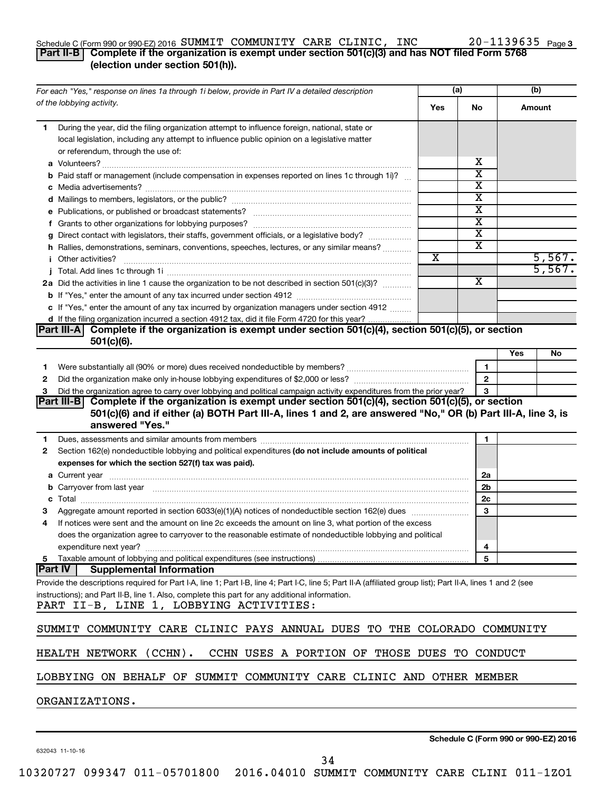#### Schedule C (Form 990 or 990-EZ) 2016  ${\tt SUMMIT}$   ${\tt COMMUNITY}$   ${\tt CARE}$   ${\tt CLINIC}$ ,  ${\tt INC}$   $20$   $-1139635$   ${\tt Page}$ **Part II-B Complete if the organization is exempt under section 501(c)(3) and has NOT filed Form 5768**

### **(election under section 501(h)).**

| For each "Yes," response on lines 1a through 1i below, provide in Part IV a detailed description                                                                                                                               |                       | (a)                     | (b) |        |
|--------------------------------------------------------------------------------------------------------------------------------------------------------------------------------------------------------------------------------|-----------------------|-------------------------|-----|--------|
| of the lobbying activity.                                                                                                                                                                                                      | Yes                   | No                      |     | Amount |
| During the year, did the filing organization attempt to influence foreign, national, state or<br>1                                                                                                                             |                       |                         |     |        |
| local legislation, including any attempt to influence public opinion on a legislative matter                                                                                                                                   |                       |                         |     |        |
| or referendum, through the use of:                                                                                                                                                                                             |                       |                         |     |        |
|                                                                                                                                                                                                                                |                       | x                       |     |        |
| Paid staff or management (include compensation in expenses reported on lines 1c through 1i)?                                                                                                                                   |                       | X                       |     |        |
|                                                                                                                                                                                                                                |                       | х                       |     |        |
|                                                                                                                                                                                                                                |                       | X                       |     |        |
|                                                                                                                                                                                                                                |                       | х                       |     |        |
|                                                                                                                                                                                                                                |                       | х                       |     |        |
| g Direct contact with legislators, their staffs, government officials, or a legislative body?                                                                                                                                  |                       | $\overline{\mathbf{X}}$ |     |        |
| h Rallies, demonstrations, seminars, conventions, speeches, lectures, or any similar means?                                                                                                                                    |                       | х                       |     |        |
| Other activities?                                                                                                                                                                                                              | $\overline{\text{x}}$ |                         |     | 5,567. |
|                                                                                                                                                                                                                                |                       |                         |     | 5,567. |
| 2a Did the activities in line 1 cause the organization to be not described in section 501(c)(3)?                                                                                                                               |                       | $\overline{\mathbf{X}}$ |     |        |
|                                                                                                                                                                                                                                |                       |                         |     |        |
| c If "Yes," enter the amount of any tax incurred by organization managers under section 4912                                                                                                                                   |                       |                         |     |        |
| d If the filing organization incurred a section 4912 tax, did it file Form 4720 for this year?                                                                                                                                 |                       |                         |     |        |
| Part III-A Complete if the organization is exempt under section 501(c)(4), section 501(c)(5), or section                                                                                                                       |                       |                         |     |        |
| $501(c)(6)$ .                                                                                                                                                                                                                  |                       |                         |     |        |
|                                                                                                                                                                                                                                |                       |                         | Yes | No     |
| 1.                                                                                                                                                                                                                             |                       | 1                       |     |        |
| 2                                                                                                                                                                                                                              |                       | $\mathbf{2}$            |     |        |
| Did the organization agree to carry over lobbying and political campaign activity expenditures from the prior year?<br>З                                                                                                       |                       | 3                       |     |        |
| Part III-B Complete if the organization is exempt under section 501(c)(4), section 501(c)(5), or section                                                                                                                       |                       |                         |     |        |
| 501(c)(6) and if either (a) BOTH Part III-A, lines 1 and 2, are answered "No," OR (b) Part III-A, line 3, is                                                                                                                   |                       |                         |     |        |
| answered "Yes."                                                                                                                                                                                                                |                       |                         |     |        |
| 1                                                                                                                                                                                                                              |                       | 1                       |     |        |
| Section 162(e) nondeductible lobbying and political expenditures (do not include amounts of political<br>2                                                                                                                     |                       |                         |     |        |
| expenses for which the section 527(f) tax was paid).                                                                                                                                                                           |                       |                         |     |        |
|                                                                                                                                                                                                                                |                       | 2a                      |     |        |
| b Carryover from last year manufactured and continuum control of the control of the control of the control of the control of the control of the control of the control of the control of the control of the control of the con |                       | 2b                      |     |        |
|                                                                                                                                                                                                                                |                       | 2c                      |     |        |
| З                                                                                                                                                                                                                              |                       | 3                       |     |        |
| If notices were sent and the amount on line 2c exceeds the amount on line 3, what portion of the excess<br>4                                                                                                                   |                       |                         |     |        |
| does the organization agree to carryover to the reasonable estimate of nondeductible lobbying and political                                                                                                                    |                       |                         |     |        |
| expenditure next year?                                                                                                                                                                                                         |                       | 4                       |     |        |
| 5 Taxable amount of lobbying and political expenditures (see instructions)                                                                                                                                                     |                       | 5                       |     |        |
| Part IV<br><b>Supplemental Information</b>                                                                                                                                                                                     |                       |                         |     |        |
| Provide the descriptions required for Part I-A, line 1; Part I-B, line 4; Part I-C, line 5; Part II-A (affiliated group list); Part II-A, lines 1 and 2 (see                                                                   |                       |                         |     |        |
| instructions); and Part II-B, line 1. Also, complete this part for any additional information.                                                                                                                                 |                       |                         |     |        |
| PART II-B, LINE 1, LOBBYING ACTIVITIES:                                                                                                                                                                                        |                       |                         |     |        |
| SUMMIT<br>COMMUNITY CARE CLINIC PAYS ANNUAL DUES TO THE COLORADO COMMUNITY                                                                                                                                                     |                       |                         |     |        |
| HEALTH NETWORK (CCHN).<br>CCHN USES A PORTION OF THOSE DUES TO CONDUCT                                                                                                                                                         |                       |                         |     |        |
|                                                                                                                                                                                                                                |                       |                         |     |        |
|                                                                                                                                                                                                                                |                       |                         |     |        |

LOBBYING ON BEHALF OF SUMMIT COMMUNITY CARE CLINIC AND OTHER MEMBER

ORGANIZATIONS.

632043 11-10-16

**Schedule C (Form 990 or 990-EZ) 2016**

20-1139635 Page 3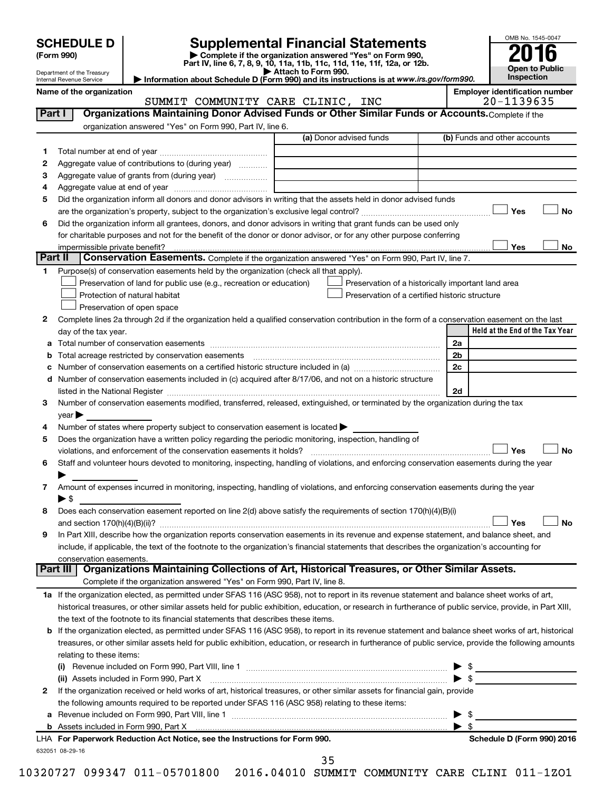| (Form 990) |  |
|------------|--|
|------------|--|

# **SCHEDULE D Supplemental Financial Statements**<br> **Form 990 2016**<br> **Part IV** line 6.7.8.9.10, 11a, 11b, 11d, 11d, 11d, 11d, 11d, 12a, 0r, 12b

**(Form 990) | Complete if the organization answered "Yes" on Form 990, Part IV, line 6, 7, 8, 9, 10, 11a, 11b, 11c, 11d, 11e, 11f, 12a, or 12b.**

**| Attach to Form 990. | Information about Schedule D (Form 990) and its instructions is at**  *www.irs.gov/form990.*



Department of the Treasury Internal Revenue Service **Name of the organization**<br>
SIJMMTT COMMIJNTTY CARE CLINTC TNC **FORE PROGREM** SUMMIT COMMUNITY CARE CLINIC

| Part I          | Organizations Maintaining Donor Advised Funds or Other Similar Funds or Accounts. Complete if the                                                                                                                             |                                                    |                                 |
|-----------------|-------------------------------------------------------------------------------------------------------------------------------------------------------------------------------------------------------------------------------|----------------------------------------------------|---------------------------------|
|                 | organization answered "Yes" on Form 990, Part IV, line 6.                                                                                                                                                                     |                                                    |                                 |
|                 |                                                                                                                                                                                                                               | (a) Donor advised funds                            | (b) Funds and other accounts    |
| 1               |                                                                                                                                                                                                                               |                                                    |                                 |
| 2               | Aggregate value of contributions to (during year)                                                                                                                                                                             |                                                    |                                 |
| З               | Aggregate value of grants from (during year)                                                                                                                                                                                  |                                                    |                                 |
| 4               |                                                                                                                                                                                                                               |                                                    |                                 |
| 5               | Did the organization inform all donors and donor advisors in writing that the assets held in donor advised funds                                                                                                              |                                                    |                                 |
|                 |                                                                                                                                                                                                                               |                                                    | Yes<br>No                       |
| 6               | Did the organization inform all grantees, donors, and donor advisors in writing that grant funds can be used only                                                                                                             |                                                    |                                 |
|                 | for charitable purposes and not for the benefit of the donor or donor advisor, or for any other purpose conferring                                                                                                            |                                                    |                                 |
|                 | impermissible private benefit?                                                                                                                                                                                                |                                                    | Yes<br>No                       |
| Part II         | Conservation Easements. Complete if the organization answered "Yes" on Form 990, Part IV, line 7.                                                                                                                             |                                                    |                                 |
| 1.              | Purpose(s) of conservation easements held by the organization (check all that apply).                                                                                                                                         |                                                    |                                 |
|                 | Preservation of land for public use (e.g., recreation or education)                                                                                                                                                           | Preservation of a historically important land area |                                 |
|                 | Protection of natural habitat                                                                                                                                                                                                 | Preservation of a certified historic structure     |                                 |
|                 | Preservation of open space                                                                                                                                                                                                    |                                                    |                                 |
| 2               | Complete lines 2a through 2d if the organization held a qualified conservation contribution in the form of a conservation easement on the last                                                                                |                                                    |                                 |
|                 | day of the tax year.                                                                                                                                                                                                          |                                                    | Held at the End of the Tax Year |
|                 |                                                                                                                                                                                                                               |                                                    | 2a                              |
|                 | <b>b</b> Total acreage restricted by conservation easements                                                                                                                                                                   |                                                    | 2b                              |
| с               | Number of conservation easements on a certified historic structure included in (a) manufacture included in (a)                                                                                                                |                                                    | 2c                              |
|                 | d Number of conservation easements included in (c) acquired after 8/17/06, and not on a historic structure                                                                                                                    |                                                    |                                 |
|                 | listed in the National Register [111] Marshall Register [11] Marshall Register [11] Marshall Register [11] Marshall Register [11] Marshall Register [11] Marshall Register [11] Marshall Register [11] Marshall Register [11] |                                                    | 2d                              |
| 3               | Number of conservation easements modified, transferred, released, extinguished, or terminated by the organization during the tax                                                                                              |                                                    |                                 |
|                 | year                                                                                                                                                                                                                          |                                                    |                                 |
| 4               | Number of states where property subject to conservation easement is located >                                                                                                                                                 |                                                    |                                 |
| 5               | Does the organization have a written policy regarding the periodic monitoring, inspection, handling of                                                                                                                        |                                                    |                                 |
|                 | violations, and enforcement of the conservation easements it holds?                                                                                                                                                           |                                                    | Yes<br>No                       |
| 6               | Staff and volunteer hours devoted to monitoring, inspecting, handling of violations, and enforcing conservation easements during the year                                                                                     |                                                    |                                 |
|                 |                                                                                                                                                                                                                               |                                                    |                                 |
| 7               | Amount of expenses incurred in monitoring, inspecting, handling of violations, and enforcing conservation easements during the year                                                                                           |                                                    |                                 |
|                 | $\blacktriangleright$ \$                                                                                                                                                                                                      |                                                    |                                 |
| 8               | Does each conservation easement reported on line 2(d) above satisfy the requirements of section 170(h)(4)(B)(i)                                                                                                               |                                                    |                                 |
|                 |                                                                                                                                                                                                                               |                                                    | Yes<br>No                       |
| 9               | In Part XIII, describe how the organization reports conservation easements in its revenue and expense statement, and balance sheet, and                                                                                       |                                                    |                                 |
|                 | include, if applicable, the text of the footnote to the organization's financial statements that describes the organization's accounting for                                                                                  |                                                    |                                 |
|                 | conservation easements.                                                                                                                                                                                                       |                                                    |                                 |
| <b>Part III</b> | Organizations Maintaining Collections of Art, Historical Treasures, or Other Similar Assets.                                                                                                                                  |                                                    |                                 |
|                 | Complete if the organization answered "Yes" on Form 990, Part IV, line 8.                                                                                                                                                     |                                                    |                                 |
|                 | 1a If the organization elected, as permitted under SFAS 116 (ASC 958), not to report in its revenue statement and balance sheet works of art,                                                                                 |                                                    |                                 |
|                 | historical treasures, or other similar assets held for public exhibition, education, or research in furtherance of public service, provide, in Part XIII,                                                                     |                                                    |                                 |
|                 | the text of the footnote to its financial statements that describes these items.                                                                                                                                              |                                                    |                                 |
|                 | b If the organization elected, as permitted under SFAS 116 (ASC 958), to report in its revenue statement and balance sheet works of art, historical                                                                           |                                                    |                                 |
|                 | treasures, or other similar assets held for public exhibition, education, or research in furtherance of public service, provide the following amounts                                                                         |                                                    |                                 |
|                 | relating to these items:                                                                                                                                                                                                      |                                                    |                                 |
|                 |                                                                                                                                                                                                                               |                                                    | $\blacktriangleright$ \$        |
|                 | (ii) Assets included in Form 990, Part X [11] Marten and Martin Martin Marten and Martin Martin Marten and Mar                                                                                                                |                                                    | $\blacktriangleright$ \$        |
| 2               | If the organization received or held works of art, historical treasures, or other similar assets for financial gain, provide                                                                                                  |                                                    |                                 |
|                 | the following amounts required to be reported under SFAS 116 (ASC 958) relating to these items:                                                                                                                               |                                                    |                                 |
| а               |                                                                                                                                                                                                                               |                                                    | $\blacktriangleright$ \$        |
|                 |                                                                                                                                                                                                                               |                                                    | $\blacktriangleright$ s         |
|                 | LHA For Paperwork Reduction Act Notice, see the Instructions for Form 990.                                                                                                                                                    |                                                    | Schedule D (Form 990) 2016      |
|                 | 632051 08-29-16                                                                                                                                                                                                               |                                                    |                                 |

35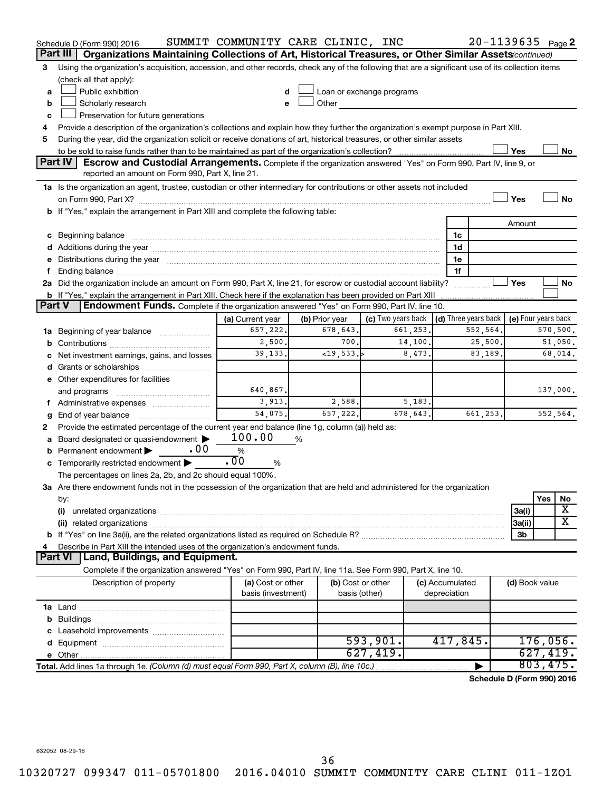|        | Schedule D (Form 990) 2016                                                                                                                                                                                                     | SUMMIT COMMUNITY CARE CLINIC, INC |   |                   |                                                                                                                                                                                                                                |          |                 | $20 - 1139635$ Page 2                |                     |          |                         |
|--------|--------------------------------------------------------------------------------------------------------------------------------------------------------------------------------------------------------------------------------|-----------------------------------|---|-------------------|--------------------------------------------------------------------------------------------------------------------------------------------------------------------------------------------------------------------------------|----------|-----------------|--------------------------------------|---------------------|----------|-------------------------|
|        | Part III<br>Organizations Maintaining Collections of Art, Historical Treasures, or Other Similar Assets (continued)                                                                                                            |                                   |   |                   |                                                                                                                                                                                                                                |          |                 |                                      |                     |          |                         |
| 3      | Using the organization's acquisition, accession, and other records, check any of the following that are a significant use of its collection items<br>(check all that apply):                                                   |                                   |   |                   |                                                                                                                                                                                                                                |          |                 |                                      |                     |          |                         |
| a      | Public exhibition                                                                                                                                                                                                              |                                   |   |                   | Loan or exchange programs                                                                                                                                                                                                      |          |                 |                                      |                     |          |                         |
| b      | Scholarly research                                                                                                                                                                                                             |                                   |   |                   | Other and the control of the control of the control of the control of the control of the control of the control of the control of the control of the control of the control of the control of the control of the control of th |          |                 |                                      |                     |          |                         |
| c      | Preservation for future generations                                                                                                                                                                                            |                                   |   |                   |                                                                                                                                                                                                                                |          |                 |                                      |                     |          |                         |
| 4      | Provide a description of the organization's collections and explain how they further the organization's exempt purpose in Part XIII.                                                                                           |                                   |   |                   |                                                                                                                                                                                                                                |          |                 |                                      |                     |          |                         |
| 5      | During the year, did the organization solicit or receive donations of art, historical treasures, or other similar assets                                                                                                       |                                   |   |                   |                                                                                                                                                                                                                                |          |                 |                                      |                     |          |                         |
|        |                                                                                                                                                                                                                                |                                   |   |                   |                                                                                                                                                                                                                                |          |                 |                                      | Yes                 |          | No                      |
|        | <b>Part IV</b><br><b>Escrow and Custodial Arrangements.</b> Complete if the organization answered "Yes" on Form 990, Part IV, line 9, or<br>reported an amount on Form 990, Part X, line 21.                                   |                                   |   |                   |                                                                                                                                                                                                                                |          |                 |                                      |                     |          |                         |
|        | 1a Is the organization an agent, trustee, custodian or other intermediary for contributions or other assets not included                                                                                                       |                                   |   |                   |                                                                                                                                                                                                                                |          |                 |                                      |                     |          |                         |
|        |                                                                                                                                                                                                                                |                                   |   |                   |                                                                                                                                                                                                                                |          |                 |                                      | Yes                 |          | <b>No</b>               |
|        | b If "Yes," explain the arrangement in Part XIII and complete the following table:                                                                                                                                             |                                   |   |                   |                                                                                                                                                                                                                                |          |                 |                                      |                     |          |                         |
|        |                                                                                                                                                                                                                                |                                   |   |                   |                                                                                                                                                                                                                                |          |                 |                                      | Amount              |          |                         |
|        | c Beginning balance measurements and the contract of the contract of the contract of the contract of the contract of the contract of the contract of the contract of the contract of the contract of the contract of the contr |                                   |   |                   |                                                                                                                                                                                                                                |          | 1c              |                                      |                     |          |                         |
|        | d Additions during the year manufactured and an account of the year manufactured and account of the year manufactured and account of the year manufactured and account of the year manufactured and account of the year manufa |                                   |   |                   |                                                                                                                                                                                                                                |          | 1d              |                                      |                     |          |                         |
|        | e Distributions during the year manufactured and an account of the year manufactured and account of the year manufactured and account of the state of the state of the state of the state of the state of the state of the sta |                                   |   |                   |                                                                                                                                                                                                                                |          | 1e              |                                      |                     |          |                         |
| f.     |                                                                                                                                                                                                                                |                                   |   |                   |                                                                                                                                                                                                                                |          | 1f              |                                      |                     |          |                         |
|        | 2a Did the organization include an amount on Form 990, Part X, line 21, for escrow or custodial account liability?                                                                                                             |                                   |   |                   |                                                                                                                                                                                                                                |          |                 |                                      | Yes                 |          | No                      |
|        |                                                                                                                                                                                                                                |                                   |   |                   |                                                                                                                                                                                                                                |          |                 |                                      |                     |          |                         |
| Part V | <b>Endowment Funds.</b> Complete if the organization answered "Yes" on Form 990, Part IV, line 10.                                                                                                                             |                                   |   |                   |                                                                                                                                                                                                                                |          |                 |                                      |                     |          |                         |
|        |                                                                                                                                                                                                                                | (a) Current year                  |   | (b) Prior year    | (c) Two years back                                                                                                                                                                                                             |          |                 | $\vert$ (d) Three years back $\vert$ | (e) Four years back |          |                         |
|        | 1a Beginning of year balance                                                                                                                                                                                                   | 657,222.                          |   | 678,643.          |                                                                                                                                                                                                                                | 661,253. |                 | 552,564.                             |                     |          | 570,500.                |
|        |                                                                                                                                                                                                                                | 2,500.                            |   | 700.              |                                                                                                                                                                                                                                | 14,100.  |                 | 25,500.                              |                     |          | 51,050.                 |
|        | c Net investment earnings, gains, and losses                                                                                                                                                                                   | 39,133.                           |   | ~19,533.          |                                                                                                                                                                                                                                | 8,473.   |                 | 83,189.                              |                     |          | 68,014.                 |
|        |                                                                                                                                                                                                                                |                                   |   |                   |                                                                                                                                                                                                                                |          |                 |                                      |                     |          |                         |
|        | e Other expenditures for facilities                                                                                                                                                                                            |                                   |   |                   |                                                                                                                                                                                                                                |          |                 |                                      |                     |          |                         |
|        | and programs                                                                                                                                                                                                                   | 640,867.                          |   |                   |                                                                                                                                                                                                                                |          |                 |                                      |                     |          | 137,000.                |
|        | f Administrative expenses                                                                                                                                                                                                      | 3,913.<br>54,075.                 |   | 2,588.            |                                                                                                                                                                                                                                | 5,183.   |                 |                                      |                     |          |                         |
| g      |                                                                                                                                                                                                                                |                                   |   | 657,222.          |                                                                                                                                                                                                                                | 678,643. |                 | 661,253.                             |                     |          | 552,564.                |
| 2      | Provide the estimated percentage of the current year end balance (line 1g, column (a)) held as:                                                                                                                                | 100.00                            |   |                   |                                                                                                                                                                                                                                |          |                 |                                      |                     |          |                         |
|        | a Board designated or quasi-endowment<br>. 00                                                                                                                                                                                  | %                                 | % |                   |                                                                                                                                                                                                                                |          |                 |                                      |                     |          |                         |
| b      | Permanent endowment >                                                                                                                                                                                                          | $\overline{.00}$                  |   |                   |                                                                                                                                                                                                                                |          |                 |                                      |                     |          |                         |
|        | c Temporarily restricted endowment $\blacktriangleright$                                                                                                                                                                       | %                                 |   |                   |                                                                                                                                                                                                                                |          |                 |                                      |                     |          |                         |
|        | The percentages on lines 2a, 2b, and 2c should equal 100%.<br>3a Are there endowment funds not in the possession of the organization that are held and administered for the organization                                       |                                   |   |                   |                                                                                                                                                                                                                                |          |                 |                                      |                     |          |                         |
|        | by:                                                                                                                                                                                                                            |                                   |   |                   |                                                                                                                                                                                                                                |          |                 |                                      |                     | Yes      | No                      |
|        | (i)                                                                                                                                                                                                                            |                                   |   |                   |                                                                                                                                                                                                                                |          |                 |                                      | 3a(i)               |          | X                       |
|        |                                                                                                                                                                                                                                |                                   |   |                   |                                                                                                                                                                                                                                |          |                 |                                      | 3a(ii)              |          | $\overline{\textbf{X}}$ |
|        |                                                                                                                                                                                                                                |                                   |   |                   |                                                                                                                                                                                                                                |          |                 |                                      | 3b                  |          |                         |
| 4      | Describe in Part XIII the intended uses of the organization's endowment funds.                                                                                                                                                 |                                   |   |                   |                                                                                                                                                                                                                                |          |                 |                                      |                     |          |                         |
|        | <b>Land, Buildings, and Equipment.</b><br><b>Part VI</b>                                                                                                                                                                       |                                   |   |                   |                                                                                                                                                                                                                                |          |                 |                                      |                     |          |                         |
|        | Complete if the organization answered "Yes" on Form 990, Part IV, line 11a. See Form 990, Part X, line 10.                                                                                                                     |                                   |   |                   |                                                                                                                                                                                                                                |          |                 |                                      |                     |          |                         |
|        | Description of property                                                                                                                                                                                                        | (a) Cost or other                 |   | (b) Cost or other |                                                                                                                                                                                                                                |          | (c) Accumulated |                                      | (d) Book value      |          |                         |
|        |                                                                                                                                                                                                                                | basis (investment)                |   | basis (other)     |                                                                                                                                                                                                                                |          | depreciation    |                                      |                     |          |                         |
|        |                                                                                                                                                                                                                                |                                   |   |                   |                                                                                                                                                                                                                                |          |                 |                                      |                     |          |                         |
|        |                                                                                                                                                                                                                                |                                   |   |                   |                                                                                                                                                                                                                                |          |                 |                                      |                     |          |                         |
|        |                                                                                                                                                                                                                                |                                   |   |                   |                                                                                                                                                                                                                                |          |                 |                                      |                     |          |                         |
|        |                                                                                                                                                                                                                                |                                   |   |                   | 593,901.                                                                                                                                                                                                                       |          | 417,845.        |                                      |                     | 176,056. |                         |
|        |                                                                                                                                                                                                                                |                                   |   |                   | 627,419.                                                                                                                                                                                                                       |          |                 |                                      |                     | 627,419. |                         |
|        | Total. Add lines 1a through 1e. (Column (d) must equal Form 990, Part X, column (B), line 10c.)                                                                                                                                |                                   |   |                   |                                                                                                                                                                                                                                |          |                 |                                      |                     | 803,475. |                         |
|        |                                                                                                                                                                                                                                |                                   |   |                   |                                                                                                                                                                                                                                |          |                 | Schedule D (Form 990) 2016           |                     |          |                         |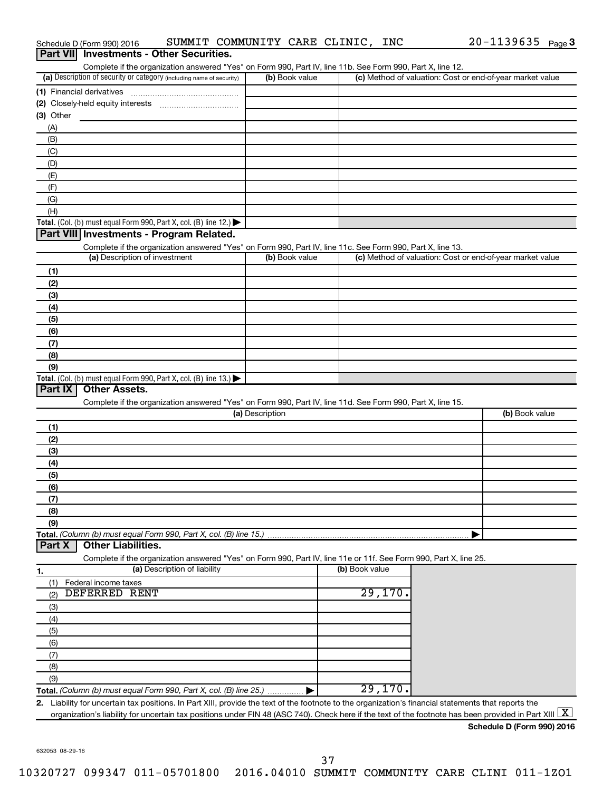| (a) Description of security or category (including name of security)                                                                                                                                                    | (b) Book value  | Complete if the organization answered "Yes" on Form 990, Part IV, line 11b. See Form 990, Part X, line 12. | (c) Method of valuation: Cost or end-of-year market value |  |
|-------------------------------------------------------------------------------------------------------------------------------------------------------------------------------------------------------------------------|-----------------|------------------------------------------------------------------------------------------------------------|-----------------------------------------------------------|--|
|                                                                                                                                                                                                                         |                 |                                                                                                            |                                                           |  |
|                                                                                                                                                                                                                         |                 |                                                                                                            |                                                           |  |
| (3) Other                                                                                                                                                                                                               |                 |                                                                                                            |                                                           |  |
| (A)                                                                                                                                                                                                                     |                 |                                                                                                            |                                                           |  |
| (B)                                                                                                                                                                                                                     |                 |                                                                                                            |                                                           |  |
| (C)                                                                                                                                                                                                                     |                 |                                                                                                            |                                                           |  |
| (D)                                                                                                                                                                                                                     |                 |                                                                                                            |                                                           |  |
| (E)                                                                                                                                                                                                                     |                 |                                                                                                            |                                                           |  |
| (F)                                                                                                                                                                                                                     |                 |                                                                                                            |                                                           |  |
| (G)                                                                                                                                                                                                                     |                 |                                                                                                            |                                                           |  |
| (H)                                                                                                                                                                                                                     |                 |                                                                                                            |                                                           |  |
| Total. (Col. (b) must equal Form 990, Part X, col. (B) line 12.) $\blacktriangleright$                                                                                                                                  |                 |                                                                                                            |                                                           |  |
| Part VIII Investments - Program Related.                                                                                                                                                                                |                 |                                                                                                            |                                                           |  |
| Complete if the organization answered "Yes" on Form 990, Part IV, line 11c. See Form 990, Part X, line 13.                                                                                                              |                 |                                                                                                            |                                                           |  |
| (a) Description of investment                                                                                                                                                                                           | (b) Book value  |                                                                                                            | (c) Method of valuation: Cost or end-of-year market value |  |
| (1)                                                                                                                                                                                                                     |                 |                                                                                                            |                                                           |  |
| (2)                                                                                                                                                                                                                     |                 |                                                                                                            |                                                           |  |
| (3)                                                                                                                                                                                                                     |                 |                                                                                                            |                                                           |  |
| (4)                                                                                                                                                                                                                     |                 |                                                                                                            |                                                           |  |
| (5)                                                                                                                                                                                                                     |                 |                                                                                                            |                                                           |  |
| (6)                                                                                                                                                                                                                     |                 |                                                                                                            |                                                           |  |
| (7)                                                                                                                                                                                                                     |                 |                                                                                                            |                                                           |  |
| (8)                                                                                                                                                                                                                     |                 |                                                                                                            |                                                           |  |
| (9)                                                                                                                                                                                                                     |                 |                                                                                                            |                                                           |  |
| Total. (Col. (b) must equal Form 990, Part X, col. (B) line 13.)<br>Part IX<br><b>Other Assets.</b>                                                                                                                     |                 |                                                                                                            |                                                           |  |
| Complete if the organization answered "Yes" on Form 990, Part IV, line 11d. See Form 990, Part X, line 15.                                                                                                              |                 |                                                                                                            |                                                           |  |
|                                                                                                                                                                                                                         |                 |                                                                                                            |                                                           |  |
|                                                                                                                                                                                                                         |                 |                                                                                                            |                                                           |  |
|                                                                                                                                                                                                                         | (a) Description |                                                                                                            | (b) Book value                                            |  |
|                                                                                                                                                                                                                         |                 |                                                                                                            |                                                           |  |
| (2)                                                                                                                                                                                                                     |                 |                                                                                                            |                                                           |  |
| (1)<br>(3)                                                                                                                                                                                                              |                 |                                                                                                            |                                                           |  |
| (4)                                                                                                                                                                                                                     |                 |                                                                                                            |                                                           |  |
| (5)                                                                                                                                                                                                                     |                 |                                                                                                            |                                                           |  |
| (6)                                                                                                                                                                                                                     |                 |                                                                                                            |                                                           |  |
| (7)                                                                                                                                                                                                                     |                 |                                                                                                            |                                                           |  |
| (8)<br>(9)                                                                                                                                                                                                              |                 |                                                                                                            |                                                           |  |
|                                                                                                                                                                                                                         |                 |                                                                                                            |                                                           |  |
| <b>Other Liabilities.</b>                                                                                                                                                                                               |                 |                                                                                                            |                                                           |  |
| Complete if the organization answered "Yes" on Form 990, Part IV, line 11e or 11f. See Form 990, Part X, line 25.                                                                                                       |                 |                                                                                                            |                                                           |  |
| (a) Description of liability                                                                                                                                                                                            |                 | (b) Book value                                                                                             |                                                           |  |
| Federal income taxes<br>(1)                                                                                                                                                                                             |                 |                                                                                                            |                                                           |  |
| <b>DEFERRED RENT</b><br>(2)                                                                                                                                                                                             |                 | 29,170.                                                                                                    |                                                           |  |
|                                                                                                                                                                                                                         |                 |                                                                                                            |                                                           |  |
|                                                                                                                                                                                                                         |                 |                                                                                                            |                                                           |  |
| (3)<br>(4)<br>(5)                                                                                                                                                                                                       |                 |                                                                                                            |                                                           |  |
| Total. (Column (b) must equal Form 990, Part X, col. (B) line 15.)<br>Part X<br>(6)                                                                                                                                     |                 |                                                                                                            |                                                           |  |
| (7)                                                                                                                                                                                                                     |                 |                                                                                                            |                                                           |  |
| (8)                                                                                                                                                                                                                     |                 |                                                                                                            |                                                           |  |
| (9)                                                                                                                                                                                                                     |                 |                                                                                                            |                                                           |  |
| Total. (Column (b) must equal Form 990, Part X, col. (B) line 25.)<br>Liability for uncertain tax positions. In Part XIII, provide the text of the footnote to the organization's financial statements that reports the |                 | 29,170.                                                                                                    |                                                           |  |

Schedule D (Form 990) 2016  $\;$  SUMMIT COMMUNITY CARE CLINIC, INC  $\;$  20-1139635  $\;$  Page

 $20 - 1139635$  Page 3

632053 08-29-16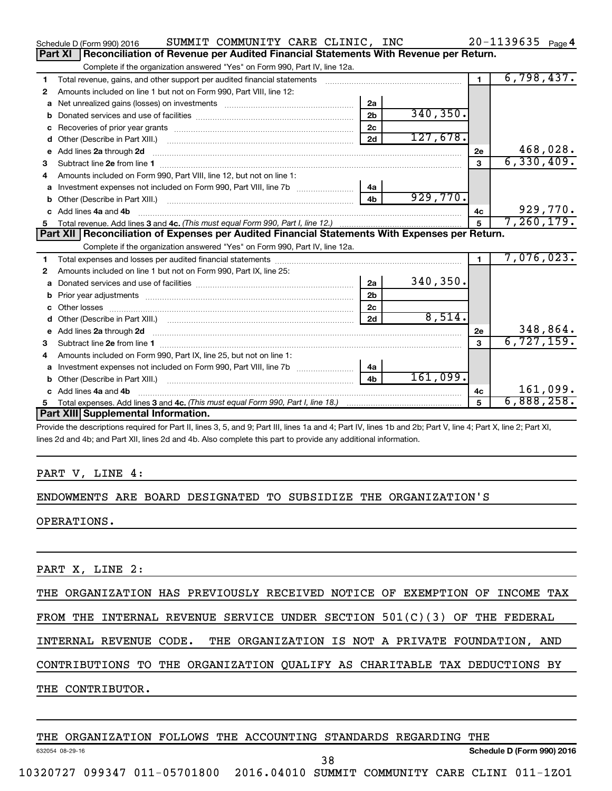|   | SUMMIT COMMUNITY CARE CLINIC, INC<br>Schedule D (Form 990) 2016                                  |                |           |                | $20 - 1139635$ Page 4 |
|---|--------------------------------------------------------------------------------------------------|----------------|-----------|----------------|-----------------------|
|   | Reconciliation of Revenue per Audited Financial Statements With Revenue per Return.<br>Part XI   |                |           |                |                       |
|   | Complete if the organization answered "Yes" on Form 990, Part IV, line 12a.                      |                |           |                |                       |
| 1 | Total revenue, gains, and other support per audited financial statements                         |                |           | $\blacksquare$ | 6,798,437.            |
| 2 | Amounts included on line 1 but not on Form 990, Part VIII, line 12:                              |                |           |                |                       |
| a |                                                                                                  | 2a             |           |                |                       |
| b |                                                                                                  | 2 <sub>b</sub> | 340, 350. |                |                       |
| c |                                                                                                  | 2c             |           |                |                       |
| d |                                                                                                  | 2d             | 127,678.  |                |                       |
| е | Add lines 2a through 2d                                                                          |                |           | <b>2e</b>      | 468,028.              |
| 3 |                                                                                                  |                |           | 3              | 6,330,409.            |
| 4 | Amounts included on Form 990, Part VIII, line 12, but not on line 1:                             |                |           |                |                       |
|   |                                                                                                  | 4a             |           |                |                       |
|   |                                                                                                  | 4 <sub>b</sub> | 929,770.  |                |                       |
|   | c Add lines 4a and 4b                                                                            |                |           | 4с             | 929,770.              |
|   |                                                                                                  |                |           | 5              | 7, 260, 179.          |
|   |                                                                                                  |                |           |                |                       |
|   | Part XII   Reconciliation of Expenses per Audited Financial Statements With Expenses per Return. |                |           |                |                       |
|   | Complete if the organization answered "Yes" on Form 990, Part IV, line 12a.                      |                |           |                |                       |
| 1 |                                                                                                  |                |           | $\blacksquare$ | 7,076,023.            |
| 2 | Amounts included on line 1 but not on Form 990, Part IX, line 25:                                |                |           |                |                       |
| a |                                                                                                  | 2a             | 340, 350. |                |                       |
| b |                                                                                                  | 2 <sub>b</sub> |           |                |                       |
|   |                                                                                                  | 2c             |           |                |                       |
| d |                                                                                                  | 2d             | 8,514.    |                |                       |
|   |                                                                                                  |                |           | 2е             | 348,864.              |
| 3 |                                                                                                  |                |           | $\mathbf{a}$   | 6,727,159.            |
| 4 | Amounts included on Form 990, Part IX, line 25, but not on line 1:                               |                |           |                |                       |
| a |                                                                                                  | 4a             |           |                |                       |
|   |                                                                                                  | 4 <sub>b</sub> | 161,099.  |                |                       |
|   | c Add lines 4a and 4b                                                                            |                |           | 4c             | 161,099.              |
|   | Part XIII Supplemental Information.                                                              |                |           |                | 6,888,258.            |

Provide the descriptions required for Part II, lines 3, 5, and 9; Part III, lines 1a and 4; Part IV, lines 1b and 2b; Part V, line 4; Part X, line 2; Part XI, lines 2d and 4b; and Part XII, lines 2d and 4b. Also complete this part to provide any additional information.

#### PART V, LINE 4:

#### ENDOWMENTS ARE BOARD DESIGNATED TO SUBSIDIZE THE ORGANIZATION'S

OPERATIONS.

PART X, LINE 2:

THE ORGANIZATION HAS PREVIOUSLY RECEIVED NOTICE OF EXEMPTION OF INCOME TAX

FROM THE INTERNAL REVENUE SERVICE UNDER SECTION 501(C)(3) OF THE FEDERAL

INTERNAL REVENUE CODE. THE ORGANIZATION IS NOT A PRIVATE FOUNDATION, AND

CONTRIBUTIONS TO THE ORGANIZATION QUALIFY AS CHARITABLE TAX DEDUCTIONS BY

THE CONTRIBUTOR.

THE ORGANIZATION FOLLOWS THE ACCOUNTING STANDARDS REGARDING THE

632054 08-29-16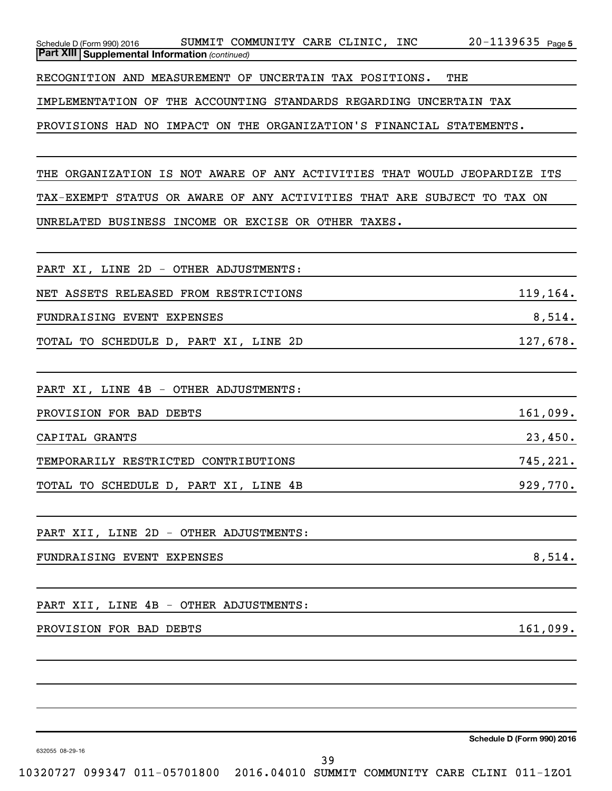| Schedule D (Form 990) 2016                              | SUMMIT COMMUNITY CARE CLINIC, |  | INC | $20 - 1139635$ Page 5 |  |
|---------------------------------------------------------|-------------------------------|--|-----|-----------------------|--|
| <b>Part XIII   Supplemental Information (continued)</b> |                               |  |     |                       |  |
|                                                         |                               |  |     |                       |  |

RECOGNITION AND MEASUREMENT OF UNCERTAIN TAX POSITIONS. THE

IMPLEMENTATION OF THE ACCOUNTING STANDARDS REGARDING UNCERTAIN TAX

PROVISIONS HAD NO IMPACT ON THE ORGANIZATION'S FINANCIAL STATEMENTS.

THE ORGANIZATION IS NOT AWARE OF ANY ACTIVITIES THAT WOULD JEOPARDIZE ITS TAX-EXEMPT STATUS OR AWARE OF ANY ACTIVITIES THAT ARE SUBJECT TO TAX ON UNRELATED BUSINESS INCOME OR EXCISE OR OTHER TAXES.

| PART XI, LINE 2D - OTHER ADJUSTMENTS:  |           |
|----------------------------------------|-----------|
| NET ASSETS RELEASED FROM RESTRICTIONS  | 119, 164. |
| FUNDRAISING EVENT EXPENSES             | 8,514.    |
| TOTAL TO SCHEDULE D, PART XI, LINE 2D  | 127,678.  |
|                                        |           |
| PART XI, LINE 4B - OTHER ADJUSTMENTS:  |           |
| PROVISION FOR BAD DEBTS                | 161,099.  |
| CAPITAL GRANTS                         | 23,450.   |
| TEMPORARILY RESTRICTED CONTRIBUTIONS   | 745,221.  |
| TOTAL TO SCHEDULE D, PART XI, LINE 4B  | 929,770.  |
| PART XII, LINE 2D - OTHER ADJUSTMENTS: |           |
| FUNDRAISING EVENT EXPENSES             | 8,514.    |
|                                        |           |

PART XII, LINE 4B - OTHER ADJUSTMENTS:

#### PROVISION FOR BAD DEBTS 161,099.

**Schedule D (Form 990) 2016**

632055 08-29-16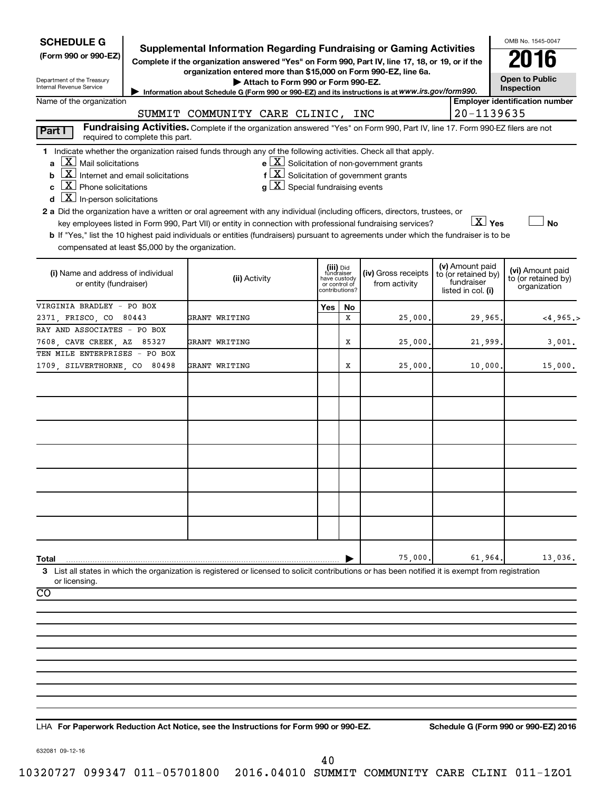| <b>SCHEDULE G</b><br>(Form 990 or 990-EZ)<br>Department of the Treasury<br>Internal Revenue Service                                                                                                                                                                                                                                                                                                                                                                                                                                       | Supplemental Information Regarding Fundraising or Gaming Activities<br>Complete if the organization answered "Yes" on Form 990, Part IV, line 17, 18, or 19, or if the<br>organization entered more than \$15,000 on Form 990-EZ, line 6a.<br>Attach to Form 990 or Form 990-EZ.<br>Information about Schedule G (Form 990 or 990-EZ) and its instructions is at WWW.irs.gov/form990. |                                                                            |         |                                                       |                                                                            | OMB No. 1545-0047<br>2016<br><b>Open to Public</b><br>Inspection |
|-------------------------------------------------------------------------------------------------------------------------------------------------------------------------------------------------------------------------------------------------------------------------------------------------------------------------------------------------------------------------------------------------------------------------------------------------------------------------------------------------------------------------------------------|---------------------------------------------------------------------------------------------------------------------------------------------------------------------------------------------------------------------------------------------------------------------------------------------------------------------------------------------------------------------------------------|----------------------------------------------------------------------------|---------|-------------------------------------------------------|----------------------------------------------------------------------------|------------------------------------------------------------------|
| Name of the organization                                                                                                                                                                                                                                                                                                                                                                                                                                                                                                                  |                                                                                                                                                                                                                                                                                                                                                                                       |                                                                            |         |                                                       |                                                                            | <b>Employer identification number</b>                            |
|                                                                                                                                                                                                                                                                                                                                                                                                                                                                                                                                           | SUMMIT COMMUNITY CARE CLINIC, INC<br>Fundraising Activities. Complete if the organization answered "Yes" on Form 990, Part IV, line 17. Form 990-EZ filers are not                                                                                                                                                                                                                    |                                                                            |         |                                                       | 20-1139635                                                                 |                                                                  |
| Part I<br>required to complete this part.<br>1 Indicate whether the organization raised funds through any of the following activities. Check all that apply.<br>$X$ Mail solicitations<br>a<br>$\overline{\mathbf{X}}$ Internet and email solicitations<br>b<br>$\overline{X}$ Phone solicitations<br>C<br>$\overline{X}$ In-person solicitations<br>d<br>2 a Did the organization have a written or oral agreement with any individual (including officers, directors, trustees, or<br>compensated at least \$5,000 by the organization. | $f\left[\frac{X}{X}\right]$ Solicitation of government grants<br>$g\mid X$ Special fundraising events<br>key employees listed in Form 990, Part VII) or entity in connection with professional fundraising services?<br>b If "Yes," list the 10 highest paid individuals or entities (fundraisers) pursuant to agreements under which the fundraiser is to be                         |                                                                            |         | $e$ $\boxed{X}$ Solicitation of non-government grants | $\boxed{\text{X}}$ Yes                                                     | <b>No</b>                                                        |
| (i) Name and address of individual<br>or entity (fundraiser)                                                                                                                                                                                                                                                                                                                                                                                                                                                                              | (ii) Activity                                                                                                                                                                                                                                                                                                                                                                         | (iii) Did<br>fundraiser<br>have custody<br>or control of<br>contributions? |         | (iv) Gross receipts<br>from activity                  | (v) Amount paid<br>to (or retained by)<br>fundraiser<br>listed in col. (i) | (vi) Amount paid<br>to (or retained by)<br>organization          |
| VIRGINIA BRADLEY - PO BOX<br>2371, FRISCO, CO 80443                                                                                                                                                                                                                                                                                                                                                                                                                                                                                       | GRANT WRITING                                                                                                                                                                                                                                                                                                                                                                         | Yes                                                                        | No<br>X | 25,000.                                               | 29,965.                                                                    | $<$ 4,965.>                                                      |
| RAY AND ASSOCIATES - PO BOX<br>7608, CAVE CREEK, AZ 85327                                                                                                                                                                                                                                                                                                                                                                                                                                                                                 | GRANT WRITING                                                                                                                                                                                                                                                                                                                                                                         |                                                                            | х       | 25,000.                                               | 21,999                                                                     | 3,001.                                                           |
| TEN MILE ENTERPRISES - PO BOX<br>1709, SILVERTHORNE, CO 80498                                                                                                                                                                                                                                                                                                                                                                                                                                                                             | GRANT WRITING                                                                                                                                                                                                                                                                                                                                                                         |                                                                            | х       | 25,000.                                               | 10,000                                                                     | 15,000.                                                          |
|                                                                                                                                                                                                                                                                                                                                                                                                                                                                                                                                           |                                                                                                                                                                                                                                                                                                                                                                                       |                                                                            |         |                                                       |                                                                            |                                                                  |
| Total<br>3 List all states in which the organization is registered or licensed to solicit contributions or has been notified it is exempt from registration<br>or licensing.<br>CO                                                                                                                                                                                                                                                                                                                                                        |                                                                                                                                                                                                                                                                                                                                                                                       |                                                                            |         | 75,000                                                | 61,964                                                                     | 13,036.                                                          |
|                                                                                                                                                                                                                                                                                                                                                                                                                                                                                                                                           |                                                                                                                                                                                                                                                                                                                                                                                       |                                                                            |         |                                                       |                                                                            |                                                                  |

**For Paperwork Reduction Act Notice, see the Instructions for Form 990 or 990-EZ. Schedule G (Form 990 or 990-EZ) 2016** LHA

632081 09-12-16

40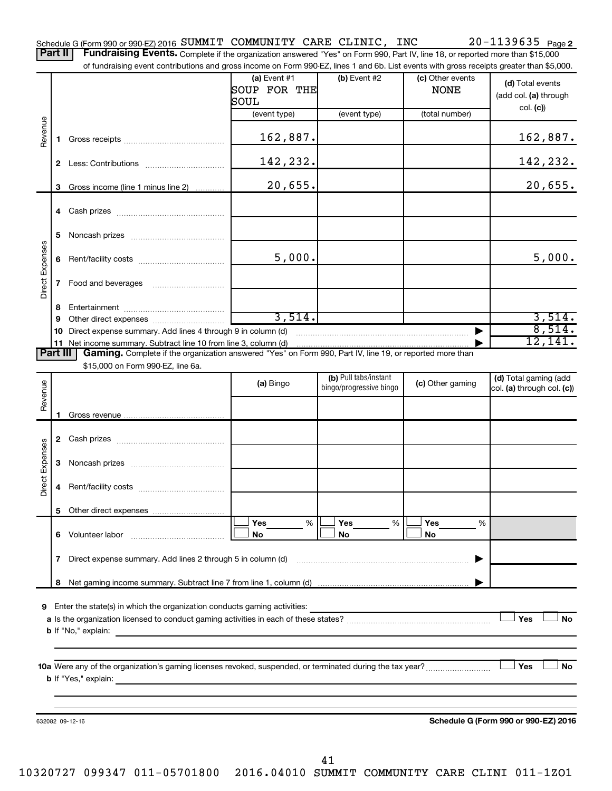Part II | Fundraising Events. Complete if the organization answered "Yes" on Form 990, Part IV, line 18, or reported more than \$15,000 of fundraising event contributions and gross income on Form 990-EZ, lines 1 and 6b. List events with gross receipts greater than \$5,000.

|                        |    | 01 Turidiaishiy event contributions and gross income on Form 990-EZ, illies T and OD. Elst events with gross receipts greater than \$0,000.                                                                                                                                                                                                            |                                        |                                                  |                                 |                                                     |
|------------------------|----|--------------------------------------------------------------------------------------------------------------------------------------------------------------------------------------------------------------------------------------------------------------------------------------------------------------------------------------------------------|----------------------------------------|--------------------------------------------------|---------------------------------|-----------------------------------------------------|
|                        |    |                                                                                                                                                                                                                                                                                                                                                        | (a) Event $#1$<br>SOUP FOR THE<br>SOUL | $(b)$ Event #2                                   | (c) Other events<br><b>NONE</b> | (d) Total events<br>(add col. (a) through           |
|                        |    |                                                                                                                                                                                                                                                                                                                                                        | (event type)                           | (event type)                                     | (total number)                  | col. (c)                                            |
| Revenue                | 1. |                                                                                                                                                                                                                                                                                                                                                        | 162,887.                               |                                                  |                                 | 162,887.                                            |
|                        |    |                                                                                                                                                                                                                                                                                                                                                        | 142,232.                               |                                                  |                                 | 142,232.                                            |
|                        |    | 3 Gross income (line 1 minus line 2)                                                                                                                                                                                                                                                                                                                   | 20,655.                                |                                                  |                                 | 20,655.                                             |
|                        |    |                                                                                                                                                                                                                                                                                                                                                        |                                        |                                                  |                                 |                                                     |
|                        | 5  |                                                                                                                                                                                                                                                                                                                                                        |                                        |                                                  |                                 |                                                     |
|                        |    |                                                                                                                                                                                                                                                                                                                                                        | 5,000.                                 |                                                  |                                 | 5,000.                                              |
| Direct Expenses        |    |                                                                                                                                                                                                                                                                                                                                                        |                                        |                                                  |                                 |                                                     |
|                        | 8  |                                                                                                                                                                                                                                                                                                                                                        |                                        |                                                  |                                 |                                                     |
|                        | 9  |                                                                                                                                                                                                                                                                                                                                                        | 3,514.                                 |                                                  |                                 | 3,514.                                              |
|                        |    | 10 Direct expense summary. Add lines 4 through 9 in column (d)                                                                                                                                                                                                                                                                                         |                                        |                                                  |                                 | 8,514.<br>12,141.                                   |
| Part III               |    | 11 Net income summary. Subtract line 10 from line 3, column (d)<br>Gaming. Complete if the organization answered "Yes" on Form 990, Part IV, line 19, or reported more than                                                                                                                                                                            |                                        |                                                  |                                 |                                                     |
|                        |    | \$15,000 on Form 990-EZ, line 6a.                                                                                                                                                                                                                                                                                                                      |                                        |                                                  |                                 |                                                     |
| Revenue                |    |                                                                                                                                                                                                                                                                                                                                                        | (a) Bingo                              | (b) Pull tabs/instant<br>bingo/progressive bingo | (c) Other gaming                | (d) Total gaming (add<br>col. (a) through col. (c)) |
|                        |    |                                                                                                                                                                                                                                                                                                                                                        |                                        |                                                  |                                 |                                                     |
|                        |    |                                                                                                                                                                                                                                                                                                                                                        |                                        |                                                  |                                 |                                                     |
|                        |    |                                                                                                                                                                                                                                                                                                                                                        |                                        |                                                  |                                 |                                                     |
| <b>Direct Expenses</b> |    |                                                                                                                                                                                                                                                                                                                                                        |                                        |                                                  |                                 |                                                     |
|                        | 4  |                                                                                                                                                                                                                                                                                                                                                        |                                        |                                                  |                                 |                                                     |
|                        |    |                                                                                                                                                                                                                                                                                                                                                        |                                        |                                                  |                                 |                                                     |
|                        |    | 6 Volunteer labor                                                                                                                                                                                                                                                                                                                                      | Yes<br>%<br>No                         | Yes<br>$\%$<br>No                                | Yes<br>%<br>No                  |                                                     |
|                        |    | 7 Direct expense summary. Add lines 2 through 5 in column (d)                                                                                                                                                                                                                                                                                          |                                        |                                                  |                                 |                                                     |
|                        | 8  |                                                                                                                                                                                                                                                                                                                                                        |                                        |                                                  |                                 |                                                     |
|                        |    |                                                                                                                                                                                                                                                                                                                                                        |                                        |                                                  |                                 |                                                     |
|                        |    | 9 Enter the state(s) in which the organization conducts gaming activities:<br><b>b</b> If "No," explain:                                                                                                                                                                                                                                               |                                        |                                                  |                                 | Yes<br><b>No</b>                                    |
|                        |    |                                                                                                                                                                                                                                                                                                                                                        |                                        |                                                  |                                 |                                                     |
|                        |    | 10a Were any of the organization's gaming licenses revoked, suspended, or terminated during the tax year?<br><b>b</b> If "Yes," explain: <u>contract and a set of the set of the set of the set of the set of the set of the set of the set of the set of the set of the set of the set of the set of the set of the set of the set of the set of </u> |                                        |                                                  |                                 | Yes<br>No                                           |
|                        |    |                                                                                                                                                                                                                                                                                                                                                        |                                        |                                                  |                                 |                                                     |
|                        |    | 632082 09-12-16                                                                                                                                                                                                                                                                                                                                        |                                        |                                                  |                                 | Schedule G (Form 990 or 990-EZ) 2016                |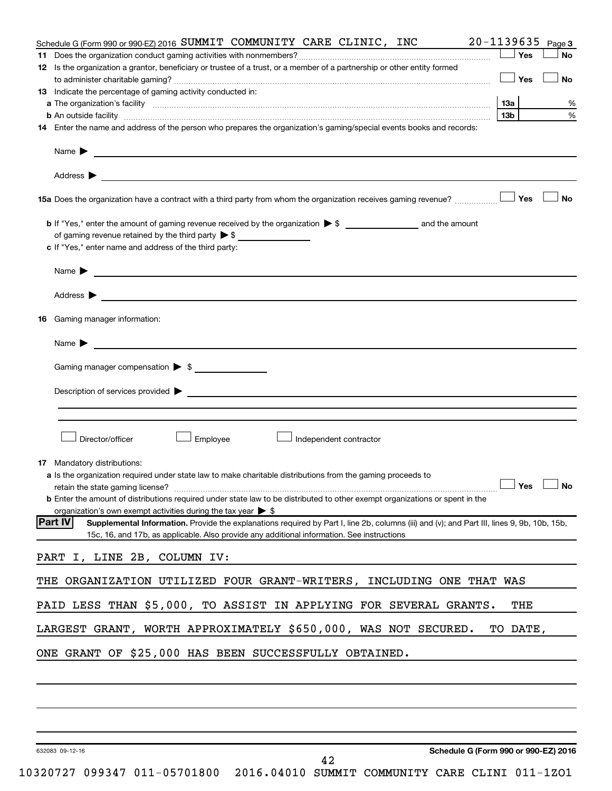|     | Schedule G (Form 990 or 990-EZ) 2016 SUMMIT COMMUNITY CARE CLINIC, INC                                                                                                                                                                    | 20-1139635      | Page 3    |
|-----|-------------------------------------------------------------------------------------------------------------------------------------------------------------------------------------------------------------------------------------------|-----------------|-----------|
|     |                                                                                                                                                                                                                                           | Yes             | No        |
|     | 12 Is the organization a grantor, beneficiary or trustee of a trust, or a member of a partnership or other entity formed                                                                                                                  |                 |           |
|     |                                                                                                                                                                                                                                           | Yes             | No        |
|     | 13 Indicate the percentage of gaming activity conducted in:                                                                                                                                                                               |                 |           |
|     | a The organization's facility <i>measurement assemble to the companion of the companisation</i> in the state of the companion of the companion of the companion of the companion of the companion of the companion of the companion       |                 | %         |
|     |                                                                                                                                                                                                                                           | 13 <sub>b</sub> | %         |
|     | 14 Enter the name and address of the person who prepares the organization's gaming/special events books and records:                                                                                                                      |                 |           |
|     | Name $\blacktriangleright$<br><u> 1989 - Johann Barbara, marka a shekara tsa 1989 - An tsa 1989 - An tsa 1989 - An tsa 1989 - An tsa 1989 - An</u>                                                                                        |                 |           |
|     |                                                                                                                                                                                                                                           |                 |           |
|     | 15a Does the organization have a contract with a third party from whom the organization receives gaming revenue?                                                                                                                          | Yes             | <b>No</b> |
|     |                                                                                                                                                                                                                                           |                 |           |
|     | of gaming revenue retained by the third party $\triangleright$ \$                                                                                                                                                                         |                 |           |
|     | c If "Yes," enter name and address of the third party:                                                                                                                                                                                    |                 |           |
|     |                                                                                                                                                                                                                                           |                 |           |
|     | Name $\blacktriangleright$ $\_\_\_\_\_\_\_\_\$                                                                                                                                                                                            |                 |           |
|     |                                                                                                                                                                                                                                           |                 |           |
|     |                                                                                                                                                                                                                                           |                 |           |
| 16. | Gaming manager information:                                                                                                                                                                                                               |                 |           |
|     |                                                                                                                                                                                                                                           |                 |           |
|     | Gaming manager compensation > \$                                                                                                                                                                                                          |                 |           |
|     |                                                                                                                                                                                                                                           |                 |           |
|     |                                                                                                                                                                                                                                           |                 |           |
|     |                                                                                                                                                                                                                                           |                 |           |
|     |                                                                                                                                                                                                                                           |                 |           |
|     | Employee<br>Director/officer<br>Independent contractor                                                                                                                                                                                    |                 |           |
|     |                                                                                                                                                                                                                                           |                 |           |
|     | <b>17</b> Mandatory distributions:                                                                                                                                                                                                        |                 |           |
|     | a Is the organization required under state law to make charitable distributions from the gaming proceeds to                                                                                                                               |                 |           |
|     | retain the state gaming license? $\Box$ No                                                                                                                                                                                                |                 |           |
|     | <b>b</b> Enter the amount of distributions required under state law to be distributed to other exempt organizations or spent in the                                                                                                       |                 |           |
|     | organization's own exempt activities during the tax year $\triangleright$ \$<br><b>Part IV</b>                                                                                                                                            |                 |           |
|     | Supplemental Information. Provide the explanations required by Part I, line 2b, columns (iii) and (v); and Part III, lines 9, 9b, 10b, 15b,<br>15c, 16, and 17b, as applicable. Also provide any additional information. See instructions |                 |           |
|     |                                                                                                                                                                                                                                           |                 |           |
|     | PART I, LINE 2B, COLUMN IV:                                                                                                                                                                                                               |                 |           |
|     | THE ORGANIZATION UTILIZED FOUR GRANT-WRITERS, INCLUDING ONE THAT WAS                                                                                                                                                                      |                 |           |
|     |                                                                                                                                                                                                                                           |                 |           |
|     | PAID LESS THAN \$5,000, TO ASSIST IN APPLYING FOR SEVERAL GRANTS.                                                                                                                                                                         | THE             |           |
|     | LARGEST GRANT, WORTH APPROXIMATELY \$650,000, WAS NOT SECURED.                                                                                                                                                                            | TO DATE,        |           |
|     | ONE GRANT OF \$25,000 HAS BEEN SUCCESSFULLY OBTAINED.                                                                                                                                                                                     |                 |           |
|     |                                                                                                                                                                                                                                           |                 |           |
|     |                                                                                                                                                                                                                                           |                 |           |
|     |                                                                                                                                                                                                                                           |                 |           |
|     |                                                                                                                                                                                                                                           |                 |           |
|     |                                                                                                                                                                                                                                           |                 |           |

632083 09-12-16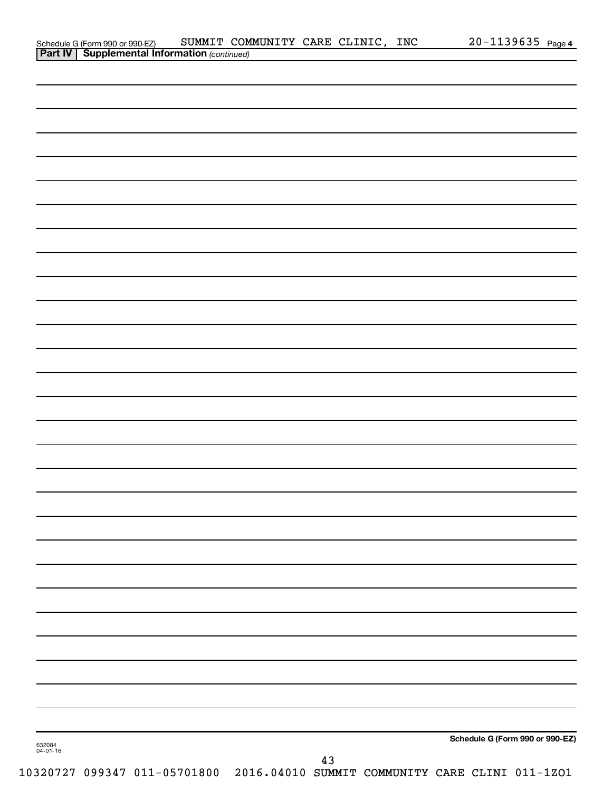|  |  |  |  | Schedule G (Form 990 or 990-EZ) |
|--|--|--|--|---------------------------------|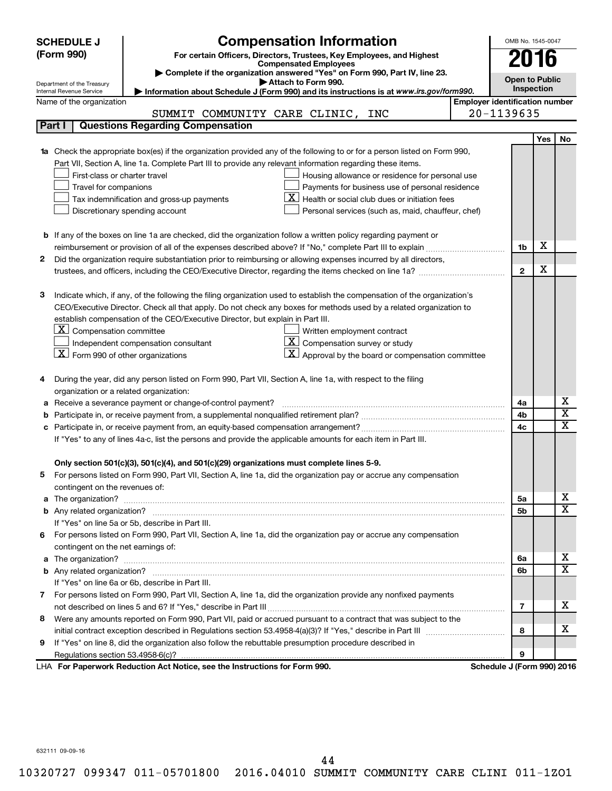|    | <b>SCHEDULE J</b>                                                                                                                                               | <b>Compensation Information</b>                                                                                                                                                                               |  | OMB No. 1545-0047          |            |                              |  |  |  |  |  |
|----|-----------------------------------------------------------------------------------------------------------------------------------------------------------------|---------------------------------------------------------------------------------------------------------------------------------------------------------------------------------------------------------------|--|----------------------------|------------|------------------------------|--|--|--|--|--|
|    | (Form 990)                                                                                                                                                      | For certain Officers, Directors, Trustees, Key Employees, and Highest                                                                                                                                         |  |                            |            |                              |  |  |  |  |  |
|    |                                                                                                                                                                 | <b>Compensated Employees</b>                                                                                                                                                                                  |  |                            | 2016       |                              |  |  |  |  |  |
|    |                                                                                                                                                                 | Complete if the organization answered "Yes" on Form 990, Part IV, line 23.<br>Attach to Form 990.                                                                                                             |  | <b>Open to Public</b>      |            |                              |  |  |  |  |  |
|    | Department of the Treasury<br>Inspection<br>Information about Schedule J (Form 990) and its instructions is at www.irs.gov/form990.<br>Internal Revenue Service |                                                                                                                                                                                                               |  |                            |            |                              |  |  |  |  |  |
|    | <b>Employer identification number</b><br>Name of the organization                                                                                               |                                                                                                                                                                                                               |  |                            |            |                              |  |  |  |  |  |
|    |                                                                                                                                                                 | SUMMIT COMMUNITY CARE CLINIC,<br>INC                                                                                                                                                                          |  | 20-1139635                 |            |                              |  |  |  |  |  |
|    | Part I                                                                                                                                                          | <b>Questions Regarding Compensation</b>                                                                                                                                                                       |  |                            |            |                              |  |  |  |  |  |
|    |                                                                                                                                                                 |                                                                                                                                                                                                               |  |                            | <b>Yes</b> | No                           |  |  |  |  |  |
| 1a |                                                                                                                                                                 | Check the appropriate box(es) if the organization provided any of the following to or for a person listed on Form 990,                                                                                        |  |                            |            |                              |  |  |  |  |  |
|    |                                                                                                                                                                 | Part VII, Section A, line 1a. Complete Part III to provide any relevant information regarding these items.                                                                                                    |  |                            |            |                              |  |  |  |  |  |
|    | First-class or charter travel                                                                                                                                   | Housing allowance or residence for personal use                                                                                                                                                               |  |                            |            |                              |  |  |  |  |  |
|    | Travel for companions                                                                                                                                           | Payments for business use of personal residence                                                                                                                                                               |  |                            |            |                              |  |  |  |  |  |
|    |                                                                                                                                                                 | ΧI<br>Health or social club dues or initiation fees<br>Tax indemnification and gross-up payments                                                                                                              |  |                            |            |                              |  |  |  |  |  |
|    |                                                                                                                                                                 | Discretionary spending account<br>Personal services (such as, maid, chauffeur, chef)                                                                                                                          |  |                            |            |                              |  |  |  |  |  |
|    |                                                                                                                                                                 |                                                                                                                                                                                                               |  |                            |            |                              |  |  |  |  |  |
|    |                                                                                                                                                                 | <b>b</b> If any of the boxes on line 1a are checked, did the organization follow a written policy regarding payment or                                                                                        |  |                            |            |                              |  |  |  |  |  |
|    |                                                                                                                                                                 |                                                                                                                                                                                                               |  | 1b                         | х          |                              |  |  |  |  |  |
| 2  |                                                                                                                                                                 | Did the organization require substantiation prior to reimbursing or allowing expenses incurred by all directors,                                                                                              |  |                            |            |                              |  |  |  |  |  |
|    |                                                                                                                                                                 |                                                                                                                                                                                                               |  | $\mathbf{2}$               | х          |                              |  |  |  |  |  |
|    |                                                                                                                                                                 |                                                                                                                                                                                                               |  |                            |            |                              |  |  |  |  |  |
| з  |                                                                                                                                                                 | Indicate which, if any, of the following the filing organization used to establish the compensation of the organization's                                                                                     |  |                            |            |                              |  |  |  |  |  |
|    |                                                                                                                                                                 | CEO/Executive Director. Check all that apply. Do not check any boxes for methods used by a related organization to                                                                                            |  |                            |            |                              |  |  |  |  |  |
|    |                                                                                                                                                                 | establish compensation of the CEO/Executive Director, but explain in Part III.                                                                                                                                |  |                            |            |                              |  |  |  |  |  |
|    | $ \mathbf{X} $ Compensation committee                                                                                                                           | Written employment contract                                                                                                                                                                                   |  |                            |            |                              |  |  |  |  |  |
|    |                                                                                                                                                                 | $ \mathbf{X} $ Compensation survey or study<br>Independent compensation consultant                                                                                                                            |  |                            |            |                              |  |  |  |  |  |
|    | $\lfloor \underline{X} \rfloor$ Form 990 of other organizations                                                                                                 | $ \mathbf{X} $ Approval by the board or compensation committee                                                                                                                                                |  |                            |            |                              |  |  |  |  |  |
|    |                                                                                                                                                                 |                                                                                                                                                                                                               |  |                            |            |                              |  |  |  |  |  |
| 4  |                                                                                                                                                                 | During the year, did any person listed on Form 990, Part VII, Section A, line 1a, with respect to the filing                                                                                                  |  |                            |            |                              |  |  |  |  |  |
|    | organization or a related organization:                                                                                                                         |                                                                                                                                                                                                               |  |                            |            |                              |  |  |  |  |  |
| а  |                                                                                                                                                                 | Receive a severance payment or change-of-control payment?                                                                                                                                                     |  | 4a                         |            | х<br>$\overline{\textbf{x}}$ |  |  |  |  |  |
| b  |                                                                                                                                                                 |                                                                                                                                                                                                               |  | 4b                         |            | X                            |  |  |  |  |  |
| c  |                                                                                                                                                                 |                                                                                                                                                                                                               |  | 4c                         |            |                              |  |  |  |  |  |
|    |                                                                                                                                                                 | If "Yes" to any of lines 4a-c, list the persons and provide the applicable amounts for each item in Part III.                                                                                                 |  |                            |            |                              |  |  |  |  |  |
|    |                                                                                                                                                                 |                                                                                                                                                                                                               |  |                            |            |                              |  |  |  |  |  |
|    |                                                                                                                                                                 | Only section 501(c)(3), 501(c)(4), and 501(c)(29) organizations must complete lines 5-9.<br>For persons listed on Form 990, Part VII, Section A, line 1a, did the organization pay or accrue any compensation |  |                            |            |                              |  |  |  |  |  |
|    |                                                                                                                                                                 |                                                                                                                                                                                                               |  |                            |            |                              |  |  |  |  |  |
|    | contingent on the revenues of:                                                                                                                                  |                                                                                                                                                                                                               |  | 5a                         |            | х                            |  |  |  |  |  |
|    |                                                                                                                                                                 |                                                                                                                                                                                                               |  | 5b                         |            | X                            |  |  |  |  |  |
|    |                                                                                                                                                                 | If "Yes" on line 5a or 5b, describe in Part III.                                                                                                                                                              |  |                            |            |                              |  |  |  |  |  |
|    |                                                                                                                                                                 | 6 For persons listed on Form 990, Part VII, Section A, line 1a, did the organization pay or accrue any compensation                                                                                           |  |                            |            |                              |  |  |  |  |  |
|    | contingent on the net earnings of:                                                                                                                              |                                                                                                                                                                                                               |  |                            |            |                              |  |  |  |  |  |
|    |                                                                                                                                                                 |                                                                                                                                                                                                               |  | 6a                         |            | х                            |  |  |  |  |  |
|    |                                                                                                                                                                 |                                                                                                                                                                                                               |  |                            |            |                              |  |  |  |  |  |
|    |                                                                                                                                                                 | If "Yes" on line 6a or 6b, describe in Part III.                                                                                                                                                              |  | 6b                         |            | X                            |  |  |  |  |  |
|    |                                                                                                                                                                 | 7 For persons listed on Form 990, Part VII, Section A, line 1a, did the organization provide any nonfixed payments                                                                                            |  |                            |            |                              |  |  |  |  |  |
|    |                                                                                                                                                                 |                                                                                                                                                                                                               |  | 7                          |            | x                            |  |  |  |  |  |
| 8  |                                                                                                                                                                 | Were any amounts reported on Form 990, Part VII, paid or accrued pursuant to a contract that was subject to the                                                                                               |  |                            |            |                              |  |  |  |  |  |
|    |                                                                                                                                                                 |                                                                                                                                                                                                               |  | 8                          |            | x                            |  |  |  |  |  |
| 9  |                                                                                                                                                                 | If "Yes" on line 8, did the organization also follow the rebuttable presumption procedure described in                                                                                                        |  |                            |            |                              |  |  |  |  |  |
|    |                                                                                                                                                                 |                                                                                                                                                                                                               |  | 9                          |            |                              |  |  |  |  |  |
|    |                                                                                                                                                                 | LHA For Paperwork Reduction Act Notice, see the Instructions for Form 990.                                                                                                                                    |  | Schedule J (Form 990) 2016 |            |                              |  |  |  |  |  |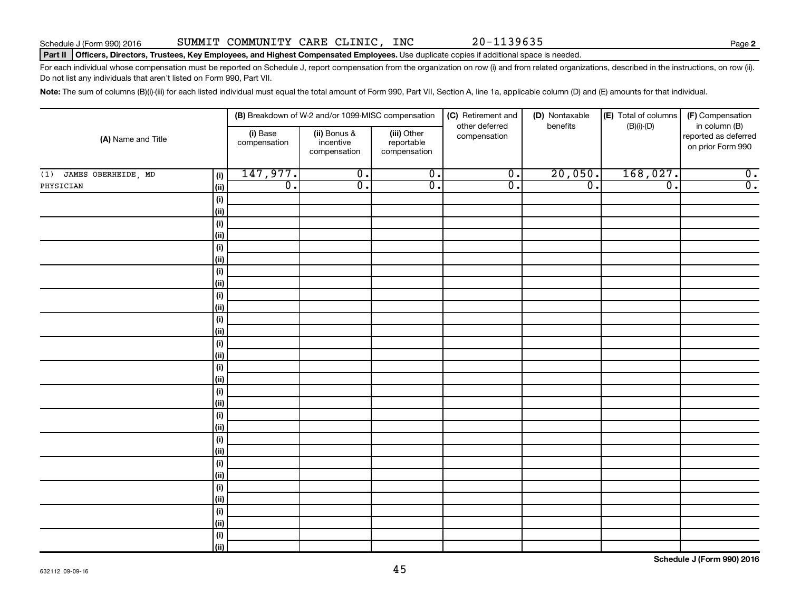**2**

#### Part II | Officers, Directors, Trustees, Key Employees, and Highest Compensated Employees. Use duplicate copies if additional space is needed.

For each individual whose compensation must be reported on Schedule J, report compensation from the organization on row (i) and from related organizations, described in the instructions, on row (ii). Do not list any individuals that aren't listed on Form 990, Part VII.

Note: The sum of columns (B)(i)-(iii) for each listed individual must equal the total amount of Form 990, Part VII, Section A, line 1a, applicable column (D) and (E) amounts for that individual.

| (A) Name and Title         |              |                          | (B) Breakdown of W-2 and/or 1099-MISC compensation |                                           | (C) Retirement and             | (D) Nontaxable   | (E) Total of columns        | (F) Compensation                                           |
|----------------------------|--------------|--------------------------|----------------------------------------------------|-------------------------------------------|--------------------------------|------------------|-----------------------------|------------------------------------------------------------|
|                            |              | (i) Base<br>compensation | (ii) Bonus &<br>incentive<br>compensation          | (iii) Other<br>reportable<br>compensation | other deferred<br>compensation | benefits         | $(B)(i)-(D)$                | in column (B)<br>reported as deferred<br>on prior Form 990 |
| JAMES OBERHEIDE, MD<br>(1) | (i)          | 147,977.                 | $\overline{0}$ .                                   | $\overline{0}$ .                          | $\overline{\mathfrak{o}}$ .    | 20,050.          | 168,027.                    | $\overline{\mathbf{0}}$ .                                  |
| PHYSICIAN                  | $\vert$ (ii) | $\overline{0}$ .         | $\overline{0}$ .                                   | $\overline{0}$ .                          | $\overline{0}$ .               | $\overline{0}$ . | $\overline{\mathfrak{o}}$ . | $\overline{0}$ .                                           |
|                            | $(\sf{i})$   |                          |                                                    |                                           |                                |                  |                             |                                                            |
|                            | (ii)         |                          |                                                    |                                           |                                |                  |                             |                                                            |
|                            | (i)          |                          |                                                    |                                           |                                |                  |                             |                                                            |
|                            | (ii)         |                          |                                                    |                                           |                                |                  |                             |                                                            |
|                            | (i)          |                          |                                                    |                                           |                                |                  |                             |                                                            |
|                            | (ii)         |                          |                                                    |                                           |                                |                  |                             |                                                            |
|                            | (i)          |                          |                                                    |                                           |                                |                  |                             |                                                            |
|                            | (ii)         |                          |                                                    |                                           |                                |                  |                             |                                                            |
|                            | (i)          |                          |                                                    |                                           |                                |                  |                             |                                                            |
|                            | (ii)         |                          |                                                    |                                           |                                |                  |                             |                                                            |
|                            | (i)          |                          |                                                    |                                           |                                |                  |                             |                                                            |
|                            | (ii)<br>(i)  |                          |                                                    |                                           |                                |                  |                             |                                                            |
|                            | (ii)         |                          |                                                    |                                           |                                |                  |                             |                                                            |
|                            | (i)          |                          |                                                    |                                           |                                |                  |                             |                                                            |
|                            | (ii)         |                          |                                                    |                                           |                                |                  |                             |                                                            |
|                            | (i)          |                          |                                                    |                                           |                                |                  |                             |                                                            |
|                            | (ii)         |                          |                                                    |                                           |                                |                  |                             |                                                            |
|                            | (i)          |                          |                                                    |                                           |                                |                  |                             |                                                            |
|                            | (ii)         |                          |                                                    |                                           |                                |                  |                             |                                                            |
|                            | (i)          |                          |                                                    |                                           |                                |                  |                             |                                                            |
|                            | (ii)         |                          |                                                    |                                           |                                |                  |                             |                                                            |
|                            | (i)          |                          |                                                    |                                           |                                |                  |                             |                                                            |
|                            | (ii)         |                          |                                                    |                                           |                                |                  |                             |                                                            |
|                            | (i)          |                          |                                                    |                                           |                                |                  |                             |                                                            |
|                            | (ii)         |                          |                                                    |                                           |                                |                  |                             |                                                            |
|                            | (i)          |                          |                                                    |                                           |                                |                  |                             |                                                            |
|                            | (ii)         |                          |                                                    |                                           |                                |                  |                             |                                                            |
|                            | $(\sf{i})$   |                          |                                                    |                                           |                                |                  |                             |                                                            |
|                            | (ii)         |                          |                                                    |                                           |                                |                  |                             |                                                            |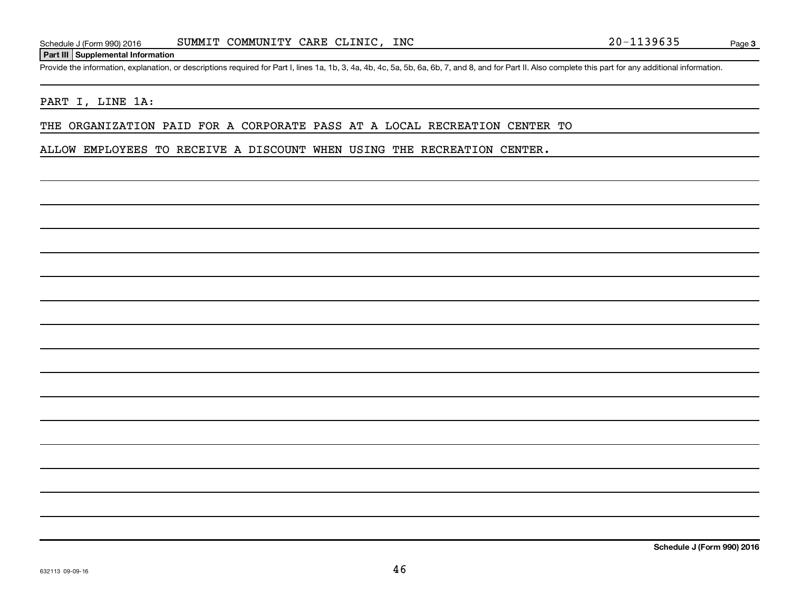#### **Part III Supplemental Information**

Provide the information, explanation, or descriptions required for Part I, lines 1a, 1b, 3, 4a, 4b, 4c, 5a, 5b, 6a, 6b, 7, and 8, and for Part II. Also complete this part for any additional information.

#### PART I, LINE 1A:

THE ORGANIZATION PAID FOR A CORPORATE PASS AT A LOCAL RECREATION CENTER TO

ALLOW EMPLOYEES TO RECEIVE A DISCOUNT WHEN USING THE RECREATION CENTER.

**Schedule J (Form 990) 2016**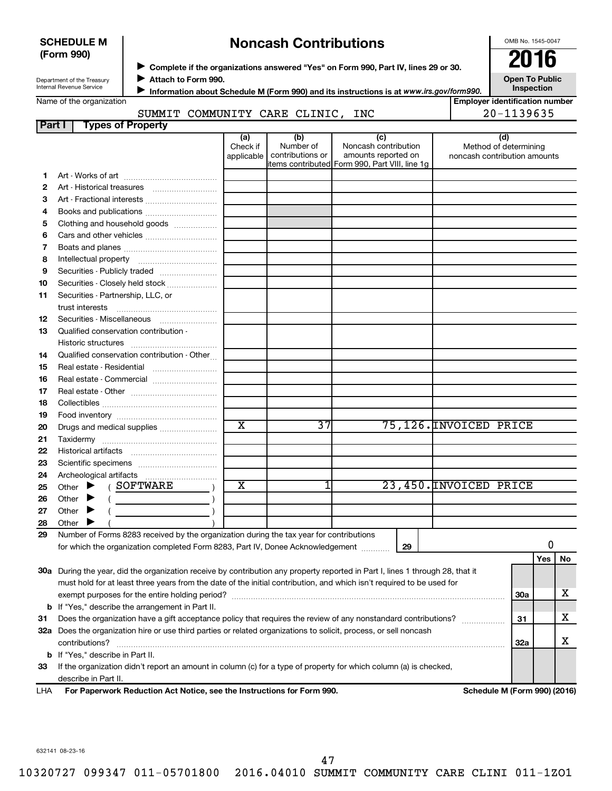| <b>SCHEDULE M</b> |  |
|-------------------|--|
| (Form 990)        |  |

## **Noncash Contributions**

OMB No. 1545-0047

Department of the Treasury Internal Revenue Service

◆ Complete if the organizations answered "Yes" on Form 990, Part IV, lines 29 or 30.<br>● Complete if the organizations answered "Yes" on Form 990, Part IV, lines 29 or 30. **Attach to Form 990.**  $\blacktriangleright$ 

**Open To Public Inspection**

| Name of the organization |  |
|--------------------------|--|
|                          |  |

 $\blacktriangleright$ 

**Information about Schedule M (Form 990) and its instructions is at**  *www.irs.gov/form990.*

## SUMMIT COMMUNITY CARE CLINIC, INC

|  | <b>Employer identification number</b> |
|--|---------------------------------------|
|  | 20-1139635                            |

| Part I | <b>Types of Property</b>                                                                                                       |                               |                                      |                                                                                                      |    |                                                              |            |     |           |  |
|--------|--------------------------------------------------------------------------------------------------------------------------------|-------------------------------|--------------------------------------|------------------------------------------------------------------------------------------------------|----|--------------------------------------------------------------|------------|-----|-----------|--|
|        |                                                                                                                                | (a)<br>Check if<br>applicable | (b)<br>Number of<br>contributions or | (c)<br>Noncash contribution<br>amounts reported on<br>items contributed Form 990, Part VIII, line 1g |    | (d)<br>Method of determining<br>noncash contribution amounts |            |     |           |  |
|        |                                                                                                                                |                               |                                      |                                                                                                      |    |                                                              |            |     |           |  |
| 1      |                                                                                                                                |                               |                                      |                                                                                                      |    |                                                              |            |     |           |  |
| 2      |                                                                                                                                |                               |                                      |                                                                                                      |    |                                                              |            |     |           |  |
| З      | Art - Fractional interests                                                                                                     |                               |                                      |                                                                                                      |    |                                                              |            |     |           |  |
| 4      | Books and publications                                                                                                         |                               |                                      |                                                                                                      |    |                                                              |            |     |           |  |
| 5      | Clothing and household goods                                                                                                   |                               |                                      |                                                                                                      |    |                                                              |            |     |           |  |
| 6      |                                                                                                                                |                               |                                      |                                                                                                      |    |                                                              |            |     |           |  |
| 7      |                                                                                                                                |                               |                                      |                                                                                                      |    |                                                              |            |     |           |  |
| 8      |                                                                                                                                |                               |                                      |                                                                                                      |    |                                                              |            |     |           |  |
| 9      | Securities - Publicly traded                                                                                                   |                               |                                      |                                                                                                      |    |                                                              |            |     |           |  |
| 10     | Securities - Closely held stock                                                                                                |                               |                                      |                                                                                                      |    |                                                              |            |     |           |  |
| 11     | Securities - Partnership, LLC, or                                                                                              |                               |                                      |                                                                                                      |    |                                                              |            |     |           |  |
|        | trust interests                                                                                                                |                               |                                      |                                                                                                      |    |                                                              |            |     |           |  |
| 12     | Securities - Miscellaneous                                                                                                     |                               |                                      |                                                                                                      |    |                                                              |            |     |           |  |
| 13     | Qualified conservation contribution -                                                                                          |                               |                                      |                                                                                                      |    |                                                              |            |     |           |  |
|        |                                                                                                                                |                               |                                      |                                                                                                      |    |                                                              |            |     |           |  |
| 14     | Qualified conservation contribution - Other                                                                                    |                               |                                      |                                                                                                      |    |                                                              |            |     |           |  |
| 15     | Real estate - Residential                                                                                                      |                               |                                      |                                                                                                      |    |                                                              |            |     |           |  |
| 16     | Real estate - Commercial                                                                                                       |                               |                                      |                                                                                                      |    |                                                              |            |     |           |  |
| 17     |                                                                                                                                |                               |                                      |                                                                                                      |    |                                                              |            |     |           |  |
| 18     |                                                                                                                                |                               |                                      |                                                                                                      |    |                                                              |            |     |           |  |
| 19     |                                                                                                                                |                               |                                      |                                                                                                      |    |                                                              |            |     |           |  |
| 20     | Drugs and medical supplies                                                                                                     | $\overline{\text{x}}$         | 37                                   |                                                                                                      |    | 75,126. INVOICED PRICE                                       |            |     |           |  |
| 21     |                                                                                                                                |                               |                                      |                                                                                                      |    |                                                              |            |     |           |  |
| 22     |                                                                                                                                |                               |                                      |                                                                                                      |    |                                                              |            |     |           |  |
| 23     |                                                                                                                                |                               |                                      |                                                                                                      |    |                                                              |            |     |           |  |
| 24     |                                                                                                                                |                               |                                      |                                                                                                      |    |                                                              |            |     |           |  |
| 25     | Other > (SOFTWARE                                                                                                              | x                             | 11                                   |                                                                                                      |    | 23,450. INVOICED PRICE                                       |            |     |           |  |
| 26     | Other $\blacktriangleright$                                                                                                    |                               |                                      |                                                                                                      |    |                                                              |            |     |           |  |
| 27     | Other $\blacktriangleright$                                                                                                    |                               |                                      |                                                                                                      |    |                                                              |            |     |           |  |
| 28     | Other $\blacktriangleright$                                                                                                    |                               |                                      |                                                                                                      |    |                                                              |            |     |           |  |
| 29     | Number of Forms 8283 received by the organization during the tax year for contributions                                        |                               |                                      |                                                                                                      |    |                                                              |            |     |           |  |
|        | for which the organization completed Form 8283, Part IV, Donee Acknowledgement                                                 |                               |                                      |                                                                                                      | 29 |                                                              |            | 0   |           |  |
|        |                                                                                                                                |                               |                                      |                                                                                                      |    |                                                              |            | Yes | <b>No</b> |  |
|        | 30a During the year, did the organization receive by contribution any property reported in Part I, lines 1 through 28, that it |                               |                                      |                                                                                                      |    |                                                              |            |     |           |  |
|        | must hold for at least three years from the date of the initial contribution, and which isn't required to be used for          |                               |                                      |                                                                                                      |    |                                                              |            |     |           |  |
|        |                                                                                                                                |                               |                                      |                                                                                                      |    |                                                              | 30a        |     | x         |  |
|        | <b>b</b> If "Yes," describe the arrangement in Part II.                                                                        |                               |                                      |                                                                                                      |    |                                                              |            |     |           |  |
| 31     | Does the organization have a gift acceptance policy that requires the review of any nonstandard contributions?                 |                               |                                      |                                                                                                      |    |                                                              | 31         |     | x         |  |
|        | 32a Does the organization hire or use third parties or related organizations to solicit, process, or sell noncash              |                               |                                      |                                                                                                      |    |                                                              |            |     |           |  |
|        | contributions?                                                                                                                 |                               |                                      |                                                                                                      |    |                                                              | <b>32a</b> |     | x         |  |
|        | <b>b</b> If "Yes," describe in Part II.                                                                                        |                               |                                      |                                                                                                      |    |                                                              |            |     |           |  |
| 33     | If the organization didn't report an amount in column (c) for a type of property for which column (a) is checked,              |                               |                                      |                                                                                                      |    |                                                              |            |     |           |  |
|        | describe in Part II.                                                                                                           |                               |                                      |                                                                                                      |    |                                                              |            |     |           |  |
| LHA    | For Paperwork Reduction Act Notice, see the Instructions for Form 990.                                                         |                               |                                      |                                                                                                      |    | Schedule M (Form 990) (2016)                                 |            |     |           |  |
|        |                                                                                                                                |                               |                                      |                                                                                                      |    |                                                              |            |     |           |  |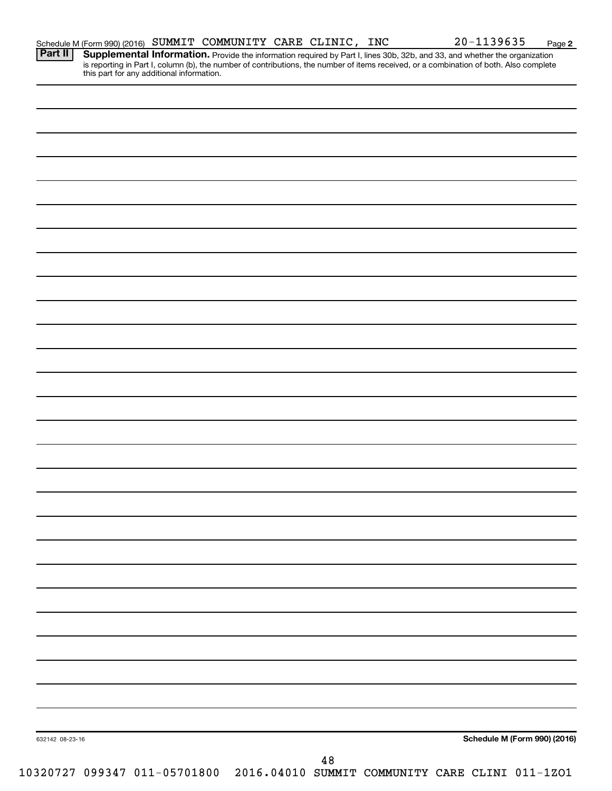|                 |  | this part for any additional information. |  |        |  |  |                                                                              |
|-----------------|--|-------------------------------------------|--|--------|--|--|------------------------------------------------------------------------------|
|                 |  |                                           |  |        |  |  |                                                                              |
|                 |  |                                           |  |        |  |  |                                                                              |
|                 |  |                                           |  |        |  |  |                                                                              |
|                 |  |                                           |  |        |  |  |                                                                              |
|                 |  |                                           |  |        |  |  |                                                                              |
|                 |  |                                           |  |        |  |  |                                                                              |
|                 |  |                                           |  |        |  |  |                                                                              |
|                 |  |                                           |  |        |  |  |                                                                              |
|                 |  |                                           |  |        |  |  |                                                                              |
|                 |  |                                           |  |        |  |  |                                                                              |
|                 |  |                                           |  |        |  |  |                                                                              |
|                 |  |                                           |  |        |  |  |                                                                              |
|                 |  |                                           |  |        |  |  |                                                                              |
|                 |  |                                           |  |        |  |  |                                                                              |
|                 |  |                                           |  |        |  |  |                                                                              |
|                 |  |                                           |  |        |  |  |                                                                              |
|                 |  |                                           |  |        |  |  |                                                                              |
|                 |  |                                           |  |        |  |  |                                                                              |
|                 |  |                                           |  |        |  |  |                                                                              |
|                 |  |                                           |  |        |  |  |                                                                              |
|                 |  |                                           |  |        |  |  |                                                                              |
|                 |  |                                           |  |        |  |  |                                                                              |
|                 |  |                                           |  |        |  |  |                                                                              |
|                 |  |                                           |  |        |  |  |                                                                              |
|                 |  |                                           |  |        |  |  |                                                                              |
|                 |  |                                           |  |        |  |  |                                                                              |
|                 |  |                                           |  |        |  |  |                                                                              |
|                 |  |                                           |  |        |  |  |                                                                              |
|                 |  |                                           |  |        |  |  |                                                                              |
| 632142 08-23-16 |  |                                           |  |        |  |  | <b>Schedule M (Form 990) (2016)</b>                                          |
|                 |  |                                           |  | $4\,8$ |  |  | 10320727 099347 011-05701800 2016.04010 SUMMIT COMMUNITY CARE CLINI 011-1ZO1 |

**Part II Supplemental Information.** 

**2**

Provide the information required by Part I, lines 30b, 32b, and 33, and whether the organization

is reporting in Part I, column (b), the number of contributions, the number of items received, or a combination of both. Also complete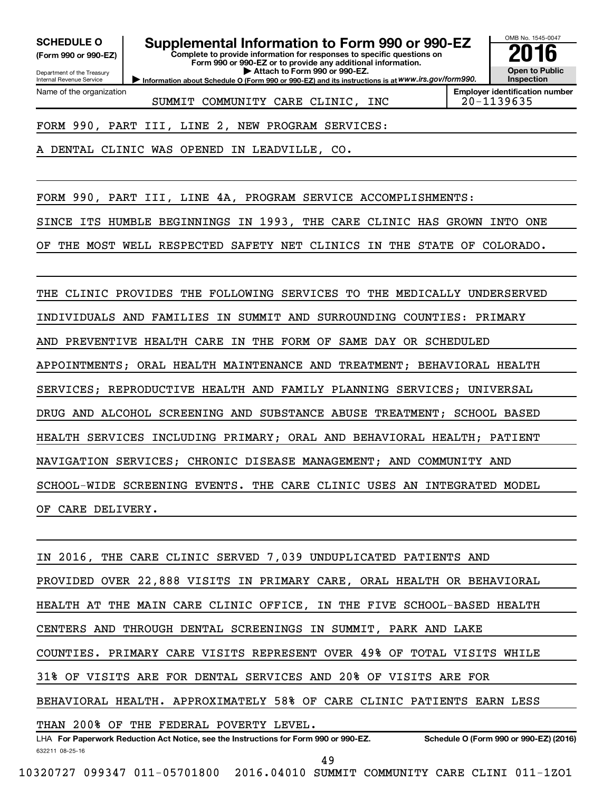**(Form 990 or 990-EZ)**

Department of the Treasury Internal Revenue Service Name of the organization

**Complete to provide information for responses to specific questions on Form 990 or 990-EZ or to provide any additional information. | Attach to Form 990 or 990-EZ. SCHEDULE O Supplemental Information to Form 990 or 990-EZ 2016**

**Information about Schedule O (Form 990 or 990-EZ) and its instructions is at WWW.irs.gov/form990.** 



SUMMIT COMMUNITY CARE CLINIC, INC  $\vert$  20-1139635

**Employer identification number**

FORM 990, PART III, LINE 2, NEW PROGRAM SERVICES:

DENTAL CLINIC WAS OPENED IN LEADVILLE, CO.

FORM 990, PART III, LINE 4A, PROGRAM SERVICE ACCOMPLISHMENTS: SINCE ITS HUMBLE BEGINNINGS IN 1993, THE CARE CLINIC HAS GROWN INTO ONE

OF THE MOST WELL RESPECTED SAFETY NET CLINICS IN THE STATE OF COLORADO.

THE CLINIC PROVIDES THE FOLLOWING SERVICES TO THE MEDICALLY UNDERSERVED INDIVIDUALS AND FAMILIES IN SUMMIT AND SURROUNDING COUNTIES: PRIMARY AND PREVENTIVE HEALTH CARE IN THE FORM OF SAME DAY OR SCHEDULED APPOINTMENTS; ORAL HEALTH MAINTENANCE AND TREATMENT; BEHAVIORAL HEALTH SERVICES; REPRODUCTIVE HEALTH AND FAMILY PLANNING SERVICES; UNIVERSAL DRUG AND ALCOHOL SCREENING AND SUBSTANCE ABUSE TREATMENT; SCHOOL BASED HEALTH SERVICES INCLUDING PRIMARY; ORAL AND BEHAVIORAL HEALTH; PATIENT NAVIGATION SERVICES; CHRONIC DISEASE MANAGEMENT; AND COMMUNITY AND SCHOOL-WIDE SCREENING EVENTS. THE CARE CLINIC USES AN INTEGRATED MODEL OF CARE DELIVERY.

632211 08-25-16 LHA For Paperwork Reduction Act Notice, see the Instructions for Form 990 or 990-EZ. Schedule O (Form 990 or 990-EZ) (2016) IN 2016, THE CARE CLINIC SERVED 7,039 UNDUPLICATED PATIENTS AND PROVIDED OVER 22,888 VISITS IN PRIMARY CARE, ORAL HEALTH OR BEHAVIORAL HEALTH AT THE MAIN CARE CLINIC OFFICE, IN THE FIVE SCHOOL-BASED HEALTH CENTERS AND THROUGH DENTAL SCREENINGS IN SUMMIT, PARK AND LAKE COUNTIES. PRIMARY CARE VISITS REPRESENT OVER 49% OF TOTAL VISITS WHILE 31% OF VISITS ARE FOR DENTAL SERVICES AND 20% OF VISITS ARE FOR BEHAVIORAL HEALTH. APPROXIMATELY 58% OF CARE CLINIC PATIENTS EARN LESS THAN 200% OF THE FEDERAL POVERTY LEVEL.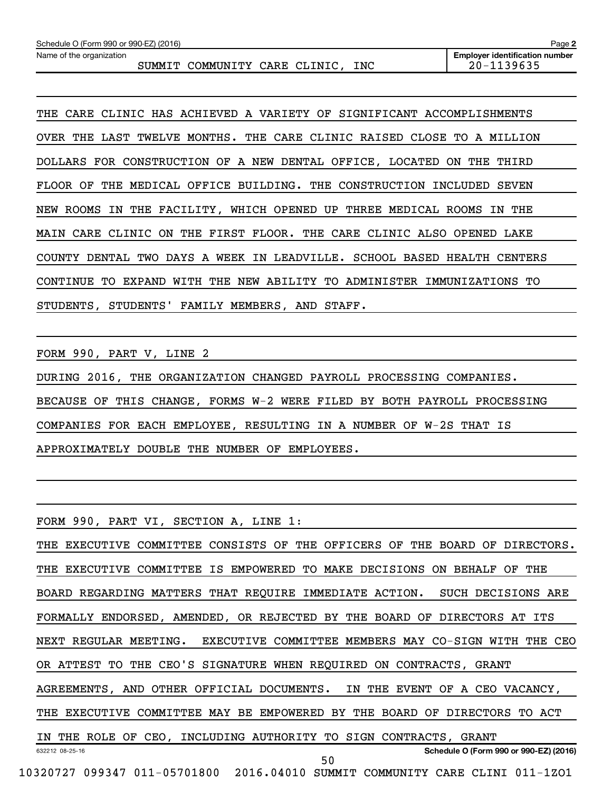THE CARE CLINIC HAS ACHIEVED A VARIETY OF SIGNIFICANT ACCOMPLISHMENTS OVER THE LAST TWELVE MONTHS. THE CARE CLINIC RAISED CLOSE TO A MILLION DOLLARS FOR CONSTRUCTION OF A NEW DENTAL OFFICE, LOCATED ON THE THIRD FLOOR OF THE MEDICAL OFFICE BUILDING. THE CONSTRUCTION INCLUDED SEVEN NEW ROOMS IN THE FACILITY, WHICH OPENED UP THREE MEDICAL ROOMS IN THE MAIN CARE CLINIC ON THE FIRST FLOOR. THE CARE CLINIC ALSO OPENED LAKE COUNTY DENTAL TWO DAYS A WEEK IN LEADVILLE. SCHOOL BASED HEALTH CENTERS CONTINUE TO EXPAND WITH THE NEW ABILITY TO ADMINISTER IMMUNIZATIONS TO STUDENTS, STUDENTS' FAMILY MEMBERS, AND STAFF.

FORM 990, PART V, LINE 2

DURING 2016, THE ORGANIZATION CHANGED PAYROLL PROCESSING COMPANIES. BECAUSE OF THIS CHANGE, FORMS W-2 WERE FILED BY BOTH PAYROLL PROCESSING COMPANIES FOR EACH EMPLOYEE, RESULTING IN A NUMBER OF W-2S THAT IS APPROXIMATELY DOUBLE THE NUMBER OF EMPLOYEES.

FORM 990, PART VI, SECTION A, LINE 1:

632212 08-25-16 **Schedule O (Form 990 or 990-EZ) (2016)** THE EXECUTIVE COMMITTEE CONSISTS OF THE OFFICERS OF THE BOARD OF DIRECTORS. THE EXECUTIVE COMMITTEE IS EMPOWERED TO MAKE DECISIONS ON BEHALF OF THE BOARD REGARDING MATTERS THAT REQUIRE IMMEDIATE ACTION. SUCH DECISIONS ARE FORMALLY ENDORSED, AMENDED, OR REJECTED BY THE BOARD OF DIRECTORS AT ITS NEXT REGULAR MEETING. EXECUTIVE COMMITTEE MEMBERS MAY CO-SIGN WITH THE CEO OR ATTEST TO THE CEO'S SIGNATURE WHEN REQUIRED ON CONTRACTS, GRANT AGREEMENTS, AND OTHER OFFICIAL DOCUMENTS. IN THE EVENT OF A CEO VACANCY, THE EXECUTIVE COMMITTEE MAY BE EMPOWERED BY THE BOARD OF DIRECTORS TO ACT IN THE ROLE OF CEO, INCLUDING AUTHORITY TO SIGN CONTRACTS, GRANT 10320727 099347 011-05701800 2016.04010 SUMMIT COMMUNITY CARE CLINI 011-1ZO1 50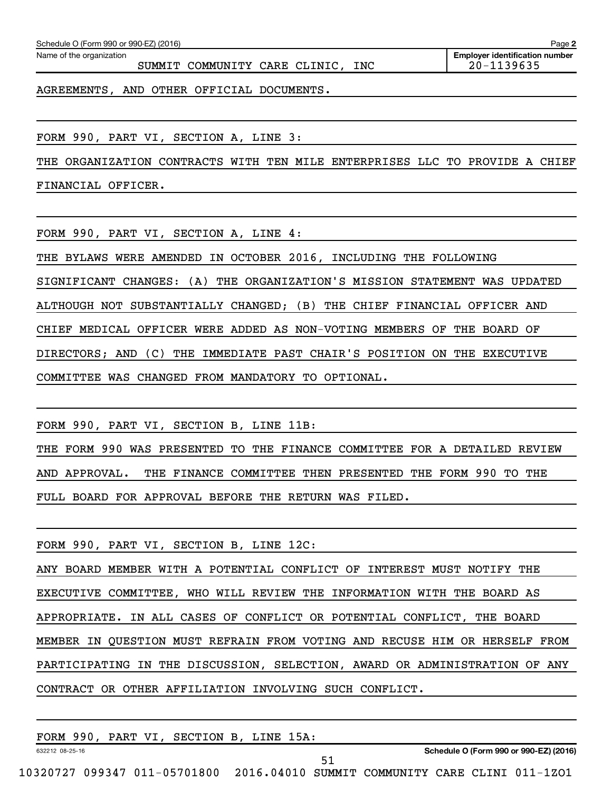| Schedule O (Form 990 or 990-EZ) (2016)                                         | Page 2                                              |
|--------------------------------------------------------------------------------|-----------------------------------------------------|
| Name of the organization<br>SUMMIT COMMUNITY CARE CLINIC, INC                  | <b>Employer identification number</b><br>20-1139635 |
| AGREEMENTS, AND OTHER OFFICIAL DOCUMENTS.                                      |                                                     |
|                                                                                |                                                     |
| FORM 990, PART VI, SECTION A, LINE 3:                                          |                                                     |
| ORGANIZATION CONTRACTS WITH TEN MILE ENTERPRISES LLC TO PROVIDE A CHIEF<br>THE |                                                     |
| FINANCIAL OFFICER.                                                             |                                                     |
|                                                                                |                                                     |
| FORM 990, PART VI, SECTION A, LINE 4:                                          |                                                     |
| IN OCTOBER 2016, INCLUDING THE FOLLOWING<br>THE BYLAWS WERE AMENDED            |                                                     |
| SIGNIFICANT CHANGES: (A) THE ORGANIZATION'S MISSION STATEMENT                  | WAS UPDATED                                         |
| ALTHOUGH NOT SUBSTANTIALLY CHANGED; (B) THE CHIEF FINANCIAL OFFICER AND        |                                                     |

CHIEF MEDICAL OFFICER WERE ADDED AS NON-VOTING MEMBERS OF THE BOARD OF DIRECTORS; AND (C) THE IMMEDIATE PAST CHAIR'S POSITION ON THE EXECUTIVE

COMMITTEE WAS CHANGED FROM MANDATORY TO OPTIONAL.

FORM 990, PART VI, SECTION B, LINE 11B: THE FORM 990 WAS PRESENTED TO THE FINANCE COMMITTEE FOR A DETAILED REVIEW AND APPROVAL. THE FINANCE COMMITTEE THEN PRESENTED THE FORM 990 TO THE FULL BOARD FOR APPROVAL BEFORE THE RETURN WAS FILED.

FORM 990, PART VI, SECTION B, LINE 12C: ANY BOARD MEMBER WITH A POTENTIAL CONFLICT OF INTEREST MUST NOTIFY THE EXECUTIVE COMMITTEE, WHO WILL REVIEW THE INFORMATION WITH THE BOARD AS APPROPRIATE. IN ALL CASES OF CONFLICT OR POTENTIAL CONFLICT, THE BOARD MEMBER IN QUESTION MUST REFRAIN FROM VOTING AND RECUSE HIM OR HERSELF FROM PARTICIPATING IN THE DISCUSSION, SELECTION, AWARD OR ADMINISTRATION OF ANY CONTRACT OR OTHER AFFILIATION INVOLVING SUCH CONFLICT.

|                 | FORM 990, PART VI, SECTION B, LINE 15A: |  |                                        |
|-----------------|-----------------------------------------|--|----------------------------------------|
| 632212 08-25-16 |                                         |  | Schedule O (Form 990 or 990-EZ) (2016) |